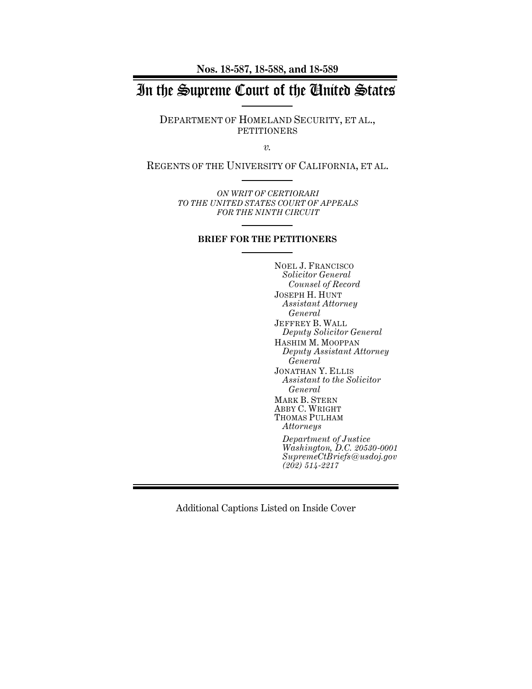**Nos. 18-587, 18-588, and 18-589**

# In the Supreme Court of the United States

DEPARTMENT OF HOMELAND SECURITY, ET AL., **PETITIONERS** 

*v.*

REGENTS OF THE UNIVERSITY OF CALIFORNIA, ET AL.

*ON WRIT OF CERTIORARI TO THE UNITED STATES COURT OF APPEALS FOR THE NINTH CIRCUIT*

#### **BRIEF FOR THE PETITIONERS**

NOEL J. FRANCISCO *Solicitor General Counsel of Record* JOSEPH H. HUNT *Assistant Attorney General* JEFFREY B. WALL *Deputy Solicitor General* HASHIM M. MOOPPAN *Deputy Assistant Attorney General* JONATHAN Y. ELLIS *Assistant to the Solicitor General* MARK B. STERN ABBY C. WRIGHT THOMAS PULHAM *Attorneys Department of Justice Washington, D.C. 20530-0001 SupremeCtBriefs@usdoj.gov (202) 514-2217*

Additional Captions Listed on Inside Cover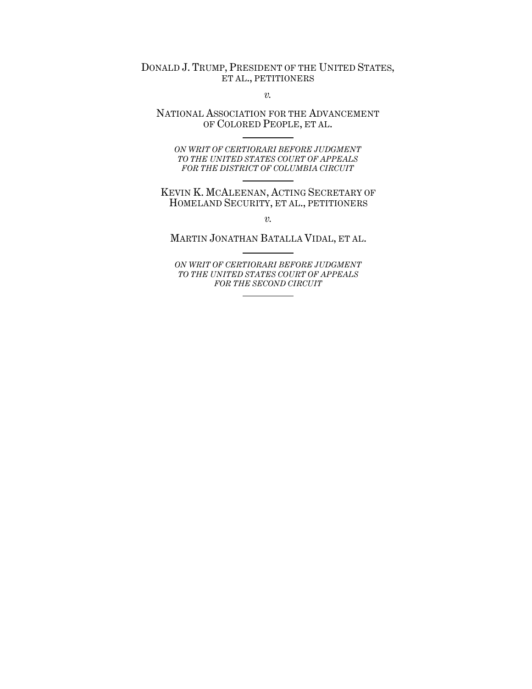# DONALD J. TRUMP, PRESIDENT OF THE UNITED STATES, ET AL., PETITIONERS

*v.*

## NATIONAL ASSOCIATION FOR THE ADVANCEMENT OF COLORED PEOPLE, ET AL.

*ON WRIT OF CERTIORARI BEFORE JUDGMENT TO THE UNITED STATES COURT OF APPEALS FOR THE DISTRICT OF COLUMBIA CIRCUIT*

KEVIN K. MCALEENAN, ACTING SECRETARY OF HOMELAND SECURITY, ET AL., PETITIONERS

*v.*

MARTIN JONATHAN BATALLA VIDAL, ET AL.

*ON WRIT OF CERTIORARI BEFORE JUDGMENT TO THE UNITED STATES COURT OF APPEALS FOR THE SECOND CIRCUIT*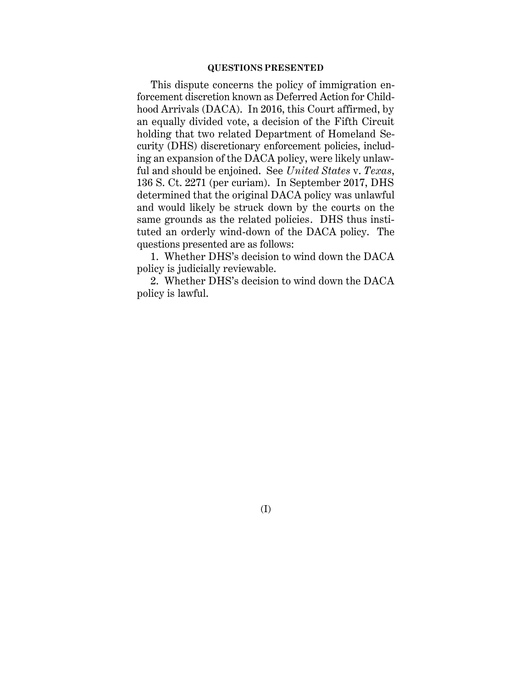#### **QUESTIONS PRESENTED**

This dispute concerns the policy of immigration enforcement discretion known as Deferred Action for Childhood Arrivals (DACA). In 2016, this Court affirmed, by an equally divided vote, a decision of the Fifth Circuit holding that two related Department of Homeland Security (DHS) discretionary enforcement policies, including an expansion of the DACA policy, were likely unlawful and should be enjoined. See *United States* v. *Texas*, 136 S. Ct. 2271 (per curiam). In September 2017, DHS determined that the original DACA policy was unlawful and would likely be struck down by the courts on the same grounds as the related policies. DHS thus instituted an orderly wind-down of the DACA policy. The questions presented are as follows:

1. Whether DHS's decision to wind down the DACA policy is judicially reviewable.

2. Whether DHS's decision to wind down the DACA policy is lawful.

(I)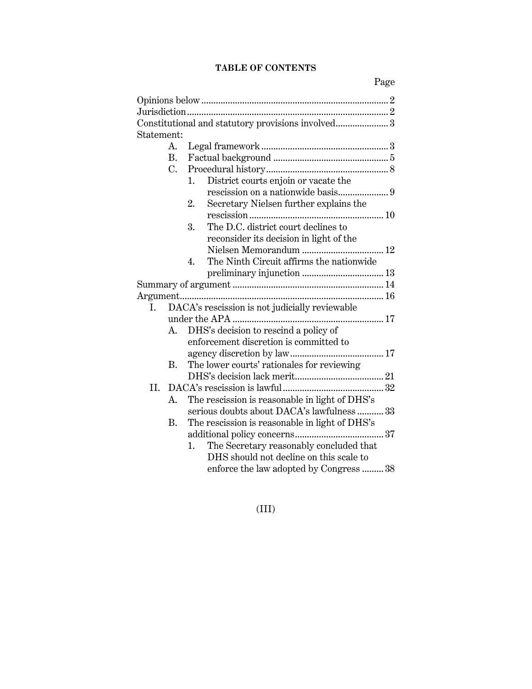# **TABLE OF CONTENTS**

|            | Constitutional and statutory provisions involved 3 |
|------------|----------------------------------------------------|
| Statement: |                                                    |
| A.         |                                                    |
| В.         |                                                    |
| C.         |                                                    |
|            | District courts enjoin or vacate the<br>1.         |
|            |                                                    |
|            | Secretary Nielsen further explains the<br>2.       |
|            |                                                    |
|            | The D.C. district court declines to<br>3.          |
|            | reconsider its decision in light of the            |
|            | Nielsen Memorandum  12                             |
|            | The Ninth Circuit affirms the nationwide<br>4.     |
|            |                                                    |
|            |                                                    |
|            |                                                    |
| I.         | DACA's rescission is not judicially reviewable     |
|            |                                                    |
| A.         | DHS's decision to rescind a policy of              |
|            | enforcement discretion is committed to             |
|            |                                                    |
| B.         | The lower courts' rationales for reviewing         |
|            |                                                    |
| II.        |                                                    |
| A.         | The rescission is reasonable in light of DHS's     |
|            | serious doubts about DACA's lawfulness 33          |
| <b>B.</b>  | The rescission is reasonable in light of DHS's     |
|            |                                                    |
|            | The Secretary reasonably concluded that<br>1.      |
|            | DHS should not decline on this scale to            |
|            | enforce the law adopted by Congress  38            |

(III)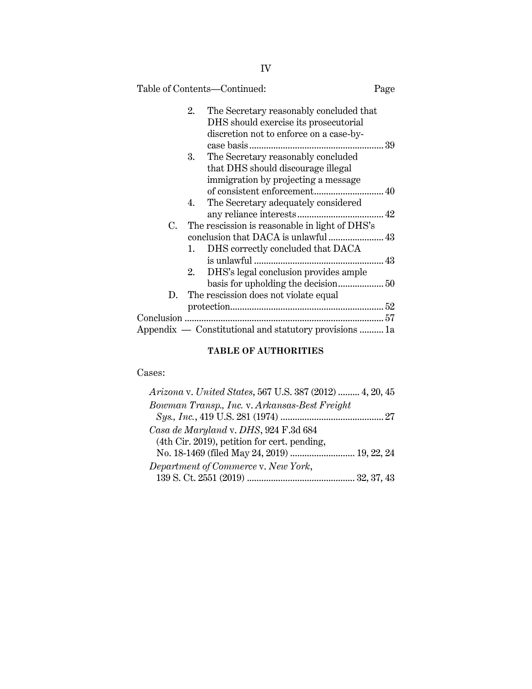|    |    | Table of Contents—Continued:                                                                              | Page |
|----|----|-----------------------------------------------------------------------------------------------------------|------|
|    | 2. | The Secretary reasonably concluded that                                                                   |      |
|    |    | DHS should exercise its prosecutorial                                                                     |      |
|    |    | discretion not to enforce on a case-by-                                                                   |      |
|    |    |                                                                                                           |      |
|    | 3. | The Secretary reasonably concluded                                                                        |      |
|    |    | that DHS should discourage illegal                                                                        |      |
|    |    | immigration by projecting a message                                                                       |      |
|    |    |                                                                                                           |      |
|    | 4. | The Secretary adequately considered                                                                       |      |
|    |    |                                                                                                           |      |
| C. |    | The rescission is reasonable in light of DHS's                                                            |      |
|    |    |                                                                                                           |      |
|    | 1. | DHS correctly concluded that DACA                                                                         |      |
|    |    |                                                                                                           |      |
|    | 2. | DHS's legal conclusion provides ample                                                                     |      |
|    |    |                                                                                                           |      |
|    |    |                                                                                                           |      |
| D. |    | The rescission does not violate equal                                                                     |      |
|    |    | $\label{eq:protection} \text{protection}.\text{}.\text{}.\text{}.\text{}.\text{}.\text{}.\text{}.\text{}$ |      |
|    |    |                                                                                                           |      |
|    |    | Appendix — Constitutional and statutory provisions  1a                                                    |      |

# **TABLE OF AUTHORITIES**

# Cases:

| Arizona v. United States, 567 U.S. 387 (2012)  4, 20, 45 |  |
|----------------------------------------------------------|--|
| Bowman Transp., Inc. v. Arkansas-Best Freight            |  |
|                                                          |  |
| Casa de Maryland v. DHS, 924 F.3d 684                    |  |
| (4th Cir. 2019), petition for cert. pending,             |  |
| No. 18-1469 (filed May 24, 2019)  19, 22, 24             |  |
| Department of Commerce v. New York,                      |  |
|                                                          |  |
|                                                          |  |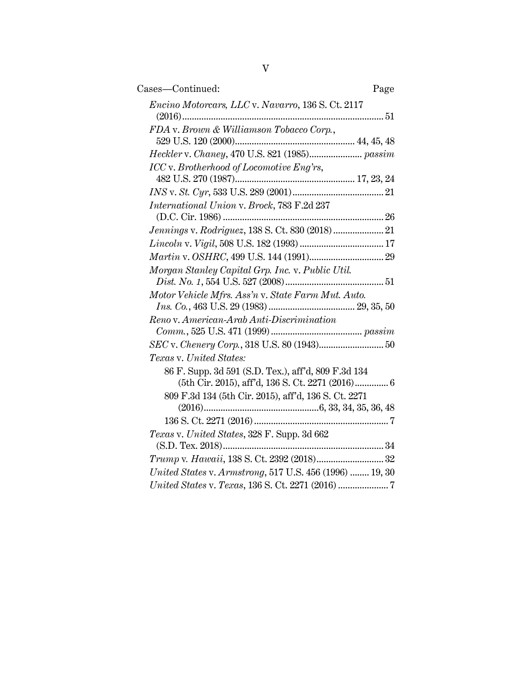| Cases-Continued:<br>Page                                |
|---------------------------------------------------------|
| Encino Motorcars, LLC v. Navarro, 136 S. Ct. 2117       |
| FDA v. Brown & Williamson Tobacco Corp.,                |
|                                                         |
| ICC v. Brotherhood of Locomotive Eng'rs,                |
|                                                         |
|                                                         |
| International Union v. Brock, 783 F.2d 237              |
|                                                         |
| Jennings v. Rodriguez, 138 S. Ct. 830 (2018)  21        |
|                                                         |
|                                                         |
| Morgan Stanley Capital Grp. Inc. v. Public Util.        |
|                                                         |
| Motor Vehicle Mfrs. Ass'n v. State Farm Mut. Auto.      |
|                                                         |
| Reno v. American-Arab Anti-Discrimination               |
|                                                         |
|                                                         |
| Texas v. United States:                                 |
| 86 F. Supp. 3d 591 (S.D. Tex.), aff'd, 809 F.3d 134     |
|                                                         |
| 809 F.3d 134 (5th Cir. 2015), aff'd, 136 S. Ct. 2271    |
|                                                         |
|                                                         |
| Texas v. United States, 328 F. Supp. 3d 662             |
|                                                         |
|                                                         |
| United States v. Armstrong, 517 U.S. 456 (1996)  19, 30 |
|                                                         |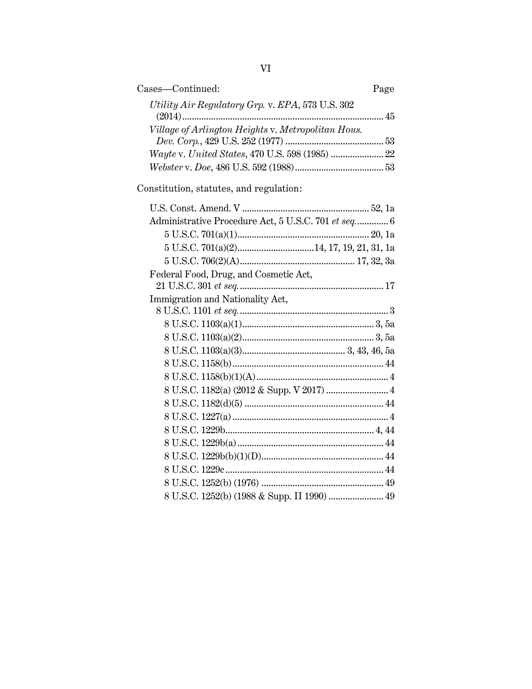| Cases-Continued:<br>Page                            |
|-----------------------------------------------------|
| Utility Air Regulatory Grp. v. EPA, 573 U.S. 302    |
| Village of Arlington Heights v. Metropolitan Hous.  |
| Wayte v. United States, 470 U.S. 598 (1985)  22     |
|                                                     |
| Constitution, statutes, and regulation:             |
|                                                     |
| Administrative Procedure Act, 5 U.S.C. 701 et seq 6 |
|                                                     |
|                                                     |
|                                                     |
| Federal Food, Drug, and Cosmetic Act,               |
| Immigration and Nationality Act,                    |
|                                                     |
|                                                     |
|                                                     |
|                                                     |
|                                                     |
|                                                     |
| 8 U.S.C. 1182(a) (2012 & Supp. V 2017)  4           |
|                                                     |
|                                                     |
|                                                     |
|                                                     |
|                                                     |
|                                                     |
|                                                     |
| 8 U.S.C. 1252(b) (1988 & Supp. II 1990)  49         |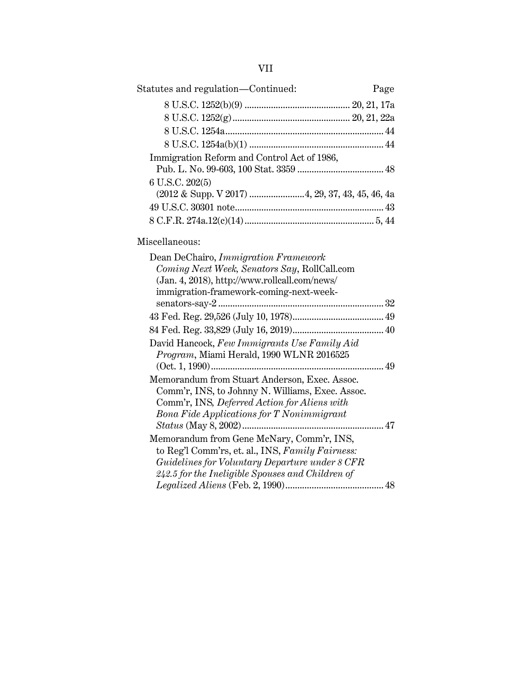| ×, |
|----|
|    |

| Statutes and regulation—Continued:                                                                 | Page |
|----------------------------------------------------------------------------------------------------|------|
|                                                                                                    |      |
|                                                                                                    |      |
|                                                                                                    |      |
|                                                                                                    |      |
| Immigration Reform and Control Act of 1986,                                                        |      |
|                                                                                                    |      |
| 6 U.S.C. 202(5)                                                                                    |      |
| (2012 & Supp. V 2017) 4, 29, 37, 43, 45, 46, 4a                                                    |      |
|                                                                                                    |      |
|                                                                                                    |      |
| Miscellaneous:                                                                                     |      |
| Dean DeChairo, Immigration Framework                                                               |      |
| Coming Next Week, Senators Say, RollCall.com                                                       |      |
| (Jan. 4, 2018), http://www.rollcall.com/news/                                                      |      |
| immigration-framework-coming-next-week-                                                            |      |
|                                                                                                    |      |
|                                                                                                    |      |
| David Hancock, Few Immigrants Use Family Aid                                                       |      |
| Program, Miami Herald, 1990 WLNR 2016525                                                           |      |
|                                                                                                    |      |
| Memorandum from Stuart Anderson, Exec. Assoc.                                                      |      |
| Comm'r, INS, to Johnny N. Williams, Exec. Assoc.                                                   |      |
| Comm'r, INS, Deferred Action for Aliens with                                                       |      |
| Bona Fide Applications for T Nonimmigrant                                                          |      |
|                                                                                                    |      |
| Memorandum from Gene McNary, Comm'r, INS,                                                          |      |
| to Reg'l Comm'rs, et. al., INS, Family Fairness:                                                   |      |
| Guidelines for Voluntary Departure under 8 CFR<br>242.5 for the Ineligible Spouses and Children of |      |
|                                                                                                    |      |
|                                                                                                    |      |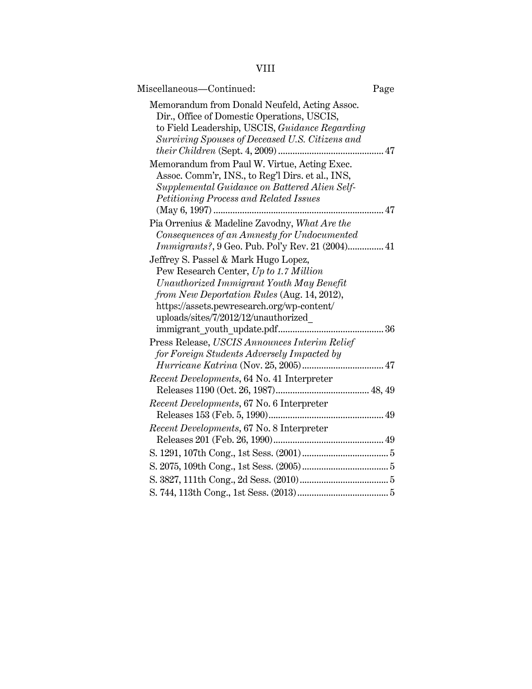|--|

| Miscellaneous—Continued:                                                                                                                                                                          | Page |
|---------------------------------------------------------------------------------------------------------------------------------------------------------------------------------------------------|------|
| Memorandum from Donald Neufeld, Acting Assoc.<br>Dir., Office of Domestic Operations, USCIS,<br>to Field Leadership, USCIS, Guidance Regarding<br>Surviving Spouses of Deceased U.S. Citizens and |      |
| Memorandum from Paul W. Virtue, Acting Exec.<br>Assoc. Comm'r, INS., to Reg'l Dirs. et al., INS,<br>Supplemental Guidance on Battered Alien Self-<br>Petitioning Process and Related Issues       |      |
| Pia Orrenius & Madeline Zavodny, What Are the                                                                                                                                                     |      |
| Consequences of an Amnesty for Undocumented                                                                                                                                                       |      |
| <i>Immigrants?</i> , 9 Geo. Pub. Pol'y Rev. 21 (2004) 41                                                                                                                                          |      |
| Jeffrey S. Passel & Mark Hugo Lopez,                                                                                                                                                              |      |
| Pew Research Center, Up to 1.7 Million                                                                                                                                                            |      |
| Unauthorized Immigrant Youth May Benefit                                                                                                                                                          |      |
| from New Deportation Rules (Aug. 14, 2012),                                                                                                                                                       |      |
| https://assets.pewresearch.org/wp-content/                                                                                                                                                        |      |
| uploads/sites/7/2012/12/unauthorized                                                                                                                                                              |      |
|                                                                                                                                                                                                   |      |
| Press Release, USCIS Announces Interim Relief<br>for Foreign Students Adversely Impacted by                                                                                                       |      |
|                                                                                                                                                                                                   |      |
| Recent Developments, 64 No. 41 Interpreter                                                                                                                                                        |      |
|                                                                                                                                                                                                   |      |
| Recent Developments, 67 No. 6 Interpreter                                                                                                                                                         |      |
|                                                                                                                                                                                                   |      |
| Recent Developments, 67 No. 8 Interpreter                                                                                                                                                         |      |
|                                                                                                                                                                                                   |      |
|                                                                                                                                                                                                   |      |
|                                                                                                                                                                                                   |      |
|                                                                                                                                                                                                   |      |
|                                                                                                                                                                                                   |      |
|                                                                                                                                                                                                   |      |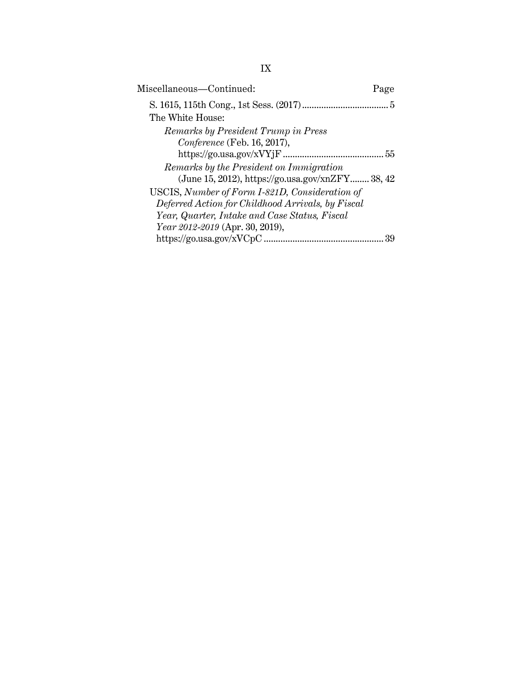| Miscellaneous—Continued:                          | Page |
|---------------------------------------------------|------|
|                                                   |      |
| The White House:                                  |      |
| Remarks by President Trump in Press               |      |
| Conference (Feb. 16, 2017),                       |      |
|                                                   |      |
| Remarks by the President on Immigration           |      |
| (June 15, 2012), https://go.usa.gov/xnZFY 38, 42  |      |
| USCIS, Number of Form I-821D, Consideration of    |      |
| Deferred Action for Childhood Arrivals, by Fiscal |      |
| Year, Quarter, Intake and Case Status, Fiscal     |      |
| Year 2012-2019 (Apr. 30, 2019),                   |      |
|                                                   |      |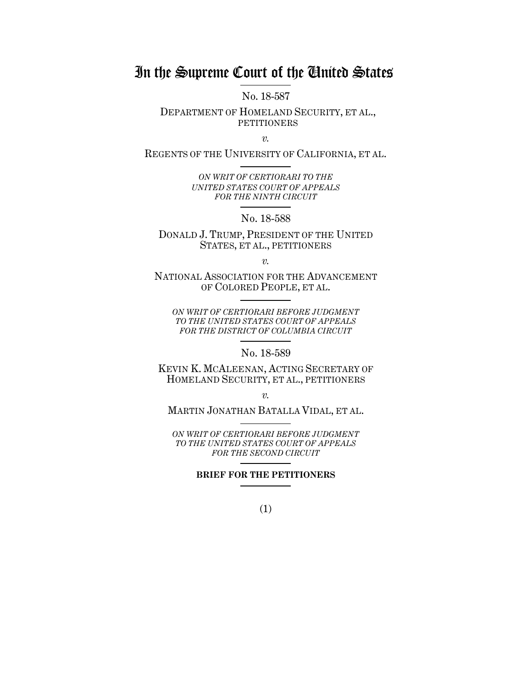# In the Supreme Court of the United States

No. 18-587

DEPARTMENT OF HOMELAND SECURITY, ET AL., **PETITIONERS** 

*v.*

REGENTS OF THE UNIVERSITY OF CALIFORNIA, ET AL.

*ON WRIT OF CERTIORARI TO THE UNITED STATES COURT OF APPEALS FOR THE NINTH CIRCUIT*

No. 18-588

DONALD J. TRUMP, PRESIDENT OF THE UNITED STATES, ET AL., PETITIONERS

*v.*

NATIONAL ASSOCIATION FOR THE ADVANCEMENT OF COLORED PEOPLE, ET AL.

*ON WRIT OF CERTIORARI BEFORE JUDGMENT TO THE UNITED STATES COURT OF APPEALS FOR THE DISTRICT OF COLUMBIA CIRCUIT*

No. 18-589

KEVIN K. MCALEENAN, ACTING SECRETARY OF HOMELAND SECURITY, ET AL., PETITIONERS

*v.*

MARTIN JONATHAN BATALLA VIDAL, ET AL.

*ON WRIT OF CERTIORARI BEFORE JUDGMENT TO THE UNITED STATES COURT OF APPEALS FOR THE SECOND CIRCUIT*

**BRIEF FOR THE PETITIONERS**

(1)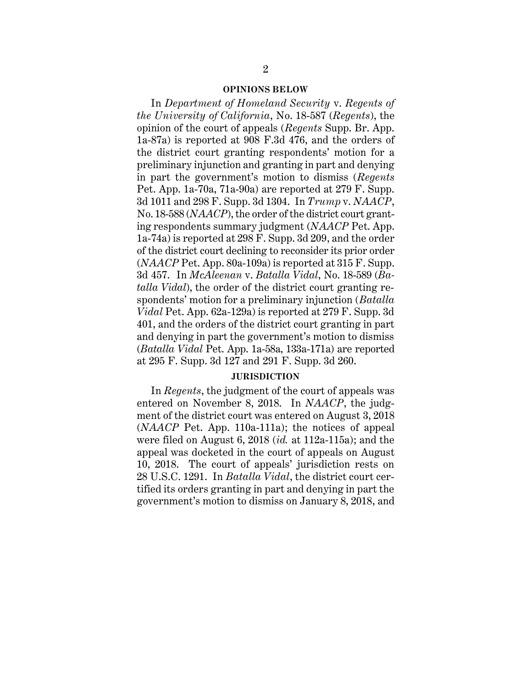#### **OPINIONS BELOW**

In *Department of Homeland Security* v. *Regents of the University of California*, No. 18-587 (*Regents*), the opinion of the court of appeals (*Regents* Supp. Br. App. 1a-87a) is reported at 908 F.3d 476, and the orders of the district court granting respondents' motion for a preliminary injunction and granting in part and denying in part the government's motion to dismiss (*Regents*  Pet. App. 1a-70a, 71a-90a) are reported at 279 F. Supp. 3d 1011 and 298 F. Supp. 3d 1304. In *Trump* v. *NAACP*, No. 18-588 (*NAACP*), the order of the district court granting respondents summary judgment (*NAACP* Pet. App. 1a-74a) is reported at 298 F. Supp. 3d 209, and the order of the district court declining to reconsider its prior order (*NAACP* Pet. App. 80a-109a) is reported at 315 F. Supp. 3d 457. In *McAleenan* v. *Batalla Vidal*, No. 18-589 (*Batalla Vidal*), the order of the district court granting respondents' motion for a preliminary injunction (*Batalla Vidal* Pet. App. 62a-129a) is reported at 279 F. Supp. 3d 401, and the orders of the district court granting in part and denying in part the government's motion to dismiss (*Batalla Vidal* Pet. App. 1a-58a, 133a-171a) are reported at 295 F. Supp. 3d 127 and 291 F. Supp. 3d 260.

#### **JURISDICTION**

In *Regents*, the judgment of the court of appeals was entered on November 8, 2018. In *NAACP*, the judgment of the district court was entered on August 3, 2018 (*NAACP* Pet. App. 110a-111a); the notices of appeal were filed on August 6, 2018 (*id.* at 112a-115a); and the appeal was docketed in the court of appeals on August 10, 2018. The court of appeals' jurisdiction rests on 28 U.S.C. 1291. In *Batalla Vidal*, the district court certified its orders granting in part and denying in part the government's motion to dismiss on January 8, 2018, and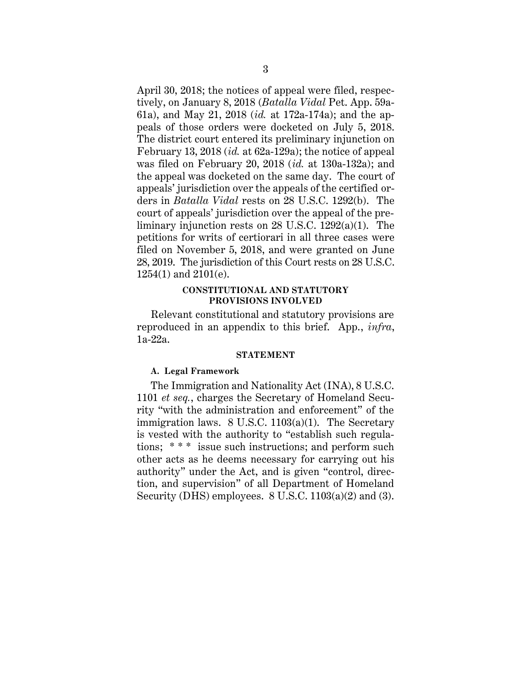April 30, 2018; the notices of appeal were filed, respectively, on January 8, 2018 (*Batalla Vidal* Pet. App. 59a-61a), and May 21, 2018 (*id.* at 172a-174a); and the appeals of those orders were docketed on July 5, 2018. The district court entered its preliminary injunction on February 13, 2018 (*id.* at 62a-129a); the notice of appeal was filed on February 20, 2018 (*id.* at 130a-132a); and the appeal was docketed on the same day. The court of appeals' jurisdiction over the appeals of the certified orders in *Batalla Vidal* rests on 28 U.S.C. 1292(b). The court of appeals' jurisdiction over the appeal of the preliminary injunction rests on 28 U.S.C. 1292(a)(1). The petitions for writs of certiorari in all three cases were filed on November 5, 2018, and were granted on June 28, 2019. The jurisdiction of this Court rests on 28 U.S.C. 1254(1) and 2101(e).

#### **CONSTITUTIONAL AND STATUTORY PROVISIONS INVOLVED**

Relevant constitutional and statutory provisions are reproduced in an appendix to this brief. App., *infra*, 1a-22a.

#### **STATEMENT**

#### **A. Legal Framework**

The Immigration and Nationality Act (INA), 8 U.S.C. 1101 *et seq.*, charges the Secretary of Homeland Security "with the administration and enforcement" of the immigration laws.  $8 \text{ U.S.C. } 1103(a)(1)$ . The Secretary is vested with the authority to "establish such regulations; \* \* \* issue such instructions; and perform such other acts as he deems necessary for carrying out his authority" under the Act, and is given "control, direction, and supervision" of all Department of Homeland Security (DHS) employees. 8 U.S.C. 1103(a)(2) and (3).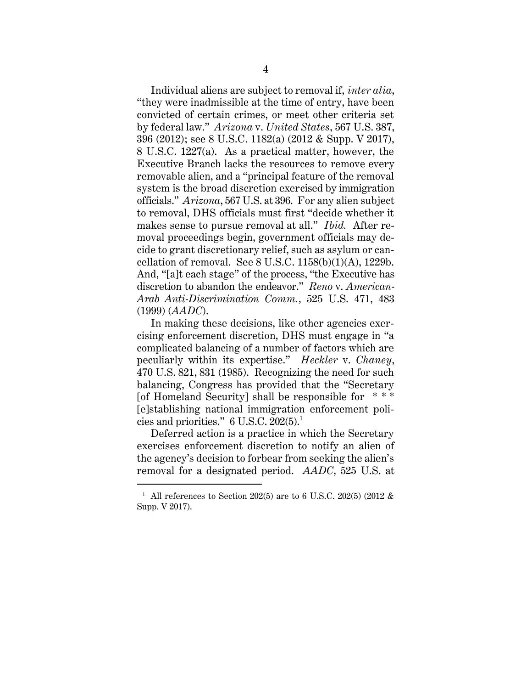Individual aliens are subject to removal if, *inter alia*, "they were inadmissible at the time of entry, have been convicted of certain crimes, or meet other criteria set by federal law." *Arizona* v. *United States*, 567 U.S. 387, 396 (2012); see 8 U.S.C. 1182(a) (2012 & Supp. V 2017), 8 U.S.C. 1227(a). As a practical matter, however, the Executive Branch lacks the resources to remove every removable alien, and a "principal feature of the removal system is the broad discretion exercised by immigration officials." *Arizona*, 567 U.S. at 396. For any alien subject to removal, DHS officials must first "decide whether it makes sense to pursue removal at all." *Ibid.* After removal proceedings begin, government officials may decide to grant discretionary relief, such as asylum or cancellation of removal. See  $8$  U.S.C.  $1158(b)(1)(A)$ ,  $1229b$ . And, "[a]t each stage" of the process, "the Executive has discretion to abandon the endeavor." *Reno* v. *American-Arab Anti-Discrimination Comm.*, 525 U.S. 471, 483 (1999) (*AADC*).

In making these decisions, like other agencies exercising enforcement discretion, DHS must engage in "a complicated balancing of a number of factors which are peculiarly within its expertise." *Heckler* v. *Chaney*, 470 U.S. 821, 831 (1985). Recognizing the need for such balancing, Congress has provided that the "Secretary [of Homeland Security] shall be responsible for  $***$ [e]stablishing national immigration enforcement policies and priorities."  $6$  U.S.C.  $202(5)$ .<sup>1</sup>

Deferred action is a practice in which the Secretary exercises enforcement discretion to notify an alien of the agency's decision to forbear from seeking the alien's removal for a designated period. *AADC*, 525 U.S. at

 $\overline{a}$ 

<sup>&</sup>lt;sup>1</sup> All references to Section 202(5) are to 6 U.S.C. 202(5) (2012  $\&$ Supp. V 2017).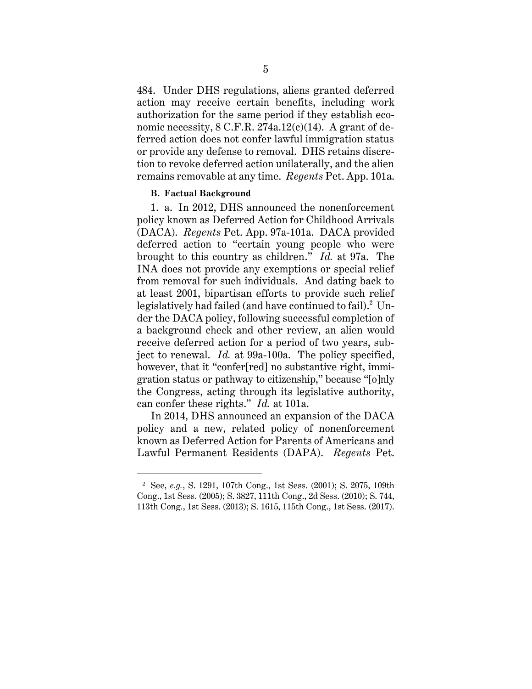484. Under DHS regulations, aliens granted deferred action may receive certain benefits, including work authorization for the same period if they establish economic necessity,  $8 \text{ C.F.R. } 274a.12(c)(14)$ . A grant of deferred action does not confer lawful immigration status or provide any defense to removal. DHS retains discretion to revoke deferred action unilaterally, and the alien remains removable at any time. *Regents* Pet. App. 101a.

#### **B. Factual Background**

 $\overline{a}$ 

1. a. In 2012, DHS announced the nonenforcement policy known as Deferred Action for Childhood Arrivals (DACA). *Regents* Pet. App. 97a-101a. DACA provided deferred action to "certain young people who were brought to this country as children." *Id.* at 97a. The INA does not provide any exemptions or special relief from removal for such individuals. And dating back to at least 2001, bipartisan efforts to provide such relief legislatively had failed (and have continued to fail).<sup>2</sup> Under the DACA policy, following successful completion of a background check and other review, an alien would receive deferred action for a period of two years, subject to renewal. *Id.* at 99a-100a. The policy specified, however, that it "confer[red] no substantive right, immigration status or pathway to citizenship," because "[o]nly the Congress, acting through its legislative authority, can confer these rights." *Id.* at 101a.

In 2014, DHS announced an expansion of the DACA policy and a new, related policy of nonenforcement known as Deferred Action for Parents of Americans and Lawful Permanent Residents (DAPA). *Regents* Pet.

<sup>2</sup> See, *e.g.*, S. 1291, 107th Cong., 1st Sess. (2001); S. 2075, 109th Cong., 1st Sess. (2005); S. 3827, 111th Cong., 2d Sess. (2010); S. 744, 113th Cong., 1st Sess. (2013); S. 1615, 115th Cong., 1st Sess. (2017).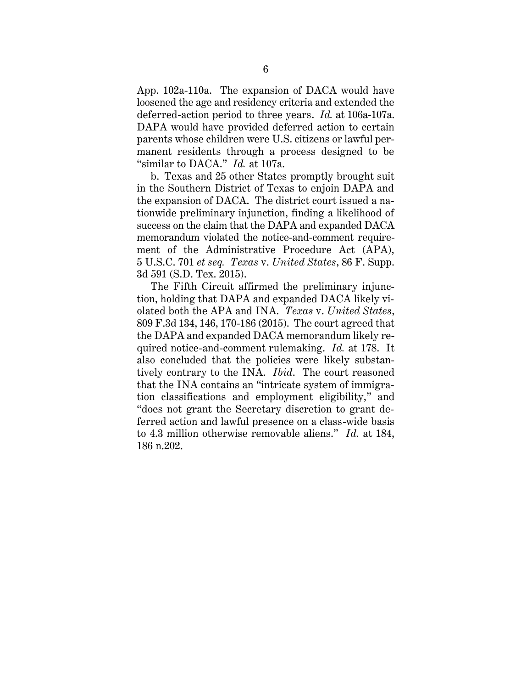App. 102a-110a. The expansion of DACA would have loosened the age and residency criteria and extended the deferred-action period to three years. *Id.* at 106a-107a. DAPA would have provided deferred action to certain parents whose children were U.S. citizens or lawful permanent residents through a process designed to be "similar to DACA." *Id.* at 107a.

b. Texas and 25 other States promptly brought suit in the Southern District of Texas to enjoin DAPA and the expansion of DACA. The district court issued a nationwide preliminary injunction, finding a likelihood of success on the claim that the DAPA and expanded DACA memorandum violated the notice-and-comment requirement of the Administrative Procedure Act (APA), 5 U.S.C. 701 *et seq. Texas* v. *United States*, 86 F. Supp. 3d 591 (S.D. Tex. 2015).

The Fifth Circuit affirmed the preliminary injunction, holding that DAPA and expanded DACA likely violated both the APA and INA. *Texas* v. *United States*, 809 F.3d 134, 146, 170-186 (2015). The court agreed that the DAPA and expanded DACA memorandum likely required notice-and-comment rulemaking. *Id.* at 178. It also concluded that the policies were likely substantively contrary to the INA. *Ibid*. The court reasoned that the INA contains an "intricate system of immigration classifications and employment eligibility," and "does not grant the Secretary discretion to grant deferred action and lawful presence on a class-wide basis to 4.3 million otherwise removable aliens." *Id.* at 184, 186 n.202.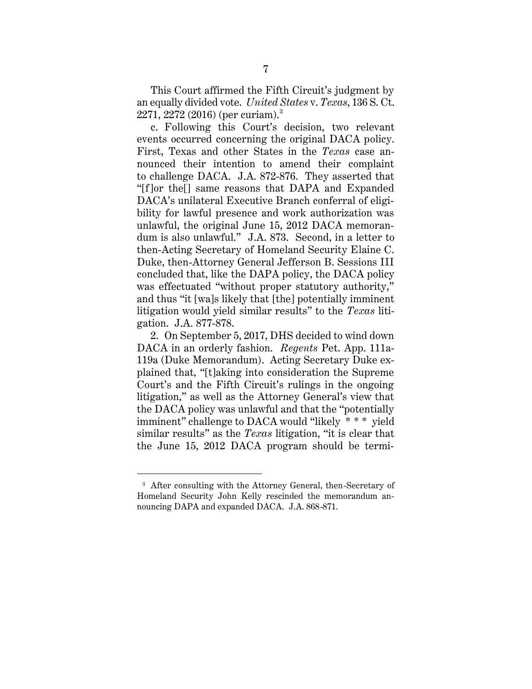This Court affirmed the Fifth Circuit's judgment by an equally divided vote. *United States* v. *Texas*, 136 S. Ct. 2271, 2272 (2016) (per curiam). $^3$ 

c. Following this Court's decision, two relevant events occurred concerning the original DACA policy. First, Texas and other States in the *Texas* case announced their intention to amend their complaint to challenge DACA. J.A. 872-876. They asserted that "[f]or the[] same reasons that DAPA and Expanded DACA's unilateral Executive Branch conferral of eligibility for lawful presence and work authorization was unlawful, the original June 15, 2012 DACA memorandum is also unlawful." J.A. 873. Second, in a letter to then-Acting Secretary of Homeland Security Elaine C. Duke, then-Attorney General Jefferson B. Sessions III concluded that, like the DAPA policy, the DACA policy was effectuated "without proper statutory authority," and thus "it [wa]s likely that [the] potentially imminent litigation would yield similar results" to the *Texas* litigation. J.A. 877-878.

2. On September 5, 2017, DHS decided to wind down DACA in an orderly fashion. *Regents* Pet. App. 111a-119a (Duke Memorandum). Acting Secretary Duke explained that, "[t]aking into consideration the Supreme Court's and the Fifth Circuit's rulings in the ongoing litigation," as well as the Attorney General's view that the DACA policy was unlawful and that the "potentially imminent" challenge to DACA would "likely \* \* \* yield similar results" as the *Texas* litigation, "it is clear that the June 15, 2012 DACA program should be termi-

 $\overline{a}$ 

<sup>3</sup> After consulting with the Attorney General, then-Secretary of Homeland Security John Kelly rescinded the memorandum announcing DAPA and expanded DACA. J.A. 868-871.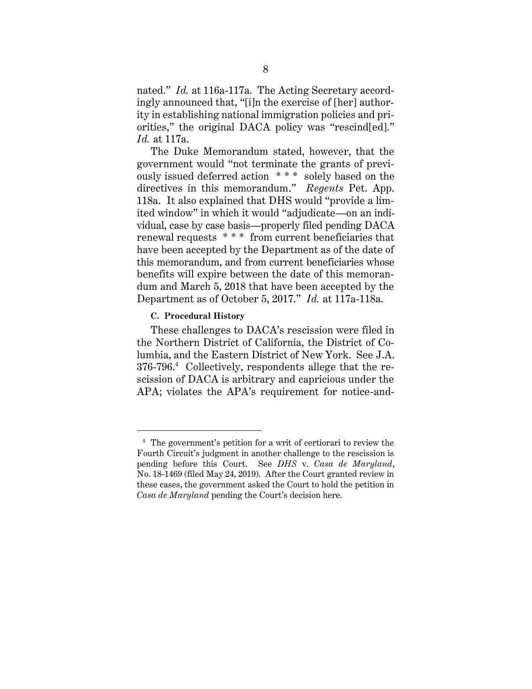nated." *Id.* at 116a-117a. The Acting Secretary accordingly announced that, "[i]n the exercise of [her] authority in establishing national immigration policies and priorities," the original DACA policy was "rescind[ed]." *Id.* at 117a.

The Duke Memorandum stated, however, that the government would "not terminate the grants of previously issued deferred action \* \* \* solely based on the directives in this memorandum." *Regents* Pet. App. 118a. It also explained that DHS would "provide a limited window" in which it would "adjudicate—on an individual, case by case basis—properly filed pending DACA renewal requests \* \* \* from current beneficiaries that have been accepted by the Department as of the date of this memorandum, and from current beneficiaries whose benefits will expire between the date of this memorandum and March 5, 2018 that have been accepted by the Department as of October 5, 2017." *Id.* at 117a-118a.

### **C. Procedural History**

 $\overline{a}$ 

These challenges to DACA's rescission were filed in the Northern District of California, the District of Columbia, and the Eastern District of New York. See J.A. 376-796. 4 Collectively, respondents allege that the rescission of DACA is arbitrary and capricious under the APA; violates the APA's requirement for notice-and-

<sup>4</sup> The government's petition for a writ of certiorari to review the Fourth Circuit's judgment in another challenge to the rescission is pending before this Court. See *DHS* v. *Casa de Maryland*, No. 18-1469 (filed May 24, 2019). After the Court granted review in these cases, the government asked the Court to hold the petition in *Casa de Maryland* pending the Court's decision here.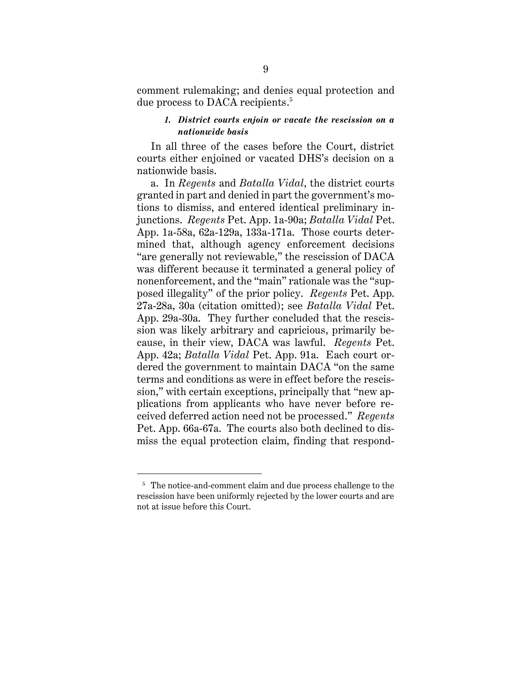comment rulemaking; and denies equal protection and due process to DACA recipients. 5

# *1. District courts enjoin or vacate the rescission on a nationwide basis*

In all three of the cases before the Court, district courts either enjoined or vacated DHS's decision on a nationwide basis.

a. In *Regents* and *Batalla Vidal*, the district courts granted in part and denied in part the government's motions to dismiss, and entered identical preliminary injunctions. *Regents* Pet. App. 1a-90a; *Batalla Vidal* Pet. App. 1a-58a, 62a-129a, 133a-171a. Those courts determined that, although agency enforcement decisions "are generally not reviewable," the rescission of DACA was different because it terminated a general policy of nonenforcement, and the "main" rationale was the "supposed illegality" of the prior policy. *Regents* Pet. App. 27a-28a, 30a (citation omitted); see *Batalla Vidal* Pet. App. 29a-30a. They further concluded that the rescission was likely arbitrary and capricious, primarily because, in their view, DACA was lawful. *Regents* Pet. App. 42a; *Batalla Vidal* Pet. App. 91a. Each court ordered the government to maintain DACA "on the same terms and conditions as were in effect before the rescission," with certain exceptions, principally that "new applications from applicants who have never before received deferred action need not be processed." *Regents*  Pet. App. 66a-67a. The courts also both declined to dismiss the equal protection claim, finding that respond-

 $\overline{a}$ 

<sup>&</sup>lt;sup>5</sup> The notice-and-comment claim and due process challenge to the rescission have been uniformly rejected by the lower courts and are not at issue before this Court.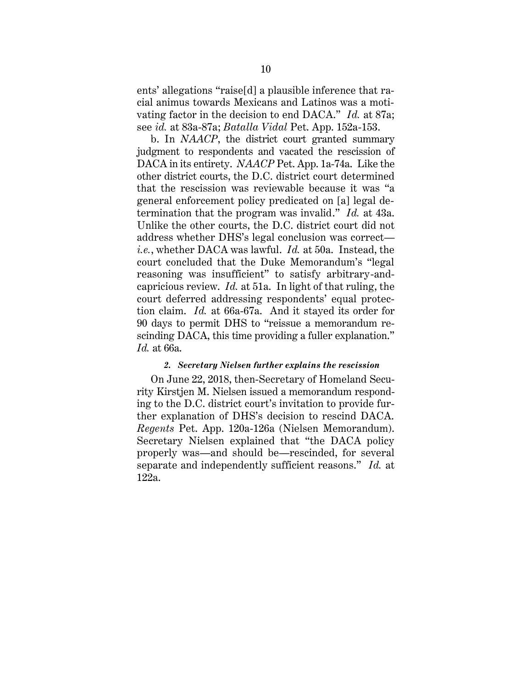ents' allegations "raise[d] a plausible inference that racial animus towards Mexicans and Latinos was a motivating factor in the decision to end DACA." *Id.* at 87a; see *id.* at 83a-87a; *Batalla Vidal* Pet. App. 152a-153.

b. In *NAACP*, the district court granted summary judgment to respondents and vacated the rescission of DACA in its entirety. *NAACP* Pet. App. 1a-74a. Like the other district courts, the D.C. district court determined that the rescission was reviewable because it was "a general enforcement policy predicated on [a] legal determination that the program was invalid." *Id.* at 43a. Unlike the other courts, the D.C. district court did not address whether DHS's legal conclusion was correct *i.e.*, whether DACA was lawful. *Id.* at 50a. Instead, the court concluded that the Duke Memorandum's "legal reasoning was insufficient" to satisfy arbitrary-andcapricious review. *Id.* at 51a. In light of that ruling, the court deferred addressing respondents' equal protection claim. *Id.* at 66a-67a. And it stayed its order for 90 days to permit DHS to "reissue a memorandum rescinding DACA, this time providing a fuller explanation." *Id.* at 66a.

#### *2. Secretary Nielsen further explains the rescission*

On June 22, 2018, then-Secretary of Homeland Security Kirstjen M. Nielsen issued a memorandum responding to the D.C. district court's invitation to provide further explanation of DHS's decision to rescind DACA. *Regents* Pet. App. 120a-126a (Nielsen Memorandum). Secretary Nielsen explained that "the DACA policy properly was—and should be—rescinded, for several separate and independently sufficient reasons." *Id.* at 122a.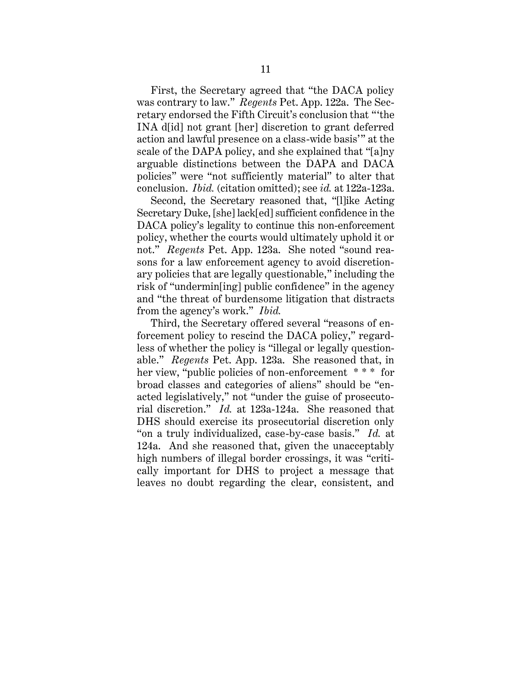First, the Secretary agreed that "the DACA policy was contrary to law." *Regents* Pet. App. 122a. The Secretary endorsed the Fifth Circuit's conclusion that "'the INA d[id] not grant [her] discretion to grant deferred action and lawful presence on a class-wide basis'" at the scale of the DAPA policy, and she explained that "[a]ny arguable distinctions between the DAPA and DACA policies" were "not sufficiently material" to alter that conclusion. *Ibid.* (citation omitted); see *id.* at 122a-123a.

Second, the Secretary reasoned that, "[l]ike Acting Secretary Duke, [she] lack[ed] sufficient confidence in the DACA policy's legality to continue this non-enforcement policy, whether the courts would ultimately uphold it or not." *Regents* Pet. App. 123a. She noted "sound reasons for a law enforcement agency to avoid discretionary policies that are legally questionable," including the risk of "undermin[ing] public confidence" in the agency and "the threat of burdensome litigation that distracts from the agency's work." *Ibid.*

Third, the Secretary offered several "reasons of enforcement policy to rescind the DACA policy," regardless of whether the policy is "illegal or legally questionable." *Regents* Pet. App. 123a. She reasoned that, in her view, "public policies of non-enforcement \* \* \* for broad classes and categories of aliens" should be "enacted legislatively," not "under the guise of prosecutorial discretion." *Id.* at 123a-124a. She reasoned that DHS should exercise its prosecutorial discretion only "on a truly individualized, case-by-case basis." *Id.* at 124a. And she reasoned that, given the unacceptably high numbers of illegal border crossings, it was "critically important for DHS to project a message that leaves no doubt regarding the clear, consistent, and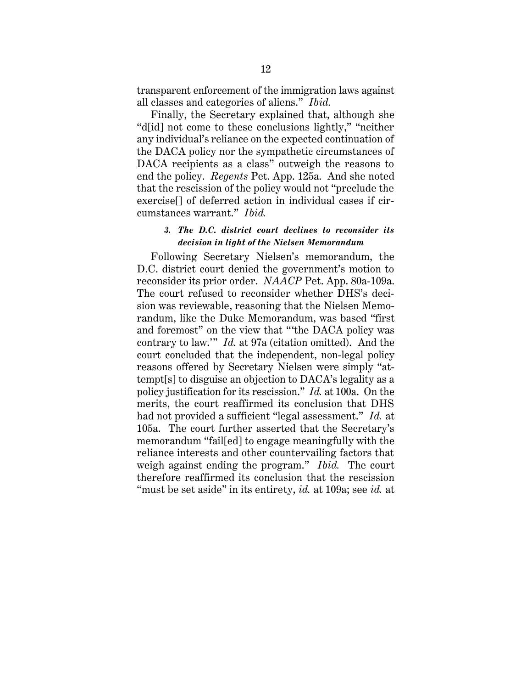transparent enforcement of the immigration laws against all classes and categories of aliens." *Ibid.*

Finally, the Secretary explained that, although she "d[id] not come to these conclusions lightly," "neither any individual's reliance on the expected continuation of the DACA policy nor the sympathetic circumstances of DACA recipients as a class" outweigh the reasons to end the policy. *Regents* Pet. App. 125a. And she noted that the rescission of the policy would not "preclude the exercise[] of deferred action in individual cases if circumstances warrant." *Ibid.*

## *3. The D.C. district court declines to reconsider its decision in light of the Nielsen Memorandum*

Following Secretary Nielsen's memorandum, the D.C. district court denied the government's motion to reconsider its prior order. *NAACP* Pet. App. 80a-109a. The court refused to reconsider whether DHS's decision was reviewable, reasoning that the Nielsen Memorandum, like the Duke Memorandum, was based "first and foremost" on the view that "'the DACA policy was contrary to law.'" *Id.* at 97a (citation omitted). And the court concluded that the independent, non-legal policy reasons offered by Secretary Nielsen were simply "attempt[s] to disguise an objection to DACA's legality as a policy justification for its rescission." *Id.* at 100a. On the merits, the court reaffirmed its conclusion that DHS had not provided a sufficient "legal assessment." *Id.* at 105a. The court further asserted that the Secretary's memorandum "fail[ed] to engage meaningfully with the reliance interests and other countervailing factors that weigh against ending the program." *Ibid.* The court therefore reaffirmed its conclusion that the rescission "must be set aside" in its entirety, *id.* at 109a; see *id.* at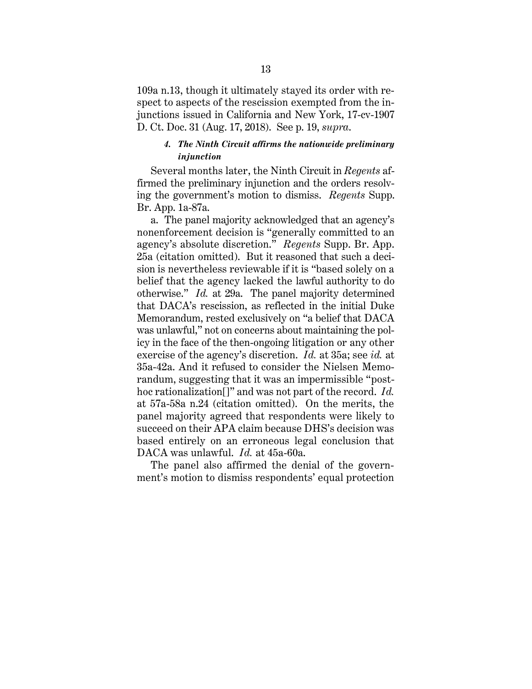109a n.13, though it ultimately stayed its order with respect to aspects of the rescission exempted from the injunctions issued in California and New York, 17-cv-1907 D. Ct. Doc. 31 (Aug. 17, 2018). See p. 19, *supra*.

### *4. The Ninth Circuit affirms the nationwide preliminary injunction*

Several months later, the Ninth Circuit in *Regents* affirmed the preliminary injunction and the orders resolving the government's motion to dismiss. *Regents* Supp. Br. App. 1a-87a.

a. The panel majority acknowledged that an agency's nonenforcement decision is "generally committed to an agency's absolute discretion." *Regents* Supp. Br. App. 25a (citation omitted). But it reasoned that such a decision is nevertheless reviewable if it is "based solely on a belief that the agency lacked the lawful authority to do otherwise." *Id.* at 29a. The panel majority determined that DACA's rescission, as reflected in the initial Duke Memorandum, rested exclusively on "a belief that DACA was unlawful," not on concerns about maintaining the policy in the face of the then-ongoing litigation or any other exercise of the agency's discretion. *Id.* at 35a; see *id.* at 35a-42a. And it refused to consider the Nielsen Memorandum, suggesting that it was an impermissible "posthoc rationalization[]" and was not part of the record. *Id.* at 57a-58a n.24 (citation omitted). On the merits, the panel majority agreed that respondents were likely to succeed on their APA claim because DHS's decision was based entirely on an erroneous legal conclusion that DACA was unlawful. *Id.* at 45a-60a.

The panel also affirmed the denial of the government's motion to dismiss respondents' equal protection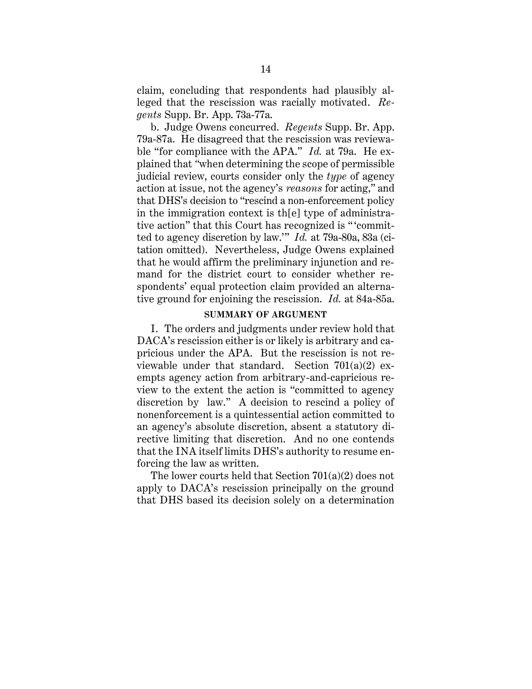claim, concluding that respondents had plausibly alleged that the rescission was racially motivated. *Regents* Supp. Br. App. 73a-77a.

b. Judge Owens concurred. *Regents* Supp. Br. App. 79a-87a. He disagreed that the rescission was reviewable "for compliance with the APA." *Id.* at 79a. He explained that *"*when determining the scope of permissible judicial review, courts consider only the *type* of agency action at issue, not the agency's *reasons* for acting," and that DHS's decision to "rescind a non-enforcement policy in the immigration context is th[e] type of administrative action" that this Court has recognized is " 'committed to agency discretion by law.'" *Id.* at 79a-80a, 83a (citation omitted). Nevertheless, Judge Owens explained that he would affirm the preliminary injunction and remand for the district court to consider whether respondents' equal protection claim provided an alternative ground for enjoining the rescission. *Id.* at 84a-85a.

#### **SUMMARY OF ARGUMENT**

I. The orders and judgments under review hold that DACA's rescission either is or likely is arbitrary and capricious under the APA. But the rescission is not reviewable under that standard. Section  $701(a)(2)$  exempts agency action from arbitrary-and-capricious review to the extent the action is "committed to agency discretion by law." A decision to rescind a policy of nonenforcement is a quintessential action committed to an agency's absolute discretion, absent a statutory directive limiting that discretion. And no one contends that the INA itself limits DHS's authority to resume enforcing the law as written.

The lower courts held that Section 701(a)(2) does not apply to DACA's rescission principally on the ground that DHS based its decision solely on a determination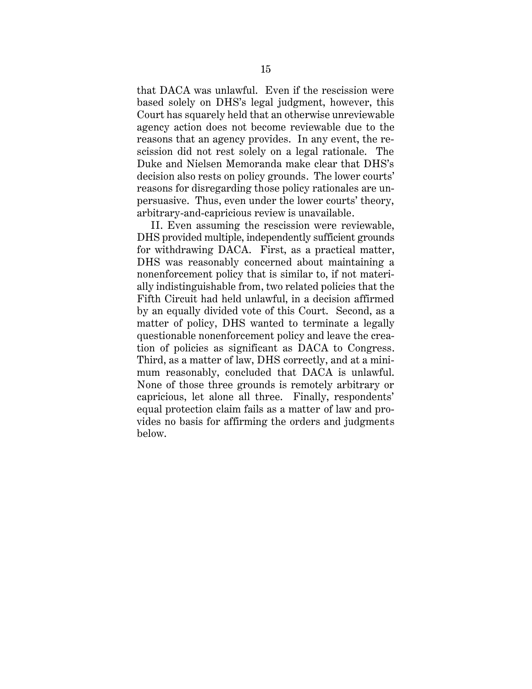that DACA was unlawful. Even if the rescission were based solely on DHS's legal judgment, however, this Court has squarely held that an otherwise unreviewable agency action does not become reviewable due to the reasons that an agency provides. In any event, the rescission did not rest solely on a legal rationale. The Duke and Nielsen Memoranda make clear that DHS's decision also rests on policy grounds. The lower courts' reasons for disregarding those policy rationales are unpersuasive. Thus, even under the lower courts' theory, arbitrary-and-capricious review is unavailable.

II. Even assuming the rescission were reviewable, DHS provided multiple, independently sufficient grounds for withdrawing DACA. First, as a practical matter, DHS was reasonably concerned about maintaining a nonenforcement policy that is similar to, if not materially indistinguishable from, two related policies that the Fifth Circuit had held unlawful, in a decision affirmed by an equally divided vote of this Court. Second, as a matter of policy, DHS wanted to terminate a legally questionable nonenforcement policy and leave the creation of policies as significant as DACA to Congress. Third, as a matter of law, DHS correctly, and at a minimum reasonably, concluded that DACA is unlawful. None of those three grounds is remotely arbitrary or capricious, let alone all three. Finally, respondents' equal protection claim fails as a matter of law and provides no basis for affirming the orders and judgments below.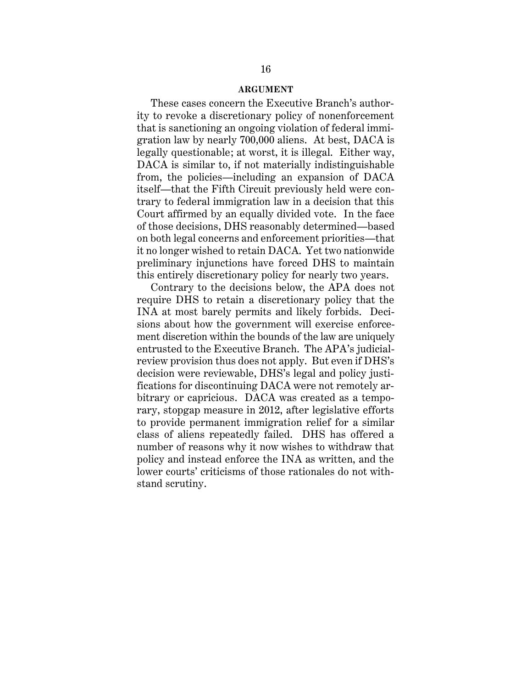#### **ARGUMENT**

These cases concern the Executive Branch's authority to revoke a discretionary policy of nonenforcement that is sanctioning an ongoing violation of federal immigration law by nearly 700,000 aliens. At best, DACA is legally questionable; at worst, it is illegal. Either way, DACA is similar to, if not materially indistinguishable from, the policies—including an expansion of DACA itself—that the Fifth Circuit previously held were contrary to federal immigration law in a decision that this Court affirmed by an equally divided vote. In the face of those decisions, DHS reasonably determined—based on both legal concerns and enforcement priorities—that it no longer wished to retain DACA. Yet two nationwide preliminary injunctions have forced DHS to maintain this entirely discretionary policy for nearly two years.

Contrary to the decisions below, the APA does not require DHS to retain a discretionary policy that the INA at most barely permits and likely forbids. Decisions about how the government will exercise enforcement discretion within the bounds of the law are uniquely entrusted to the Executive Branch. The APA's judicialreview provision thus does not apply. But even if DHS's decision were reviewable, DHS's legal and policy justifications for discontinuing DACA were not remotely arbitrary or capricious. DACA was created as a temporary, stopgap measure in 2012, after legislative efforts to provide permanent immigration relief for a similar class of aliens repeatedly failed. DHS has offered a number of reasons why it now wishes to withdraw that policy and instead enforce the INA as written, and the lower courts' criticisms of those rationales do not withstand scrutiny.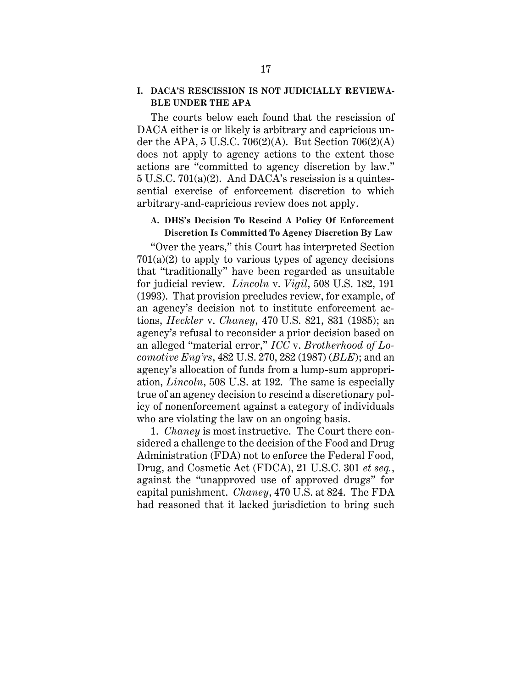# **I. DACA'S RESCISSION IS NOT JUDICIALLY REVIEWA-BLE UNDER THE APA**

The courts below each found that the rescission of DACA either is or likely is arbitrary and capricious under the APA,  $5$  U.S.C. 706(2)(A). But Section 706(2)(A) does not apply to agency actions to the extent those actions are "committed to agency discretion by law." 5 U.S.C. 701(a)(2). And DACA's rescission is a quintessential exercise of enforcement discretion to which arbitrary-and-capricious review does not apply.

# **A. DHS's Decision To Rescind A Policy Of Enforcement Discretion Is Committed To Agency Discretion By Law**

"Over the years," this Court has interpreted Section  $701(a)(2)$  to apply to various types of agency decisions that "traditionally" have been regarded as unsuitable for judicial review. *Lincoln* v. *Vigil*, 508 U.S. 182, 191 (1993). That provision precludes review, for example, of an agency's decision not to institute enforcement actions, *Heckler* v. *Chaney*, 470 U.S. 821, 831 (1985); an agency's refusal to reconsider a prior decision based on an alleged "material error," *ICC* v. *Brotherhood of Locomotive Eng'rs*, 482 U.S. 270, 282 (1987) (*BLE*); and an agency's allocation of funds from a lump-sum appropriation, *Lincoln*, 508 U.S. at 192. The same is especially true of an agency decision to rescind a discretionary policy of nonenforcement against a category of individuals who are violating the law on an ongoing basis.

1. *Chaney* is most instructive. The Court there considered a challenge to the decision of the Food and Drug Administration (FDA) not to enforce the Federal Food, Drug, and Cosmetic Act (FDCA), 21 U.S.C. 301 *et seq.*, against the "unapproved use of approved drugs" for capital punishment. *Chaney*, 470 U.S. at 824. The FDA had reasoned that it lacked jurisdiction to bring such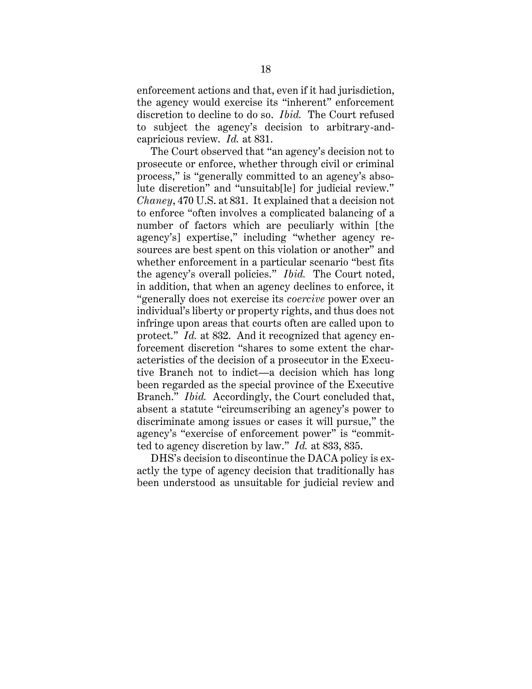enforcement actions and that, even if it had jurisdiction, the agency would exercise its "inherent" enforcement discretion to decline to do so. *Ibid.* The Court refused to subject the agency's decision to arbitrary-andcapricious review. *Id.* at 831.

The Court observed that "an agency's decision not to prosecute or enforce, whether through civil or criminal process," is "generally committed to an agency's absolute discretion" and "unsuitab[le] for judicial review." *Chaney*, 470 U.S. at 831. It explained that a decision not to enforce "often involves a complicated balancing of a number of factors which are peculiarly within [the agency's] expertise," including "whether agency resources are best spent on this violation or another" and whether enforcement in a particular scenario "best fits the agency's overall policies." *Ibid.* The Court noted, in addition, that when an agency declines to enforce, it "generally does not exercise its *coercive* power over an individual's liberty or property rights, and thus does not infringe upon areas that courts often are called upon to protect." *Id.* at 832. And it recognized that agency enforcement discretion "shares to some extent the characteristics of the decision of a prosecutor in the Executive Branch not to indict—a decision which has long been regarded as the special province of the Executive Branch." *Ibid.* Accordingly, the Court concluded that, absent a statute "circumscribing an agency's power to discriminate among issues or cases it will pursue," the agency's "exercise of enforcement power" is "committed to agency discretion by law." *Id.* at 833, 835.

DHS's decision to discontinue the DACA policy is exactly the type of agency decision that traditionally has been understood as unsuitable for judicial review and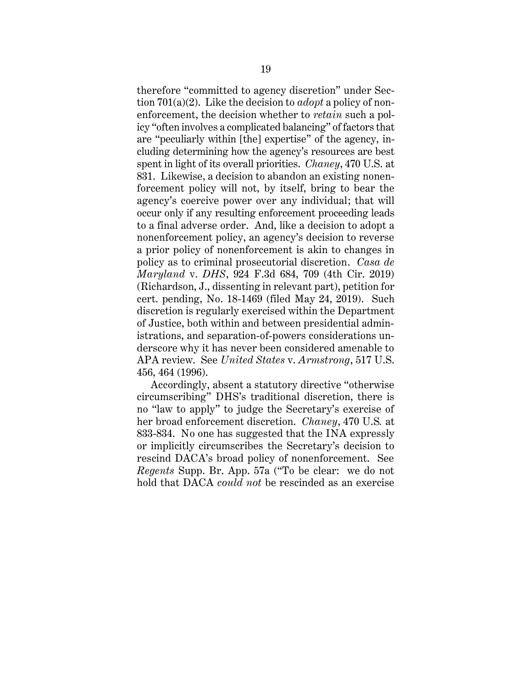therefore "committed to agency discretion" under Section 701(a)(2). Like the decision to *adopt* a policy of nonenforcement, the decision whether to *retain* such a policy "often involves a complicated balancing" of factors that are "peculiarly within [the] expertise" of the agency, including determining how the agency's resources are best spent in light of its overall priorities. *Chaney*, 470 U.S. at 831. Likewise, a decision to abandon an existing nonenforcement policy will not, by itself, bring to bear the agency's coercive power over any individual; that will occur only if any resulting enforcement proceeding leads to a final adverse order. And, like a decision to adopt a nonenforcement policy, an agency's decision to reverse a prior policy of nonenforcement is akin to changes in policy as to criminal prosecutorial discretion. *Casa de Maryland* v. *DHS*, 924 F.3d 684, 709 (4th Cir. 2019) (Richardson, J., dissenting in relevant part), petition for cert. pending, No. 18-1469 (filed May 24, 2019). Such discretion is regularly exercised within the Department of Justice, both within and between presidential administrations, and separation-of-powers considerations underscore why it has never been considered amenable to APA review. See *United States* v. *Armstrong*, 517 U.S. 456, 464 (1996).

Accordingly, absent a statutory directive "otherwise circumscribing" DHS's traditional discretion, there is no "law to apply" to judge the Secretary's exercise of her broad enforcement discretion. *Chaney*, 470 U.S*.* at 833-834. No one has suggested that the INA expressly or implicitly circumscribes the Secretary's decision to rescind DACA's broad policy of nonenforcement. See *Regents* Supp. Br. App. 57a ("To be clear: we do not hold that DACA *could not* be rescinded as an exercise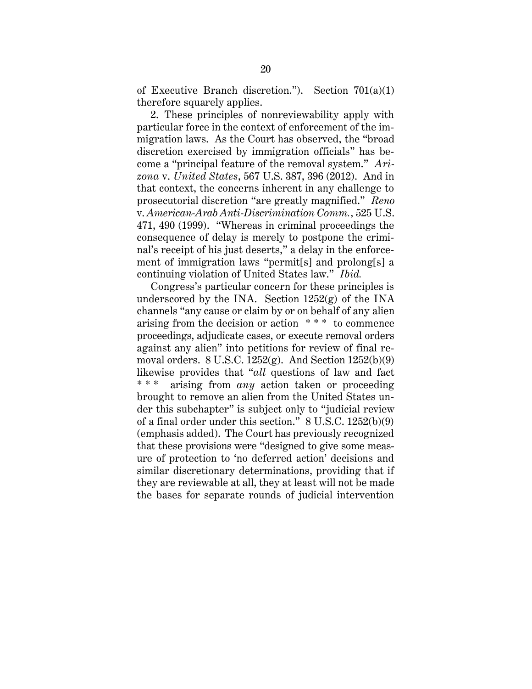of Executive Branch discretion."). Section  $701(a)(1)$ therefore squarely applies.

2. These principles of nonreviewability apply with particular force in the context of enforcement of the immigration laws. As the Court has observed, the "broad discretion exercised by immigration officials" has become a "principal feature of the removal system." *Arizona* v. *United States*, 567 U.S. 387, 396 (2012). And in that context, the concerns inherent in any challenge to prosecutorial discretion "are greatly magnified." *Reno* v. *American-Arab Anti-Discrimination Comm.*, 525 U.S. 471, 490 (1999). "Whereas in criminal proceedings the consequence of delay is merely to postpone the criminal's receipt of his just deserts," a delay in the enforcement of immigration laws "permit[s] and prolong[s] a continuing violation of United States law." *Ibid.*

Congress's particular concern for these principles is underscored by the INA. Section  $1252(g)$  of the INA channels "any cause or claim by or on behalf of any alien arising from the decision or action \* \* \* to commence proceedings, adjudicate cases, or execute removal orders against any alien" into petitions for review of final removal orders. 8 U.S.C. 1252(g). And Section 1252(b)(9) likewise provides that "*all* questions of law and fact arising from *any* action taken or proceeding brought to remove an alien from the United States under this subchapter" is subject only to "judicial review of a final order under this section." 8 U.S.C. 1252(b)(9) (emphasis added). The Court has previously recognized that these provisions were "designed to give some measure of protection to 'no deferred action' decisions and similar discretionary determinations, providing that if they are reviewable at all, they at least will not be made the bases for separate rounds of judicial intervention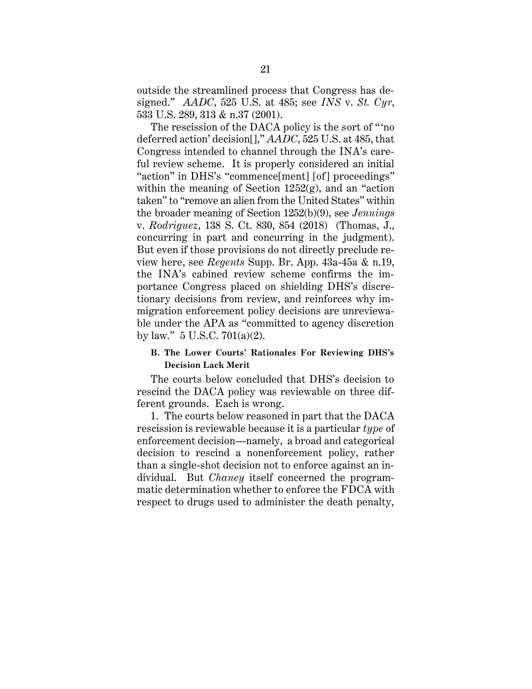outside the streamlined process that Congress has designed." *AADC*, 525 U.S. at 485; see *INS* v. *St. Cyr*, 533 U.S. 289, 313 & n.37 (2001).

The rescission of the DACA policy is the sort of "'no" deferred action' decision[]," *AADC*, 525 U.S. at 485, that Congress intended to channel through the INA's careful review scheme. It is properly considered an initial "action" in DHS's "commence[ment] [of] proceedings" within the meaning of Section  $1252(g)$ , and an "action" taken" to "remove an alien from the United States" within the broader meaning of Section 1252(b)(9), see *Jennings* v. *Rodriguez*, 138 S. Ct. 830, 854 (2018) (Thomas, J., concurring in part and concurring in the judgment). But even if those provisions do not directly preclude review here, see *Regents* Supp. Br. App. 43a-45a & n.19, the INA's cabined review scheme confirms the importance Congress placed on shielding DHS's discretionary decisions from review, and reinforces why immigration enforcement policy decisions are unreviewable under the APA as "committed to agency discretion by law." 5 U.S.C. 701(a)(2).

# **B. The Lower Courts' Rationales For Reviewing DHS's Decision Lack Merit**

The courts below concluded that DHS's decision to rescind the DACA policy was reviewable on three different grounds. Each is wrong.

1. The courts below reasoned in part that the DACA rescission is reviewable because it is a particular *type* of enforcement decision—namely, a broad and categorical decision to rescind a nonenforcement policy, rather than a single-shot decision not to enforce against an individual. But *Chaney* itself concerned the programmatic determination whether to enforce the FDCA with respect to drugs used to administer the death penalty,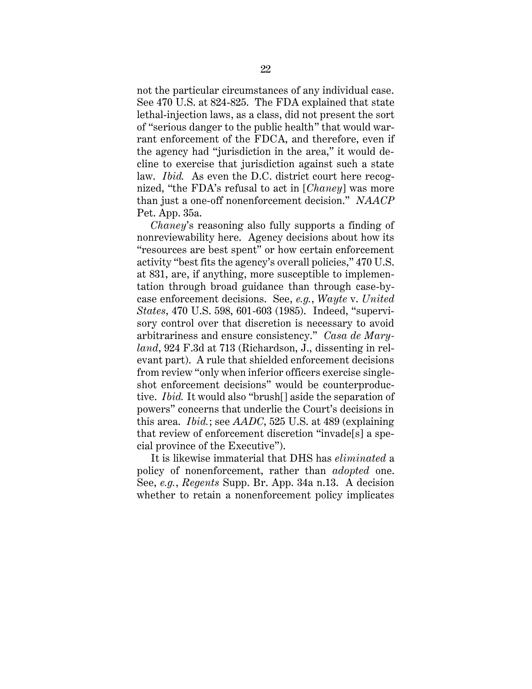not the particular circumstances of any individual case. See 470 U.S. at 824-825. The FDA explained that state lethal-injection laws, as a class, did not present the sort of "serious danger to the public health" that would warrant enforcement of the FDCA, and therefore, even if the agency had "jurisdiction in the area," it would decline to exercise that jurisdiction against such a state law. *Ibid.* As even the D.C. district court here recognized, "the FDA's refusal to act in [*Chaney*] was more than just a one-off nonenforcement decision." *NAACP* Pet. App. 35a.

*Chaney*'s reasoning also fully supports a finding of nonreviewability here. Agency decisions about how its "resources are best spent" or how certain enforcement activity "best fits the agency's overall policies," 470 U.S. at 831, are, if anything, more susceptible to implementation through broad guidance than through case-bycase enforcement decisions. See, *e.g.*, *Wayte* v. *United States*, 470 U.S. 598, 601-603 (1985). Indeed, "supervisory control over that discretion is necessary to avoid arbitrariness and ensure consistency." *Casa de Maryland*, 924 F.3d at 713 (Richardson, J., dissenting in relevant part). A rule that shielded enforcement decisions from review "only when inferior officers exercise singleshot enforcement decisions" would be counterproductive. *Ibid.* It would also "brush[] aside the separation of powers" concerns that underlie the Court's decisions in this area. *Ibid.*; see *AADC*, 525 U.S. at 489 (explaining that review of enforcement discretion "invade[s] a special province of the Executive").

It is likewise immaterial that DHS has *eliminated* a policy of nonenforcement, rather than *adopted* one. See, *e.g.*, *Regents* Supp. Br. App. 34a n.13. A decision whether to retain a nonenforcement policy implicates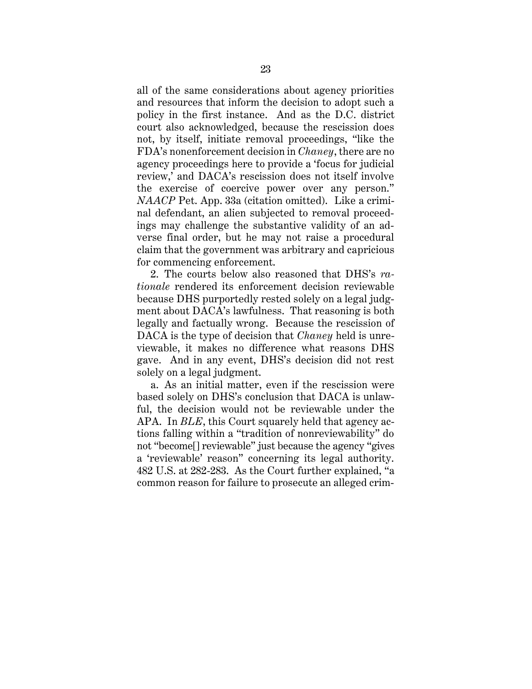all of the same considerations about agency priorities and resources that inform the decision to adopt such a policy in the first instance. And as the D.C. district court also acknowledged, because the rescission does not, by itself, initiate removal proceedings, "like the FDA's nonenforcement decision in *Chaney*, there are no agency proceedings here to provide a 'focus for judicial review,' and DACA's rescission does not itself involve the exercise of coercive power over any person." *NAACP* Pet. App. 33a (citation omitted). Like a criminal defendant, an alien subjected to removal proceedings may challenge the substantive validity of an adverse final order, but he may not raise a procedural claim that the government was arbitrary and capricious for commencing enforcement.

2. The courts below also reasoned that DHS's *rationale* rendered its enforcement decision reviewable because DHS purportedly rested solely on a legal judgment about DACA's lawfulness. That reasoning is both legally and factually wrong. Because the rescission of DACA is the type of decision that *Chaney* held is unreviewable, it makes no difference what reasons DHS gave. And in any event, DHS's decision did not rest solely on a legal judgment.

a. As an initial matter, even if the rescission were based solely on DHS's conclusion that DACA is unlawful, the decision would not be reviewable under the APA. In *BLE*, this Court squarely held that agency actions falling within a "tradition of nonreviewability" do not "become[] reviewable" just because the agency "gives a 'reviewable' reason" concerning its legal authority. 482 U.S. at 282-283. As the Court further explained, "a common reason for failure to prosecute an alleged crim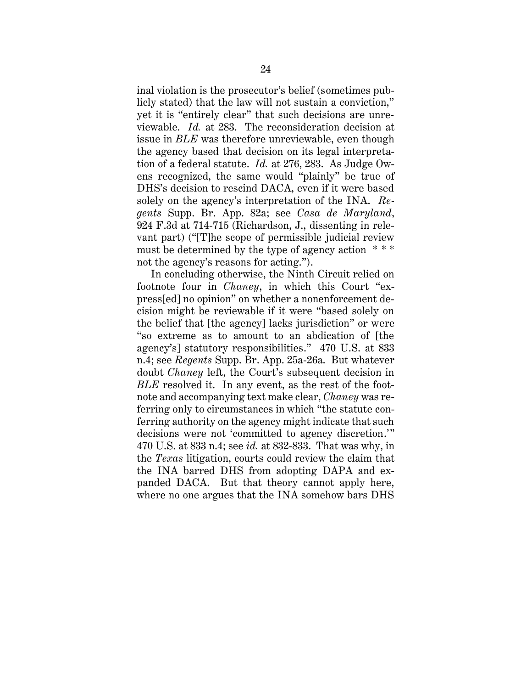inal violation is the prosecutor's belief (sometimes publicly stated) that the law will not sustain a conviction," yet it is "entirely clear" that such decisions are unreviewable. *Id.* at 283. The reconsideration decision at issue in *BLE* was therefore unreviewable, even though the agency based that decision on its legal interpretation of a federal statute. *Id.* at 276, 283. As Judge Owens recognized, the same would "plainly" be true of DHS's decision to rescind DACA, even if it were based solely on the agency's interpretation of the INA. *Regents* Supp. Br. App. 82a; see *Casa de Maryland*, 924 F.3d at 714-715 (Richardson, J., dissenting in relevant part) ("[T]he scope of permissible judicial review must be determined by the type of agency action \* \* \* not the agency's reasons for acting.").

In concluding otherwise, the Ninth Circuit relied on footnote four in *Chaney*, in which this Court "express[ed] no opinion" on whether a nonenforcement decision might be reviewable if it were "based solely on the belief that [the agency] lacks jurisdiction" or were "so extreme as to amount to an abdication of [the agency's] statutory responsibilities." 470 U.S. at 833 n.4; see *Regents* Supp. Br. App. 25a-26a. But whatever doubt *Chaney* left, the Court's subsequent decision in *BLE* resolved it. In any event, as the rest of the footnote and accompanying text make clear, *Chaney* was referring only to circumstances in which "the statute conferring authority on the agency might indicate that such decisions were not 'committed to agency discretion.'" 470 U.S. at 833 n.4; see *id.* at 832-833. That was why, in the *Texas* litigation, courts could review the claim that the INA barred DHS from adopting DAPA and expanded DACA. But that theory cannot apply here, where no one argues that the INA somehow bars DHS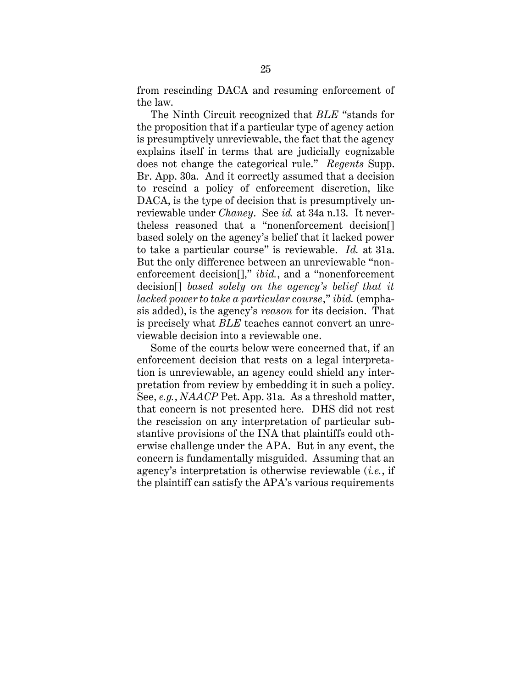from rescinding DACA and resuming enforcement of the law.

The Ninth Circuit recognized that *BLE* "stands for the proposition that if a particular type of agency action is presumptively unreviewable, the fact that the agency explains itself in terms that are judicially cognizable does not change the categorical rule." *Regents* Supp. Br. App. 30a. And it correctly assumed that a decision to rescind a policy of enforcement discretion, like DACA, is the type of decision that is presumptively unreviewable under *Chaney*. See *id.* at 34a n.13. It nevertheless reasoned that a "nonenforcement decision[] based solely on the agency's belief that it lacked power to take a particular course" is reviewable. *Id.* at 31a. But the only difference between an unreviewable "nonenforcement decision[]," *ibid.*, and a "nonenforcement decision[] *based solely on the agency's belief that it lacked power to take a particular course*," *ibid.* (emphasis added), is the agency's *reason* for its decision. That is precisely what *BLE* teaches cannot convert an unreviewable decision into a reviewable one.

Some of the courts below were concerned that, if an enforcement decision that rests on a legal interpretation is unreviewable, an agency could shield any interpretation from review by embedding it in such a policy. See, *e.g.*, *NAACP* Pet. App. 31a. As a threshold matter, that concern is not presented here. DHS did not rest the rescission on any interpretation of particular substantive provisions of the INA that plaintiffs could otherwise challenge under the APA. But in any event, the concern is fundamentally misguided. Assuming that an agency's interpretation is otherwise reviewable (*i.e.*, if the plaintiff can satisfy the APA's various requirements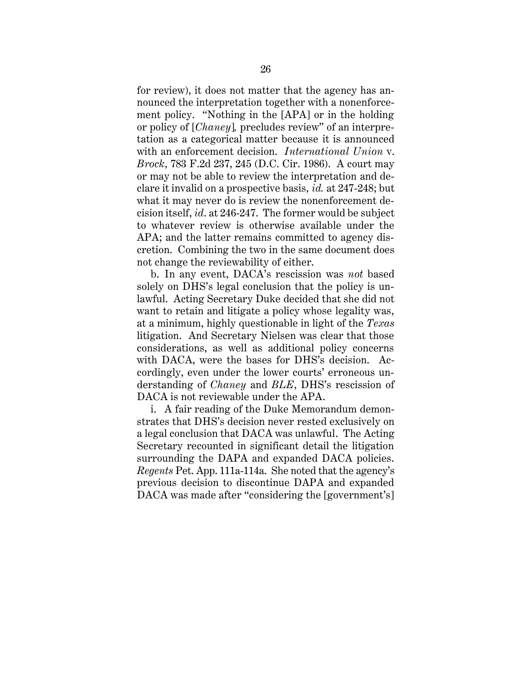for review), it does not matter that the agency has announced the interpretation together with a nonenforcement policy. "Nothing in the [APA] or in the holding or policy of [*Chaney*]*,* precludes review" of an interpretation as a categorical matter because it is announced with an enforcement decision. *International Union* v. *Brock*, 783 F.2d 237, 245 (D.C. Cir. 1986). A court may or may not be able to review the interpretation and declare it invalid on a prospective basis, *id.* at 247-248; but what it may never do is review the nonenforcement decision itself, *id*. at 246-247. The former would be subject to whatever review is otherwise available under the APA; and the latter remains committed to agency discretion. Combining the two in the same document does not change the reviewability of either.

b. In any event, DACA's rescission was *not* based solely on DHS's legal conclusion that the policy is unlawful. Acting Secretary Duke decided that she did not want to retain and litigate a policy whose legality was, at a minimum, highly questionable in light of the *Texas* litigation. And Secretary Nielsen was clear that those considerations, as well as additional policy concerns with DACA, were the bases for DHS's decision. Accordingly, even under the lower courts' erroneous understanding of *Chaney* and *BLE*, DHS's rescission of DACA is not reviewable under the APA.

i. A fair reading of the Duke Memorandum demonstrates that DHS's decision never rested exclusively on a legal conclusion that DACA was unlawful. The Acting Secretary recounted in significant detail the litigation surrounding the DAPA and expanded DACA policies. *Regents* Pet. App. 111a-114a. She noted that the agency's previous decision to discontinue DAPA and expanded DACA was made after "considering the [government's]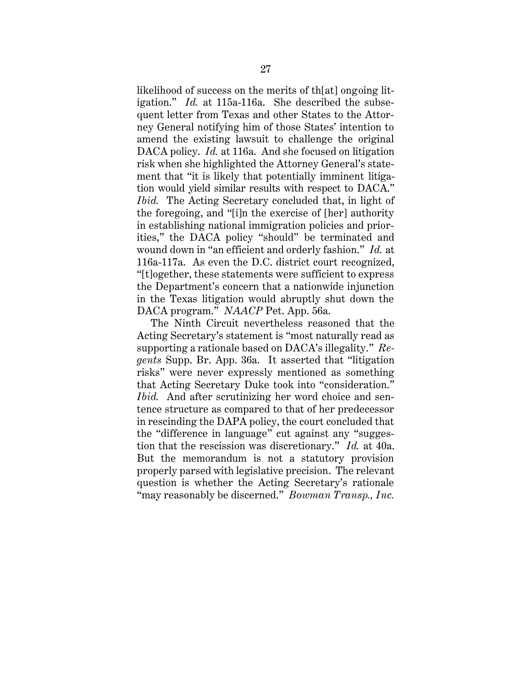likelihood of success on the merits of th[at] ongoing litigation." *Id.* at 115a-116a. She described the subsequent letter from Texas and other States to the Attorney General notifying him of those States' intention to amend the existing lawsuit to challenge the original DACA policy. *Id.* at 116a. And she focused on litigation risk when she highlighted the Attorney General's statement that "it is likely that potentially imminent litigation would yield similar results with respect to DACA." *Ibid.* The Acting Secretary concluded that, in light of the foregoing, and "[i]n the exercise of [her] authority in establishing national immigration policies and priorities," the DACA policy "should" be terminated and wound down in "an efficient and orderly fashion." *Id.* at 116a-117a. As even the D.C. district court recognized, "[t]ogether, these statements were sufficient to express the Department's concern that a nationwide injunction in the Texas litigation would abruptly shut down the DACA program." *NAACP* Pet. App. 56a.

The Ninth Circuit nevertheless reasoned that the Acting Secretary's statement is "most naturally read as supporting a rationale based on DACA's illegality." *Regents* Supp. Br. App. 36a. It asserted that "litigation risks" were never expressly mentioned as something that Acting Secretary Duke took into "consideration." *Ibid.* And after scrutinizing her word choice and sentence structure as compared to that of her predecessor in rescinding the DAPA policy, the court concluded that the "difference in language" cut against any "suggestion that the rescission was discretionary." *Id.* at 40a. But the memorandum is not a statutory provision properly parsed with legislative precision. The relevant question is whether the Acting Secretary's rationale "may reasonably be discerned." *Bowman Transp., Inc.*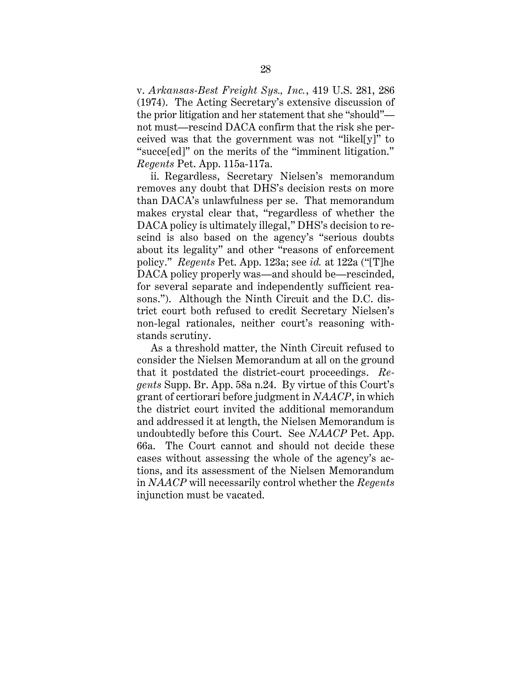v. *Arkansas-Best Freight Sys., Inc.*, 419 U.S. 281, 286 (1974). The Acting Secretary's extensive discussion of the prior litigation and her statement that she "should" not must—rescind DACA confirm that the risk she perceived was that the government was not "likel[y]" to "succe[ed]" on the merits of the "imminent litigation." *Regents* Pet. App. 115a-117a.

ii. Regardless, Secretary Nielsen's memorandum removes any doubt that DHS's decision rests on more than DACA's unlawfulness per se. That memorandum makes crystal clear that, "regardless of whether the DACA policy is ultimately illegal," DHS's decision to rescind is also based on the agency's "serious doubts about its legality" and other "reasons of enforcement policy." *Regents* Pet. App. 123a; see *id.* at 122a ("[T]he DACA policy properly was—and should be—rescinded, for several separate and independently sufficient reasons."). Although the Ninth Circuit and the D.C. district court both refused to credit Secretary Nielsen's non-legal rationales, neither court's reasoning withstands scrutiny.

As a threshold matter, the Ninth Circuit refused to consider the Nielsen Memorandum at all on the ground that it postdated the district-court proceedings. *Regents* Supp. Br. App. 58a n.24. By virtue of this Court's grant of certiorari before judgment in *NAACP*, in which the district court invited the additional memorandum and addressed it at length, the Nielsen Memorandum is undoubtedly before this Court. See *NAACP* Pet. App. 66a. The Court cannot and should not decide these cases without assessing the whole of the agency's actions, and its assessment of the Nielsen Memorandum in *NAACP* will necessarily control whether the *Regents*  injunction must be vacated.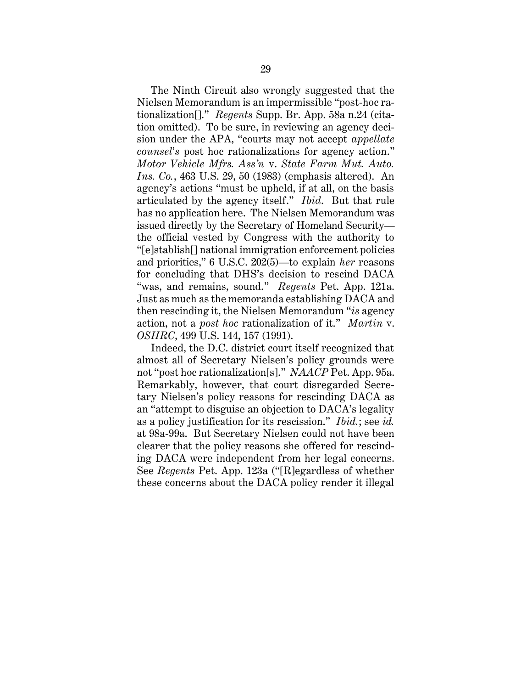The Ninth Circuit also wrongly suggested that the Nielsen Memorandum is an impermissible "post-hoc rationalization[]." *Regents* Supp. Br. App. 58a n.24 (citation omitted). To be sure, in reviewing an agency decision under the APA, "courts may not accept *appellate counsel*'*s* post hoc rationalizations for agency action." *Motor Vehicle Mfrs. Ass'n* v. *State Farm Mut. Auto. Ins. Co.*, 463 U.S. 29, 50 (1983) (emphasis altered). An agency's actions "must be upheld, if at all, on the basis articulated by the agency itself." *Ibid*. But that rule has no application here. The Nielsen Memorandum was issued directly by the Secretary of Homeland Security the official vested by Congress with the authority to "[e]stablish[] national immigration enforcement policies and priorities," 6 U.S.C. 202(5)—to explain *her* reasons for concluding that DHS's decision to rescind DACA "was, and remains, sound." *Regents* Pet. App. 121a. Just as much as the memoranda establishing DACA and then rescinding it, the Nielsen Memorandum "*is* agency action, not a *post hoc* rationalization of it." *Martin* v. *OSHRC*, 499 U.S. 144, 157 (1991).

Indeed, the D.C. district court itself recognized that almost all of Secretary Nielsen's policy grounds were not "post hoc rationalization[s]." *NAACP* Pet. App. 95a. Remarkably, however, that court disregarded Secretary Nielsen's policy reasons for rescinding DACA as an "attempt to disguise an objection to DACA's legality as a policy justification for its rescission." *Ibid.*; see *id.* at 98a-99a. But Secretary Nielsen could not have been clearer that the policy reasons she offered for rescinding DACA were independent from her legal concerns. See *Regents* Pet. App. 123a ("[R]egardless of whether these concerns about the DACA policy render it illegal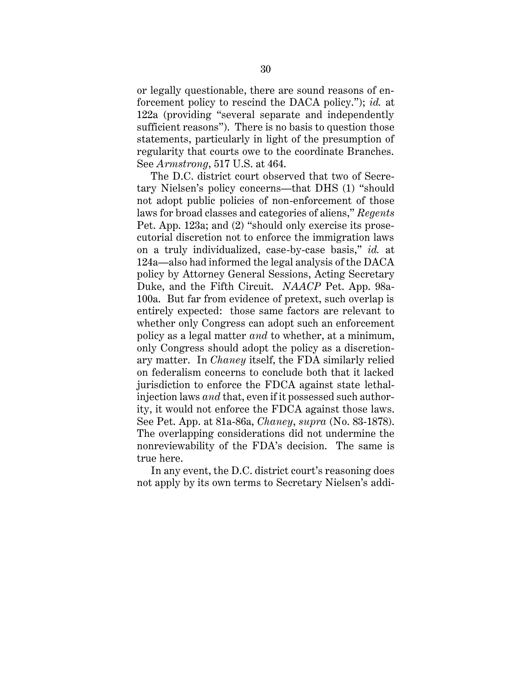or legally questionable, there are sound reasons of enforcement policy to rescind the DACA policy."); *id.* at 122a (providing "several separate and independently sufficient reasons"). There is no basis to question those statements, particularly in light of the presumption of regularity that courts owe to the coordinate Branches. See *Armstrong*, 517 U.S. at 464.

The D.C. district court observed that two of Secretary Nielsen's policy concerns—that DHS (1) "should not adopt public policies of non-enforcement of those laws for broad classes and categories of aliens," *Regents* Pet. App. 123a; and (2) "should only exercise its prosecutorial discretion not to enforce the immigration laws on a truly individualized, case-by-case basis," *id.* at 124a—also had informed the legal analysis of the DACA policy by Attorney General Sessions, Acting Secretary Duke, and the Fifth Circuit. *NAACP* Pet. App. 98a-100a. But far from evidence of pretext, such overlap is entirely expected: those same factors are relevant to whether only Congress can adopt such an enforcement policy as a legal matter *and* to whether, at a minimum, only Congress should adopt the policy as a discretionary matter. In *Chaney* itself, the FDA similarly relied on federalism concerns to conclude both that it lacked jurisdiction to enforce the FDCA against state lethalinjection laws *and* that, even if it possessed such authority, it would not enforce the FDCA against those laws. See Pet. App. at 81a-86a, *Chaney*, *supra* (No. 83-1878). The overlapping considerations did not undermine the nonreviewability of the FDA's decision. The same is true here.

In any event, the D.C. district court's reasoning does not apply by its own terms to Secretary Nielsen's addi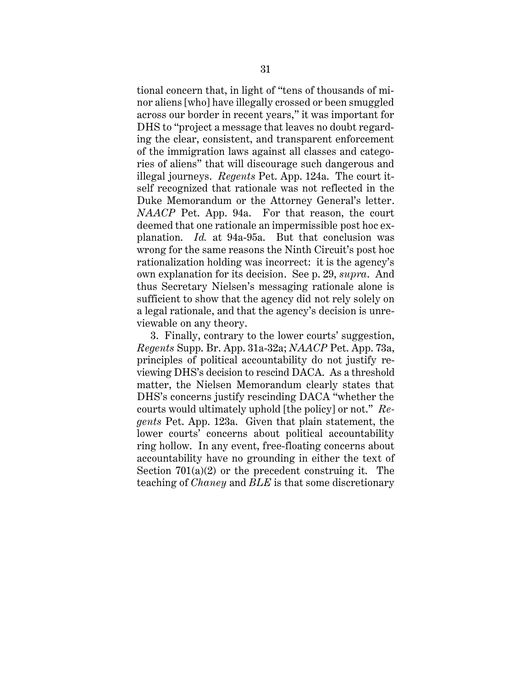tional concern that, in light of "tens of thousands of minor aliens [who] have illegally crossed or been smuggled across our border in recent years," it was important for DHS to "project a message that leaves no doubt regarding the clear, consistent, and transparent enforcement of the immigration laws against all classes and categories of aliens" that will discourage such dangerous and illegal journeys. *Regents* Pet. App. 124a. The court itself recognized that rationale was not reflected in the Duke Memorandum or the Attorney General's letter. *NAACP* Pet. App. 94a. For that reason, the court deemed that one rationale an impermissible post hoc explanation. *Id.* at 94a-95a. But that conclusion was wrong for the same reasons the Ninth Circuit's post hoc rationalization holding was incorrect: it is the agency's own explanation for its decision. See p. 29, *supra*. And thus Secretary Nielsen's messaging rationale alone is sufficient to show that the agency did not rely solely on a legal rationale, and that the agency's decision is unreviewable on any theory.

3. Finally, contrary to the lower courts' suggestion, *Regents* Supp. Br. App. 31a-32a; *NAACP* Pet. App. 73a, principles of political accountability do not justify reviewing DHS's decision to rescind DACA. As a threshold matter, the Nielsen Memorandum clearly states that DHS's concerns justify rescinding DACA "whether the courts would ultimately uphold [the policy] or not." *Regents* Pet. App. 123a. Given that plain statement, the lower courts' concerns about political accountability ring hollow. In any event, free-floating concerns about accountability have no grounding in either the text of Section  $701(a)(2)$  or the precedent construing it. The teaching of *Chaney* and *BLE* is that some discretionary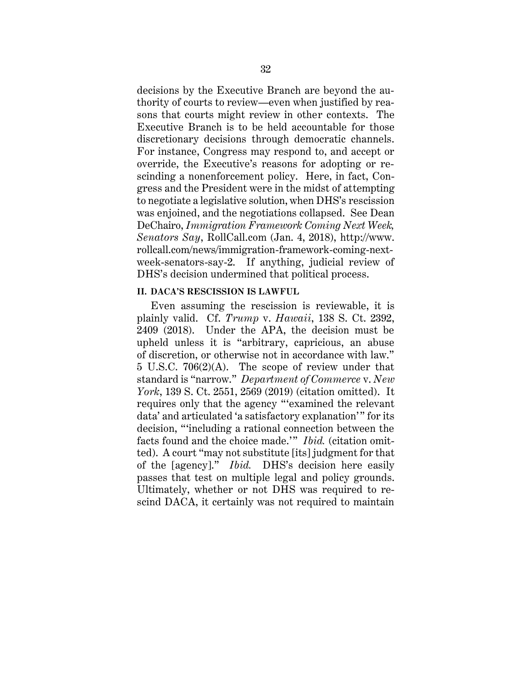decisions by the Executive Branch are beyond the authority of courts to review—even when justified by reasons that courts might review in other contexts. The Executive Branch is to be held accountable for those discretionary decisions through democratic channels. For instance, Congress may respond to, and accept or override, the Executive's reasons for adopting or rescinding a nonenforcement policy. Here, in fact, Congress and the President were in the midst of attempting to negotiate a legislative solution, when DHS's rescission was enjoined, and the negotiations collapsed. See Dean DeChairo, *Immigration Framework Coming Next Week, Senators Say*, RollCall.com (Jan. 4, 2018), http://www. rollcall.com/news/immigration-framework-coming-nextweek-senators-say-2. If anything, judicial review of DHS's decision undermined that political process.

#### **II. DACA'S RESCISSION IS LAWFUL**

Even assuming the rescission is reviewable, it is plainly valid. Cf. *Trump* v. *Hawaii*, 138 S. Ct. 2392, 2409 (2018). Under the APA, the decision must be upheld unless it is "arbitrary, capricious, an abuse of discretion, or otherwise not in accordance with law." 5 U.S.C. 706(2)(A). The scope of review under that standard is "narrow." *Department of Commerce* v. *New York*, 139 S. Ct. 2551, 2569 (2019) (citation omitted). It requires only that the agency "'examined the relevant data' and articulated 'a satisfactory explanation'" for its decision, "'including a rational connection between the facts found and the choice made.'" *Ibid.* (citation omitted). A court "may not substitute [its] judgment for that of the [agency]." *Ibid.* DHS's decision here easily passes that test on multiple legal and policy grounds. Ultimately, whether or not DHS was required to rescind DACA, it certainly was not required to maintain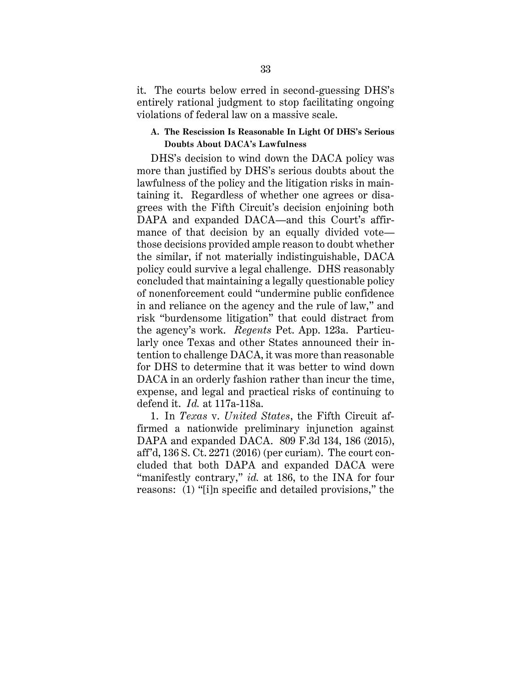it. The courts below erred in second-guessing DHS's entirely rational judgment to stop facilitating ongoing violations of federal law on a massive scale.

## **A. The Rescission Is Reasonable In Light Of DHS's Serious Doubts About DACA's Lawfulness**

DHS's decision to wind down the DACA policy was more than justified by DHS's serious doubts about the lawfulness of the policy and the litigation risks in maintaining it. Regardless of whether one agrees or disagrees with the Fifth Circuit's decision enjoining both DAPA and expanded DACA—and this Court's affirmance of that decision by an equally divided vote those decisions provided ample reason to doubt whether the similar, if not materially indistinguishable, DACA policy could survive a legal challenge. DHS reasonably concluded that maintaining a legally questionable policy of nonenforcement could "undermine public confidence in and reliance on the agency and the rule of law," and risk "burdensome litigation" that could distract from the agency's work. *Regents* Pet. App. 123a. Particularly once Texas and other States announced their intention to challenge DACA, it was more than reasonable for DHS to determine that it was better to wind down DACA in an orderly fashion rather than incur the time, expense, and legal and practical risks of continuing to defend it. *Id.* at 117a-118a.

1. In *Texas* v. *United States*, the Fifth Circuit affirmed a nationwide preliminary injunction against DAPA and expanded DACA. 809 F.3d 134, 186 (2015), aff'd, 136 S. Ct. 2271 (2016) (per curiam). The court concluded that both DAPA and expanded DACA were "manifestly contrary," *id.* at 186, to the INA for four reasons: (1) "[i]n specific and detailed provisions," the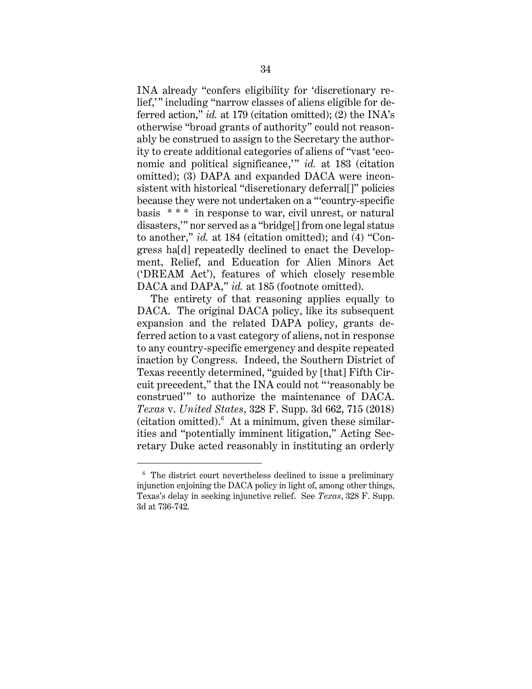INA already "confers eligibility for 'discretionary relief," including "narrow classes of aliens eligible for deferred action," *id.* at 179 (citation omitted); (2) the INA's otherwise "broad grants of authority" could not reasonably be construed to assign to the Secretary the authority to create additional categories of aliens of "vast 'economic and political significance," *id.* at 183 (citation omitted); (3) DAPA and expanded DACA were inconsistent with historical "discretionary deferral[]" policies because they were not undertaken on a "'country-specific basis \* \* \* in response to war, civil unrest, or natural disasters,'" nor served as a "bridge[] from one legal status to another," *id.* at 184 (citation omitted); and (4) "Congress ha[d] repeatedly declined to enact the Development, Relief, and Education for Alien Minors Act ('DREAM Act'), features of which closely resemble DACA and DAPA," *id.* at 185 (footnote omitted).

The entirety of that reasoning applies equally to DACA. The original DACA policy, like its subsequent expansion and the related DAPA policy, grants deferred action to a vast category of aliens, not in response to any country-specific emergency and despite repeated inaction by Congress. Indeed, the Southern District of Texas recently determined, "guided by [that] Fifth Circuit precedent," that the INA could not " 'reasonably be construed'" to authorize the maintenance of DACA. *Texas* v. *United States*, 328 F. Supp. 3d 662, 715 (2018) (citation omitted). $6$  At a minimum, given these similarities and "potentially imminent litigation," Acting Secretary Duke acted reasonably in instituting an orderly

<sup>6</sup> The district court nevertheless declined to issue a preliminary injunction enjoining the DACA policy in light of, among other things, Texas's delay in seeking injunctive relief. See *Texas*, 328 F. Supp. 3d at 736-742.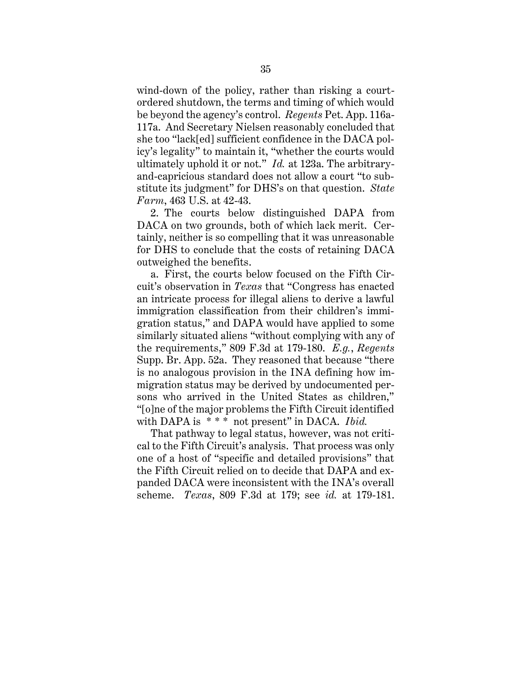wind-down of the policy, rather than risking a courtordered shutdown, the terms and timing of which would be beyond the agency's control. *Regents* Pet. App. 116a-117a. And Secretary Nielsen reasonably concluded that she too "lack[ed] sufficient confidence in the DACA policy's legality" to maintain it, "whether the courts would ultimately uphold it or not." *Id.* at 123a. The arbitraryand-capricious standard does not allow a court "to substitute its judgment" for DHS's on that question. *State Farm*, 463 U.S. at 42-43.

2. The courts below distinguished DAPA from DACA on two grounds, both of which lack merit. Certainly, neither is so compelling that it was unreasonable for DHS to conclude that the costs of retaining DACA outweighed the benefits.

a. First, the courts below focused on the Fifth Circuit's observation in *Texas* that "Congress has enacted an intricate process for illegal aliens to derive a lawful immigration classification from their children's immigration status," and DAPA would have applied to some similarly situated aliens "without complying with any of the requirements," 809 F.3d at 179-180. *E.g.*, *Regents*  Supp. Br. App. 52a. They reasoned that because "there is no analogous provision in the INA defining how immigration status may be derived by undocumented persons who arrived in the United States as children," "[o]ne of the major problems the Fifth Circuit identified with DAPA is \*\*\* not present" in DACA. *Ibid.* 

That pathway to legal status, however, was not critical to the Fifth Circuit's analysis. That process was only one of a host of "specific and detailed provisions" that the Fifth Circuit relied on to decide that DAPA and expanded DACA were inconsistent with the INA's overall scheme. *Texas*, 809 F.3d at 179; see *id.* at 179-181.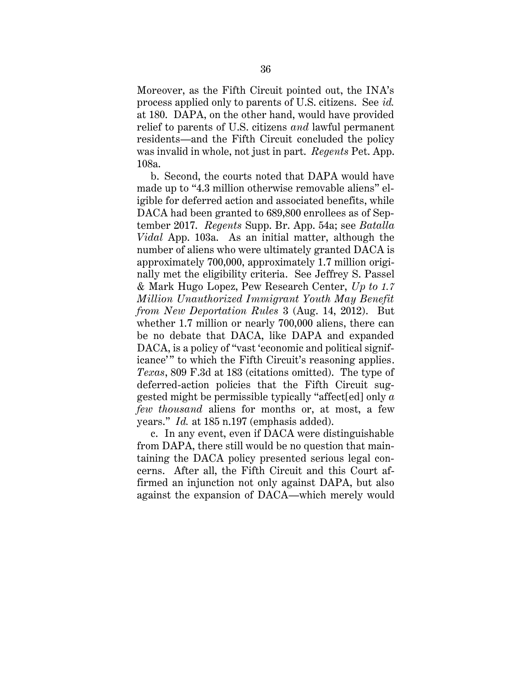Moreover, as the Fifth Circuit pointed out, the INA's process applied only to parents of U.S. citizens. See *id.* at 180. DAPA, on the other hand, would have provided relief to parents of U.S. citizens *and* lawful permanent residents—and the Fifth Circuit concluded the policy was invalid in whole, not just in part. *Regents* Pet. App. 108a.

b. Second, the courts noted that DAPA would have made up to "4.3 million otherwise removable aliens" eligible for deferred action and associated benefits, while DACA had been granted to 689,800 enrollees as of September 2017. *Regents* Supp. Br. App. 54a; see *Batalla Vidal* App. 103a. As an initial matter, although the number of aliens who were ultimately granted DACA is approximately 700,000, approximately 1.7 million originally met the eligibility criteria. See Jeffrey S. Passel & Mark Hugo Lopez, Pew Research Center, *Up to 1.7 Million Unauthorized Immigrant Youth May Benefit from New Deportation Rules* 3 (Aug. 14, 2012). But whether 1.7 million or nearly 700,000 aliens, there can be no debate that DACA, like DAPA and expanded DACA, is a policy of "vast 'economic and political significance'" to which the Fifth Circuit's reasoning applies. *Texas*, 809 F.3d at 183 (citations omitted). The type of deferred-action policies that the Fifth Circuit suggested might be permissible typically "affect[ed] only *a few thousand* aliens for months or, at most, a few years." *Id.* at 185 n.197 (emphasis added).

c. In any event, even if DACA were distinguishable from DAPA, there still would be no question that maintaining the DACA policy presented serious legal concerns. After all, the Fifth Circuit and this Court affirmed an injunction not only against DAPA, but also against the expansion of DACA—which merely would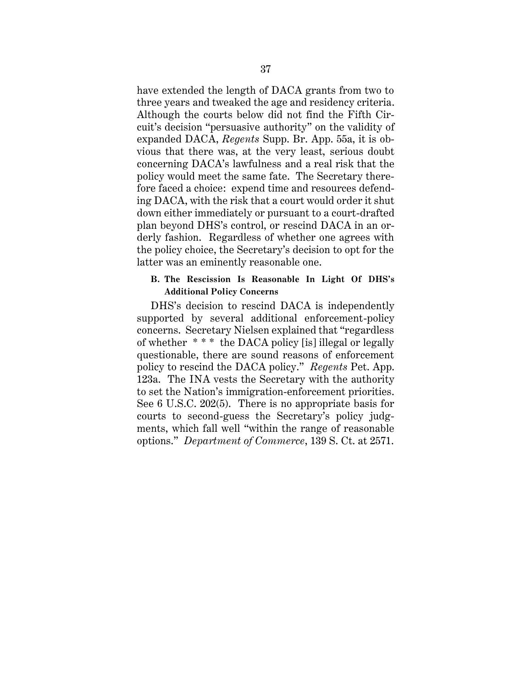have extended the length of DACA grants from two to three years and tweaked the age and residency criteria. Although the courts below did not find the Fifth Circuit's decision "persuasive authority" on the validity of expanded DACA, *Regents* Supp. Br. App. 55a, it is obvious that there was, at the very least, serious doubt concerning DACA's lawfulness and a real risk that the policy would meet the same fate. The Secretary therefore faced a choice: expend time and resources defending DACA, with the risk that a court would order it shut down either immediately or pursuant to a court-drafted plan beyond DHS's control, or rescind DACA in an orderly fashion. Regardless of whether one agrees with the policy choice, the Secretary's decision to opt for the latter was an eminently reasonable one.

## **B. The Rescission Is Reasonable In Light Of DHS's Additional Policy Concerns**

DHS's decision to rescind DACA is independently supported by several additional enforcement-policy concerns. Secretary Nielsen explained that "regardless of whether \* \* \* the DACA policy [is] illegal or legally questionable, there are sound reasons of enforcement policy to rescind the DACA policy." *Regents* Pet. App. 123a. The INA vests the Secretary with the authority to set the Nation's immigration-enforcement priorities. See 6 U.S.C. 202(5). There is no appropriate basis for courts to second-guess the Secretary's policy judgments, which fall well "within the range of reasonable options." *Department of Commerce*, 139 S. Ct. at 2571.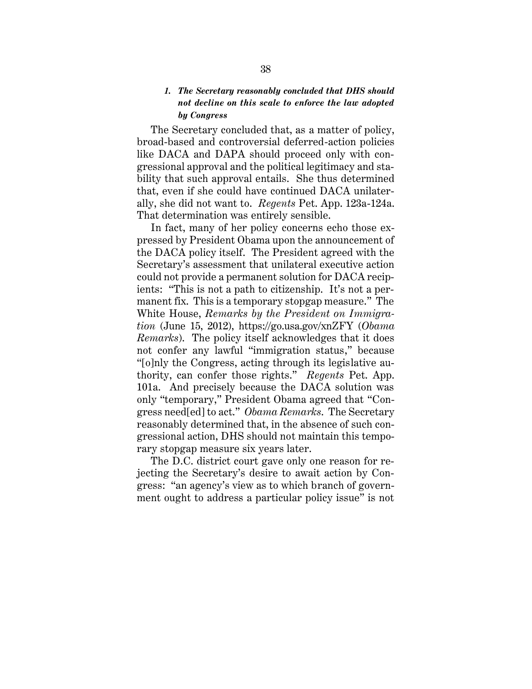## *1. The Secretary reasonably concluded that DHS should not decline on this scale to enforce the law adopted by Congress*

The Secretary concluded that, as a matter of policy, broad-based and controversial deferred-action policies like DACA and DAPA should proceed only with congressional approval and the political legitimacy and stability that such approval entails. She thus determined that, even if she could have continued DACA unilaterally, she did not want to. *Regents* Pet. App. 123a-124a. That determination was entirely sensible.

In fact, many of her policy concerns echo those expressed by President Obama upon the announcement of the DACA policy itself. The President agreed with the Secretary's assessment that unilateral executive action could not provide a permanent solution for DACA recipients: "This is not a path to citizenship. It's not a permanent fix. This is a temporary stopgap measure." The White House, *Remarks by the President on Immigration* (June 15, 2012), https://go.usa.gov/xnZFY (*Obama Remarks*). The policy itself acknowledges that it does not confer any lawful "immigration status," because "[o]nly the Congress, acting through its legislative authority, can confer those rights." *Regents* Pet. App. 101a. And precisely because the DACA solution was only "temporary," President Obama agreed that "Congress need[ed] to act." *Obama Remarks*. The Secretary reasonably determined that, in the absence of such congressional action, DHS should not maintain this temporary stopgap measure six years later.

The D.C. district court gave only one reason for rejecting the Secretary's desire to await action by Congress: "an agency's view as to which branch of government ought to address a particular policy issue" is not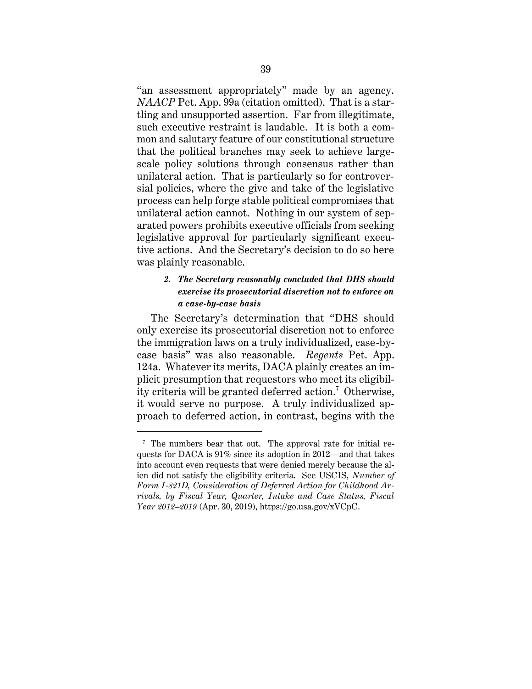"an assessment appropriately" made by an agency. *NAACP* Pet. App. 99a (citation omitted). That is a startling and unsupported assertion. Far from illegitimate, such executive restraint is laudable. It is both a common and salutary feature of our constitutional structure that the political branches may seek to achieve largescale policy solutions through consensus rather than unilateral action. That is particularly so for controversial policies, where the give and take of the legislative process can help forge stable political compromises that unilateral action cannot. Nothing in our system of separated powers prohibits executive officials from seeking legislative approval for particularly significant executive actions. And the Secretary's decision to do so here was plainly reasonable.

# *2. The Secretary reasonably concluded that DHS should exercise its prosecutorial discretion not to enforce on a case-by-case basis*

The Secretary's determination that "DHS should only exercise its prosecutorial discretion not to enforce the immigration laws on a truly individualized, case-bycase basis" was also reasonable. *Regents* Pet. App. 124a. Whatever its merits, DACA plainly creates an implicit presumption that requestors who meet its eligibility criteria will be granted deferred action. 7 Otherwise, it would serve no purpose. A truly individualized approach to deferred action, in contrast, begins with the

<sup>7</sup> The numbers bear that out. The approval rate for initial requests for DACA is 91% since its adoption in 2012—and that takes into account even requests that were denied merely because the alien did not satisfy the eligibility criteria. See USCIS, *Number of Form I-821D, Consideration of Deferred Action for Childhood Arrivals, by Fiscal Year, Quarter, Intake and Case Status, Fiscal Year 2012–2019* (Apr. 30, 2019), https://go.usa.gov/xVCpC.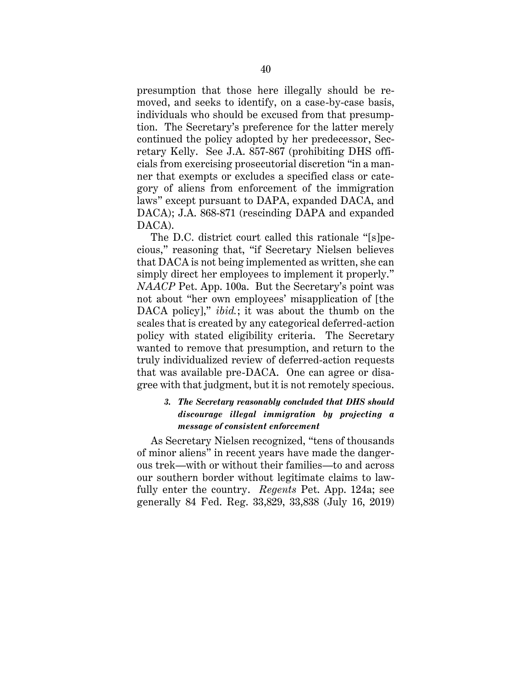presumption that those here illegally should be removed, and seeks to identify, on a case-by-case basis, individuals who should be excused from that presumption. The Secretary's preference for the latter merely continued the policy adopted by her predecessor, Secretary Kelly. See J.A. 857-867 (prohibiting DHS officials from exercising prosecutorial discretion "in a manner that exempts or excludes a specified class or category of aliens from enforcement of the immigration laws" except pursuant to DAPA, expanded DACA, and DACA); J.A. 868-871 (rescinding DAPA and expanded DACA).

The D.C. district court called this rationale "[s]pecious," reasoning that, "if Secretary Nielsen believes that DACA is not being implemented as written, she can simply direct her employees to implement it properly." *NAACP* Pet. App. 100a. But the Secretary's point was not about "her own employees' misapplication of [the DACA policy]," *ibid.*; it was about the thumb on the scales that is created by any categorical deferred-action policy with stated eligibility criteria. The Secretary wanted to remove that presumption, and return to the truly individualized review of deferred-action requests that was available pre-DACA. One can agree or disagree with that judgment, but it is not remotely specious.

# *3. The Secretary reasonably concluded that DHS should discourage illegal immigration by projecting a message of consistent enforcement*

As Secretary Nielsen recognized, "tens of thousands of minor aliens" in recent years have made the dangerous trek—with or without their families—to and across our southern border without legitimate claims to lawfully enter the country. *Regents* Pet. App. 124a; see generally 84 Fed. Reg. 33,829, 33,838 (July 16, 2019)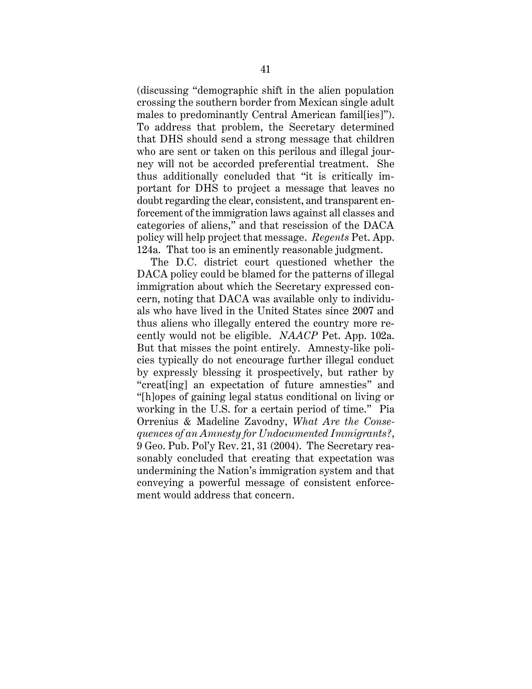(discussing "demographic shift in the alien population crossing the southern border from Mexican single adult males to predominantly Central American famil[ies]"). To address that problem, the Secretary determined that DHS should send a strong message that children who are sent or taken on this perilous and illegal journey will not be accorded preferential treatment. She thus additionally concluded that "it is critically important for DHS to project a message that leaves no doubt regarding the clear, consistent, and transparent enforcement of the immigration laws against all classes and categories of aliens," and that rescission of the DACA policy will help project that message. *Regents* Pet. App. 124a. That too is an eminently reasonable judgment.

The D.C. district court questioned whether the DACA policy could be blamed for the patterns of illegal immigration about which the Secretary expressed concern, noting that DACA was available only to individuals who have lived in the United States since 2007 and thus aliens who illegally entered the country more recently would not be eligible. *NAACP* Pet. App. 102a. But that misses the point entirely. Amnesty-like policies typically do not encourage further illegal conduct by expressly blessing it prospectively, but rather by "creat[ing] an expectation of future amnesties" and "[h]opes of gaining legal status conditional on living or working in the U.S. for a certain period of time." Pia Orrenius & Madeline Zavodny, *What Are the Consequences of an Amnesty for Undocumented Immigrants?*, 9 Geo. Pub. Pol'y Rev. 21, 31 (2004). The Secretary reasonably concluded that creating that expectation was undermining the Nation's immigration system and that conveying a powerful message of consistent enforcement would address that concern.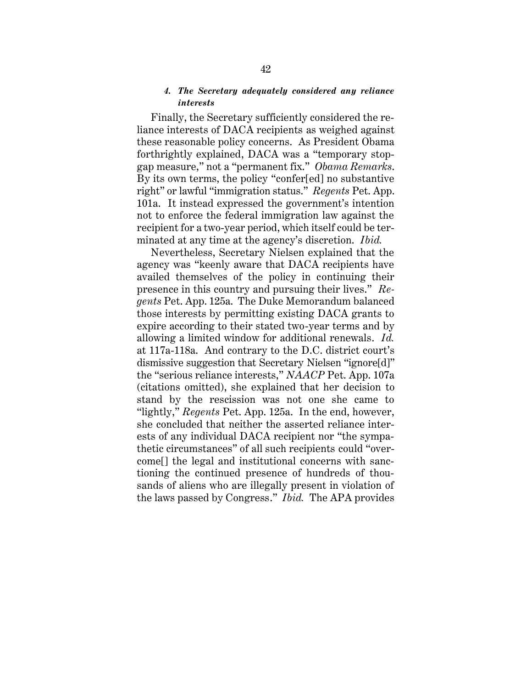## *4. The Secretary adequately considered any reliance interests*

Finally, the Secretary sufficiently considered the reliance interests of DACA recipients as weighed against these reasonable policy concerns. As President Obama forthrightly explained, DACA was a "temporary stopgap measure," not a "permanent fix." *Obama Remarks*. By its own terms, the policy "confer[ed] no substantive right" or lawful "immigration status." *Regents* Pet. App. 101a. It instead expressed the government's intention not to enforce the federal immigration law against the recipient for a two-year period, which itself could be terminated at any time at the agency's discretion. *Ibid.*

Nevertheless, Secretary Nielsen explained that the agency was "keenly aware that DACA recipients have availed themselves of the policy in continuing their presence in this country and pursuing their lives." *Regents* Pet. App. 125a. The Duke Memorandum balanced those interests by permitting existing DACA grants to expire according to their stated two-year terms and by allowing a limited window for additional renewals. *Id.*  at 117a-118a. And contrary to the D.C. district court's dismissive suggestion that Secretary Nielsen "ignore[d]" the "serious reliance interests," *NAACP* Pet. App. 107a (citations omitted), she explained that her decision to stand by the rescission was not one she came to "lightly," *Regents* Pet. App. 125a. In the end, however, she concluded that neither the asserted reliance interests of any individual DACA recipient nor "the sympathetic circumstances" of all such recipients could "overcome[] the legal and institutional concerns with sanctioning the continued presence of hundreds of thousands of aliens who are illegally present in violation of the laws passed by Congress." *Ibid.* The APA provides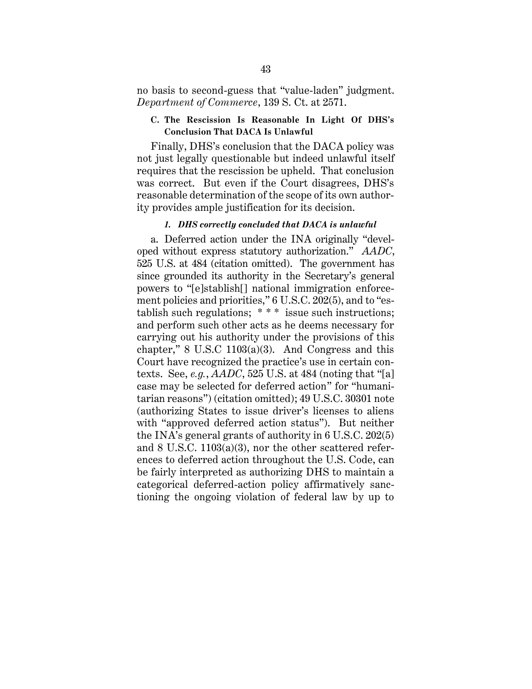no basis to second-guess that "value-laden" judgment. *Department of Commerce*, 139 S. Ct. at 2571.

## **C. The Rescission Is Reasonable In Light Of DHS's Conclusion That DACA Is Unlawful**

Finally, DHS's conclusion that the DACA policy was not just legally questionable but indeed unlawful itself requires that the rescission be upheld. That conclusion was correct. But even if the Court disagrees, DHS's reasonable determination of the scope of its own authority provides ample justification for its decision.

#### *1. DHS correctly concluded that DACA is unlawful*

a. Deferred action under the INA originally "developed without express statutory authorization." *AADC*, 525 U.S. at 484 (citation omitted). The government has since grounded its authority in the Secretary's general powers to "[e]stablish[] national immigration enforcement policies and priorities," 6 U.S.C. 202(5), and to "establish such regulations; \* \* \* issue such instructions; and perform such other acts as he deems necessary for carrying out his authority under the provisions of this chapter," 8 U.S.C 1103(a)(3). And Congress and this Court have recognized the practice's use in certain contexts. See, *e.g.*, *AADC*, 525 U.S. at 484 (noting that "[a] case may be selected for deferred action" for "humanitarian reasons") (citation omitted); 49 U.S.C. 30301 note (authorizing States to issue driver's licenses to aliens with "approved deferred action status"). But neither the INA's general grants of authority in 6 U.S.C. 202(5) and 8 U.S.C. 1103(a)(3), nor the other scattered references to deferred action throughout the U.S. Code, can be fairly interpreted as authorizing DHS to maintain a categorical deferred-action policy affirmatively sanctioning the ongoing violation of federal law by up to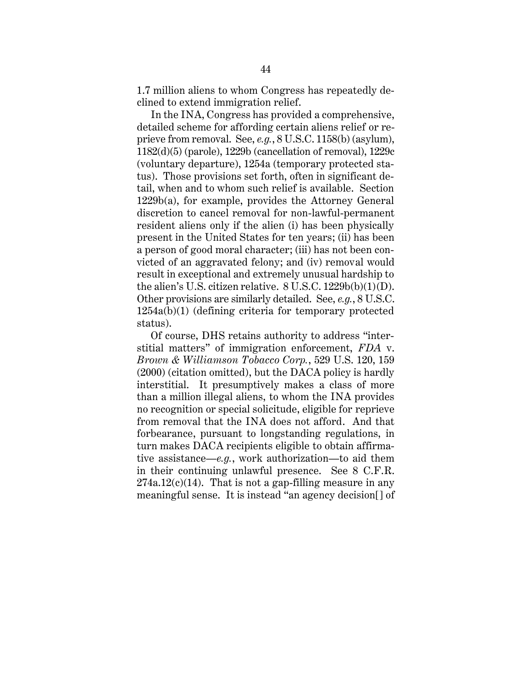1.7 million aliens to whom Congress has repeatedly declined to extend immigration relief.

In the INA, Congress has provided a comprehensive, detailed scheme for affording certain aliens relief or reprieve from removal. See, *e.g.*, 8 U.S.C. 1158(b) (asylum), 1182(d)(5) (parole), 1229b (cancellation of removal), 1229c (voluntary departure), 1254a (temporary protected status). Those provisions set forth, often in significant detail, when and to whom such relief is available. Section 1229b(a), for example, provides the Attorney General discretion to cancel removal for non-lawful-permanent resident aliens only if the alien (i) has been physically present in the United States for ten years; (ii) has been a person of good moral character; (iii) has not been convicted of an aggravated felony; and (iv) removal would result in exceptional and extremely unusual hardship to the alien's U.S. citizen relative. 8 U.S.C. 1229b(b)(1)(D). Other provisions are similarly detailed. See, *e.g.*, 8 U.S.C. 1254a(b)(1) (defining criteria for temporary protected status).

Of course, DHS retains authority to address "interstitial matters" of immigration enforcement, *FDA* v. *Brown & Williamson Tobacco Corp.*, 529 U.S. 120, 159 (2000) (citation omitted), but the DACA policy is hardly interstitial. It presumptively makes a class of more than a million illegal aliens, to whom the INA provides no recognition or special solicitude, eligible for reprieve from removal that the INA does not afford. And that forbearance, pursuant to longstanding regulations, in turn makes DACA recipients eligible to obtain affirmative assistance—*e.g.*, work authorization—to aid them in their continuing unlawful presence. See 8 C.F.R.  $274a.12(c)(14)$ . That is not a gap-filling measure in any meaningful sense. It is instead "an agency decision[] of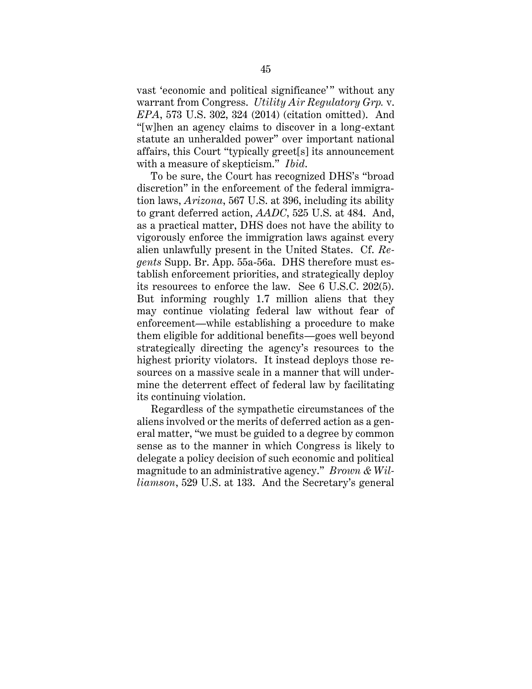vast 'economic and political significance'" without any warrant from Congress. *Utility Air Regulatory Grp.* v. *EPA*, 573 U.S. 302, 324 (2014) (citation omitted). And "[w]hen an agency claims to discover in a long-extant statute an unheralded power" over important national affairs, this Court "typically greet[s] its announcement with a measure of skepticism." *Ibid*.

To be sure, the Court has recognized DHS's "broad discretion" in the enforcement of the federal immigration laws, *Arizona*, 567 U.S. at 396, including its ability to grant deferred action, *AADC*, 525 U.S. at 484. And, as a practical matter, DHS does not have the ability to vigorously enforce the immigration laws against every alien unlawfully present in the United States. Cf. *Regents* Supp. Br. App. 55a-56a. DHS therefore must establish enforcement priorities, and strategically deploy its resources to enforce the law. See 6 U.S.C. 202(5). But informing roughly 1.7 million aliens that they may continue violating federal law without fear of enforcement—while establishing a procedure to make them eligible for additional benefits—goes well beyond strategically directing the agency's resources to the highest priority violators. It instead deploys those resources on a massive scale in a manner that will undermine the deterrent effect of federal law by facilitating its continuing violation.

Regardless of the sympathetic circumstances of the aliens involved or the merits of deferred action as a general matter, "we must be guided to a degree by common sense as to the manner in which Congress is likely to delegate a policy decision of such economic and political magnitude to an administrative agency." *Brown & Williamson*, 529 U.S. at 133. And the Secretary's general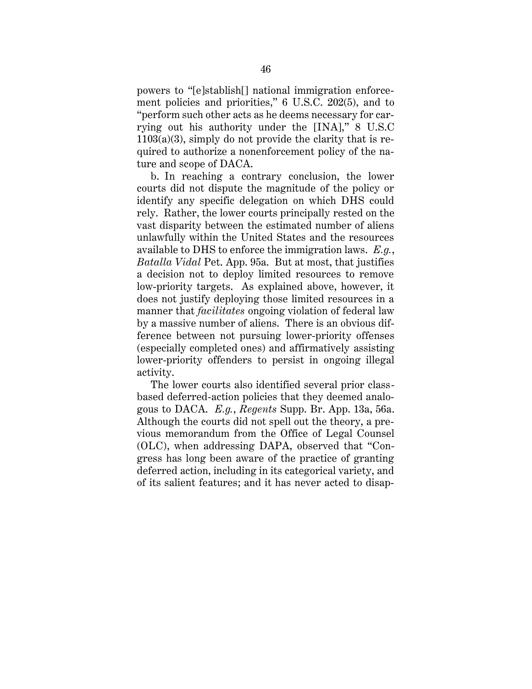powers to "[e]stablish[] national immigration enforcement policies and priorities," 6 U.S.C. 202(5), and to "perform such other acts as he deems necessary for carrying out his authority under the [INA]," 8 U.S.C  $1103(a)(3)$ , simply do not provide the clarity that is required to authorize a nonenforcement policy of the nature and scope of DACA.

b. In reaching a contrary conclusion, the lower courts did not dispute the magnitude of the policy or identify any specific delegation on which DHS could rely. Rather, the lower courts principally rested on the vast disparity between the estimated number of aliens unlawfully within the United States and the resources available to DHS to enforce the immigration laws. *E.g.*, *Batalla Vidal* Pet. App. 95a. But at most, that justifies a decision not to deploy limited resources to remove low-priority targets. As explained above, however, it does not justify deploying those limited resources in a manner that *facilitates* ongoing violation of federal law by a massive number of aliens. There is an obvious difference between not pursuing lower-priority offenses (especially completed ones) and affirmatively assisting lower-priority offenders to persist in ongoing illegal activity.

The lower courts also identified several prior classbased deferred-action policies that they deemed analogous to DACA. *E.g.*, *Regents* Supp. Br. App. 13a, 56a. Although the courts did not spell out the theory, a previous memorandum from the Office of Legal Counsel (OLC), when addressing DAPA, observed that "Congress has long been aware of the practice of granting deferred action, including in its categorical variety, and of its salient features; and it has never acted to disap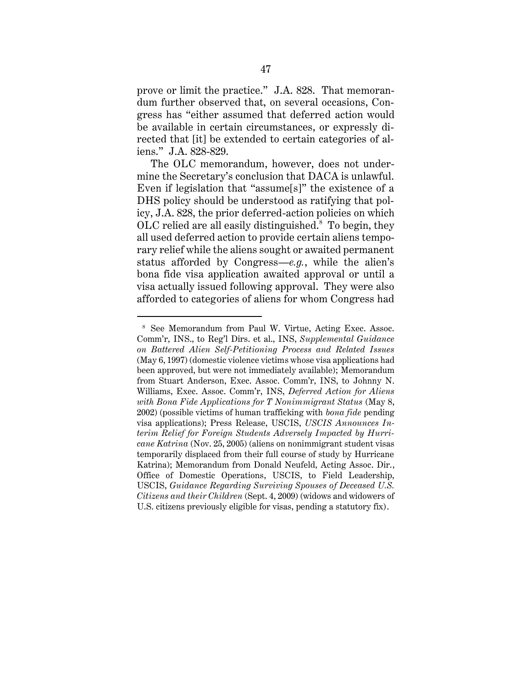prove or limit the practice." J.A. 828. That memorandum further observed that, on several occasions, Congress has "either assumed that deferred action would be available in certain circumstances, or expressly directed that [it] be extended to certain categories of aliens." J.A. 828-829.

The OLC memorandum, however, does not undermine the Secretary's conclusion that DACA is unlawful. Even if legislation that "assume[s]" the existence of a DHS policy should be understood as ratifying that policy, J.A. 828, the prior deferred-action policies on which OLC relied are all easily distinguished.<sup>8</sup> To begin, they all used deferred action to provide certain aliens temporary relief while the aliens sought or awaited permanent status afforded by Congress—*e.g.*, while the alien's bona fide visa application awaited approval or until a visa actually issued following approval. They were also afforded to categories of aliens for whom Congress had

<sup>8</sup> See Memorandum from Paul W. Virtue, Acting Exec. Assoc. Comm'r, INS., to Reg'l Dirs. et al., INS, *Supplemental Guidance on Battered Alien Self-Petitioning Process and Related Issues* (May 6, 1997) (domestic violence victims whose visa applications had been approved, but were not immediately available); Memorandum from Stuart Anderson, Exec. Assoc. Comm'r, INS, to Johnny N. Williams, Exec. Assoc. Comm'r, INS, *Deferred Action for Aliens with Bona Fide Applications for T Nonimmigrant Status* (May 8, 2002) (possible victims of human trafficking with *bona fide* pending visa applications); Press Release, USCIS, *USCIS Announces Interim Relief for Foreign Students Adversely Impacted by Hurricane Katrina* (Nov. 25, 2005) (aliens on nonimmigrant student visas temporarily displaced from their full course of study by Hurricane Katrina); Memorandum from Donald Neufeld, Acting Assoc. Dir., Office of Domestic Operations, USCIS, to Field Leadership, USCIS, *Guidance Regarding Surviving Spouses of Deceased U.S. Citizens and their Children* (Sept. 4, 2009) (widows and widowers of U.S. citizens previously eligible for visas, pending a statutory fix).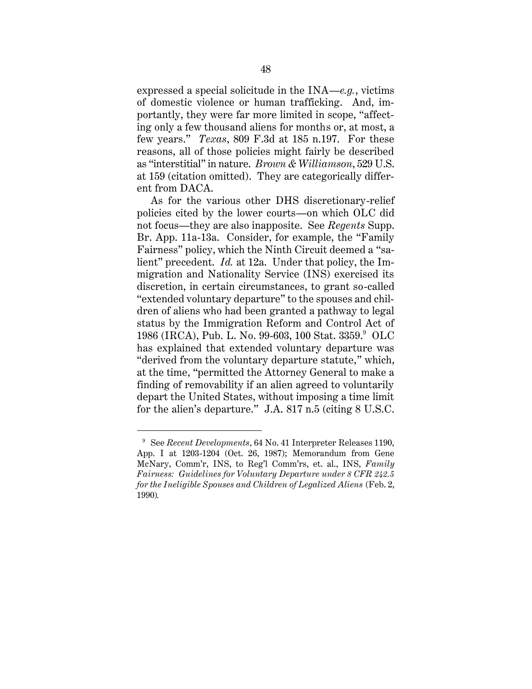expressed a special solicitude in the INA—*e.g.*, victims of domestic violence or human trafficking. And, importantly, they were far more limited in scope, "affecting only a few thousand aliens for months or, at most, a few years." *Texas*, 809 F.3d at 185 n.197. For these reasons, all of those policies might fairly be described as "interstitial" in nature. *Brown & Williamson*, 529 U.S. at 159 (citation omitted). They are categorically different from DACA.

As for the various other DHS discretionary-relief policies cited by the lower courts—on which OLC did not focus—they are also inapposite. See *Regents* Supp. Br. App. 11a-13a. Consider, for example, the "Family Fairness" policy, which the Ninth Circuit deemed a "salient" precedent. *Id.* at 12a. Under that policy, the Immigration and Nationality Service (INS) exercised its discretion, in certain circumstances, to grant so-called "extended voluntary departure" to the spouses and children of aliens who had been granted a pathway to legal status by the Immigration Reform and Control Act of 1986 (IRCA), Pub. L. No. 99-603, 100 Stat. 3359. 9 OLC has explained that extended voluntary departure was "derived from the voluntary departure statute," which, at the time, "permitted the Attorney General to make a finding of removability if an alien agreed to voluntarily depart the United States, without imposing a time limit for the alien's departure." J.A. 817 n.5 (citing 8 U.S.C.

<sup>9</sup> See *Recent Developments*, 64 No. 41 Interpreter Releases 1190, App. I at 1203-1204 (Oct. 26, 1987); Memorandum from Gene McNary, Comm'r, INS, to Reg'l Comm'rs, et. al., INS, *Family Fairness: Guidelines for Voluntary Departure under 8 CFR 242.5 for the Ineligible Spouses and Children of Legalized Aliens* (Feb. 2, 1990)*.*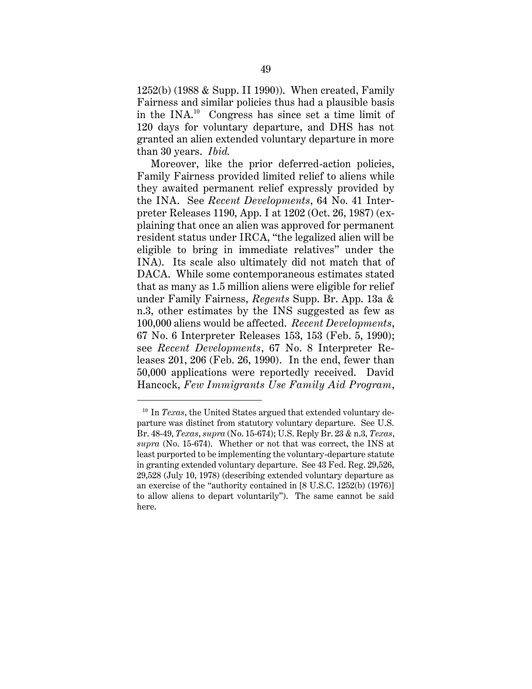1252(b) (1988 & Supp. II 1990)). When created, Family Fairness and similar policies thus had a plausible basis in the  $INA^{10}$  Congress has since set a time limit of 120 days for voluntary departure, and DHS has not granted an alien extended voluntary departure in more than 30 years. *Ibid.*

Moreover, like the prior deferred-action policies, Family Fairness provided limited relief to aliens while they awaited permanent relief expressly provided by the INA. See *Recent Developments*, 64 No. 41 Interpreter Releases 1190, App. I at 1202 (Oct. 26, 1987) (explaining that once an alien was approved for permanent resident status under IRCA, "the legalized alien will be eligible to bring in immediate relatives" under the INA). Its scale also ultimately did not match that of DACA. While some contemporaneous estimates stated that as many as 1.5 million aliens were eligible for relief under Family Fairness, *Regents* Supp. Br. App. 13a & n.3, other estimates by the INS suggested as few as 100,000 aliens would be affected. *Recent Developments*, 67 No. 6 Interpreter Releases 153, 153 (Feb. 5, 1990); see *Recent Developments*, 67 No. 8 Interpreter Releases 201, 206 (Feb. 26, 1990). In the end, fewer than 50,000 applications were reportedly received. David Hancock, *Few Immigrants Use Family Aid Program*,

<sup>&</sup>lt;sup>10</sup> In *Texas*, the United States argued that extended voluntary departure was distinct from statutory voluntary departure. See U.S. Br. 48-49, *Texas*, *supra* (No. 15-674); U.S. Reply Br. 23 & n.3, *Texas*, *supra* (No. 15-674). Whether or not that was correct, the INS at least purported to be implementing the voluntary-departure statute in granting extended voluntary departure. See 43 Fed. Reg. 29,526, 29,528 (July 10, 1978) (describing extended voluntary departure as an exercise of the "authority contained in [8 U.S.C. 1252(b) (1976)] to allow aliens to depart voluntarily"). The same cannot be said here.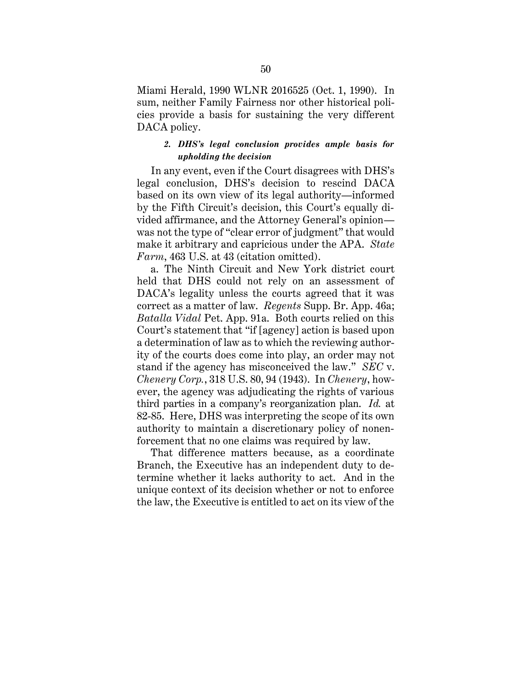Miami Herald, 1990 WLNR 2016525 (Oct. 1, 1990). In sum, neither Family Fairness nor other historical policies provide a basis for sustaining the very different DACA policy.

## *2. DHS's legal conclusion provides ample basis for upholding the decision*

In any event, even if the Court disagrees with DHS's legal conclusion, DHS's decision to rescind DACA based on its own view of its legal authority—informed by the Fifth Circuit's decision, this Court's equally divided affirmance, and the Attorney General's opinion was not the type of "clear error of judgment" that would make it arbitrary and capricious under the APA. *State Farm*, 463 U.S. at 43 (citation omitted).

a. The Ninth Circuit and New York district court held that DHS could not rely on an assessment of DACA's legality unless the courts agreed that it was correct as a matter of law. *Regents* Supp. Br. App. 46a; *Batalla Vidal* Pet. App. 91a. Both courts relied on this Court's statement that "if [agency] action is based upon a determination of law as to which the reviewing authority of the courts does come into play, an order may not stand if the agency has misconceived the law." *SEC* v. *Chenery Corp.*, 318 U.S. 80, 94 (1943). In *Chenery*, however, the agency was adjudicating the rights of various third parties in a company's reorganization plan. *Id.* at 82-85. Here, DHS was interpreting the scope of its own authority to maintain a discretionary policy of nonenforcement that no one claims was required by law.

That difference matters because, as a coordinate Branch, the Executive has an independent duty to determine whether it lacks authority to act. And in the unique context of its decision whether or not to enforce the law, the Executive is entitled to act on its view of the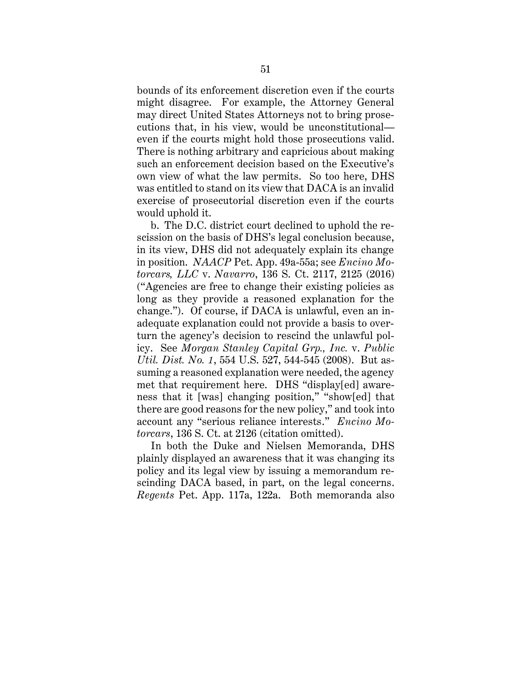bounds of its enforcement discretion even if the courts might disagree. For example, the Attorney General may direct United States Attorneys not to bring prosecutions that, in his view, would be unconstitutional even if the courts might hold those prosecutions valid. There is nothing arbitrary and capricious about making such an enforcement decision based on the Executive's own view of what the law permits. So too here, DHS was entitled to stand on its view that DACA is an invalid exercise of prosecutorial discretion even if the courts would uphold it.

b. The D.C. district court declined to uphold the rescission on the basis of DHS's legal conclusion because, in its view, DHS did not adequately explain its change in position. *NAACP* Pet. App. 49a-55a; see *Encino Motorcars, LLC* v. *Navarro*, 136 S. Ct. 2117, 2125 (2016) ("Agencies are free to change their existing policies as long as they provide a reasoned explanation for the change."). Of course, if DACA is unlawful, even an inadequate explanation could not provide a basis to overturn the agency's decision to rescind the unlawful policy. See *Morgan Stanley Capital Grp., Inc.* v. *Public Util. Dist. No. 1*, 554 U.S. 527, 544-545 (2008). But assuming a reasoned explanation were needed, the agency met that requirement here. DHS "display[ed] awareness that it [was] changing position," "show[ed] that there are good reasons for the new policy," and took into account any "serious reliance interests." *Encino Motorcars*, 136 S. Ct. at 2126 (citation omitted).

In both the Duke and Nielsen Memoranda, DHS plainly displayed an awareness that it was changing its policy and its legal view by issuing a memorandum rescinding DACA based, in part, on the legal concerns. *Regents* Pet. App. 117a, 122a. Both memoranda also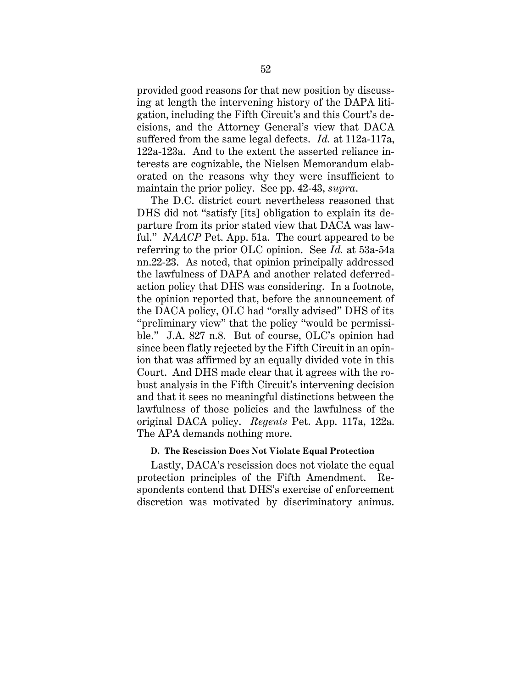provided good reasons for that new position by discussing at length the intervening history of the DAPA litigation, including the Fifth Circuit's and this Court's decisions, and the Attorney General's view that DACA suffered from the same legal defects. *Id.* at 112a-117a, 122a-123a. And to the extent the asserted reliance interests are cognizable, the Nielsen Memorandum elaborated on the reasons why they were insufficient to maintain the prior policy. See pp. 42-43, *supra*.

The D.C. district court nevertheless reasoned that DHS did not "satisfy [its] obligation to explain its departure from its prior stated view that DACA was lawful." *NAACP* Pet. App. 51a. The court appeared to be referring to the prior OLC opinion. See *Id.* at 53a-54a nn.22-23. As noted, that opinion principally addressed the lawfulness of DAPA and another related deferredaction policy that DHS was considering. In a footnote, the opinion reported that, before the announcement of the DACA policy, OLC had "orally advised" DHS of its "preliminary view" that the policy "would be permissible." J.A. 827 n.8. But of course, OLC's opinion had since been flatly rejected by the Fifth Circuit in an opinion that was affirmed by an equally divided vote in this Court. And DHS made clear that it agrees with the robust analysis in the Fifth Circuit's intervening decision and that it sees no meaningful distinctions between the lawfulness of those policies and the lawfulness of the original DACA policy. *Regents* Pet. App. 117a, 122a. The APA demands nothing more.

## **D. The Rescission Does Not Violate Equal Protection**

Lastly, DACA's rescission does not violate the equal protection principles of the Fifth Amendment. Respondents contend that DHS's exercise of enforcement discretion was motivated by discriminatory animus.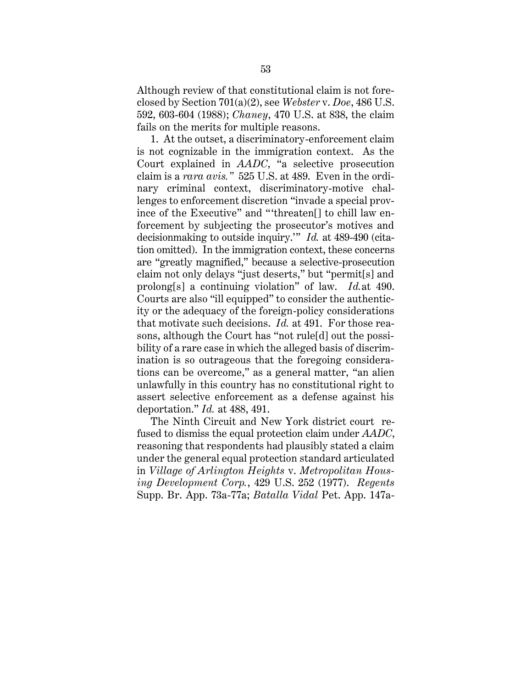Although review of that constitutional claim is not foreclosed by Section 701(a)(2), see *Webster* v. *Doe*, 486 U.S. 592, 603-604 (1988); *Chaney*, 470 U.S. at 838, the claim fails on the merits for multiple reasons.

1. At the outset, a discriminatory-enforcement claim is not cognizable in the immigration context. As the Court explained in *AADC*, "a selective prosecution claim is a *rara avis."* 525 U.S. at 489. Even in the ordinary criminal context, discriminatory-motive challenges to enforcement discretion "invade a special province of the Executive" and "'threaten[] to chill law enforcement by subjecting the prosecutor's motives and decisionmaking to outside inquiry.'" *Id.* at 489-490 (citation omitted). In the immigration context, these concerns are "greatly magnified," because a selective-prosecution claim not only delays "just deserts," but "permit[s] and prolong[s] a continuing violation" of law. *Id.*at 490. Courts are also "ill equipped" to consider the authenticity or the adequacy of the foreign-policy considerations that motivate such decisions. *Id.* at 491. For those reasons, although the Court has "not rule[d] out the possibility of a rare case in which the alleged basis of discrimination is so outrageous that the foregoing considerations can be overcome," as a general matter, "an alien unlawfully in this country has no constitutional right to assert selective enforcement as a defense against his deportation." *Id.* at 488, 491.

The Ninth Circuit and New York district court refused to dismiss the equal protection claim under *AADC*, reasoning that respondents had plausibly stated a claim under the general equal protection standard articulated in *Village of Arlington Heights* v. *Metropolitan Housing Development Corp.*, 429 U.S. 252 (1977). *Regents*  Supp. Br. App. 73a-77a; *Batalla Vidal* Pet. App. 147a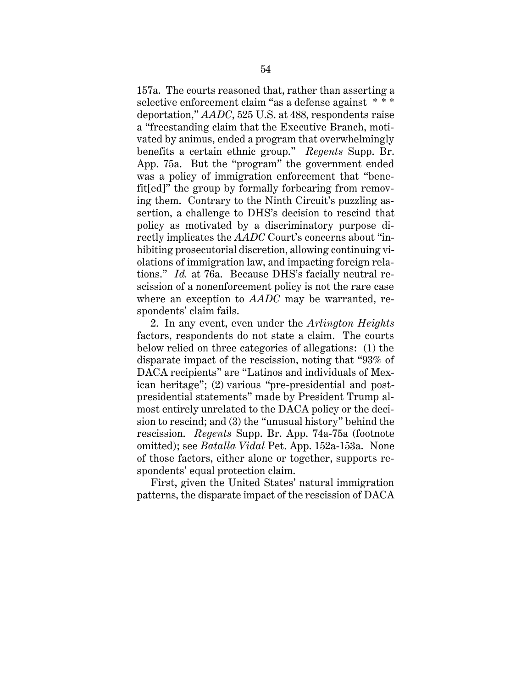157a. The courts reasoned that, rather than asserting a selective enforcement claim "as a defense against  $***$ deportation," *AADC*, 525 U.S. at 488, respondents raise a "freestanding claim that the Executive Branch, motivated by animus, ended a program that overwhelmingly benefits a certain ethnic group." *Regents* Supp. Br. App. 75a. But the "program" the government ended was a policy of immigration enforcement that "benefit[ed]" the group by formally forbearing from removing them. Contrary to the Ninth Circuit's puzzling assertion, a challenge to DHS's decision to rescind that policy as motivated by a discriminatory purpose directly implicates the *AADC* Court's concerns about "inhibiting prosecutorial discretion, allowing continuing violations of immigration law, and impacting foreign relations." *Id.* at 76a. Because DHS's facially neutral rescission of a nonenforcement policy is not the rare case where an exception to *AADC* may be warranted, respondents' claim fails.

2. In any event, even under the *Arlington Heights*  factors, respondents do not state a claim. The courts below relied on three categories of allegations: (1) the disparate impact of the rescission, noting that "93% of DACA recipients" are "Latinos and individuals of Mexican heritage"; (2) various "pre-presidential and postpresidential statements" made by President Trump almost entirely unrelated to the DACA policy or the decision to rescind; and (3) the "unusual history" behind the rescission. *Regents* Supp. Br. App. 74a-75a (footnote omitted); see *Batalla Vidal* Pet. App. 152a-153a. None of those factors, either alone or together, supports respondents' equal protection claim.

First, given the United States' natural immigration patterns, the disparate impact of the rescission of DACA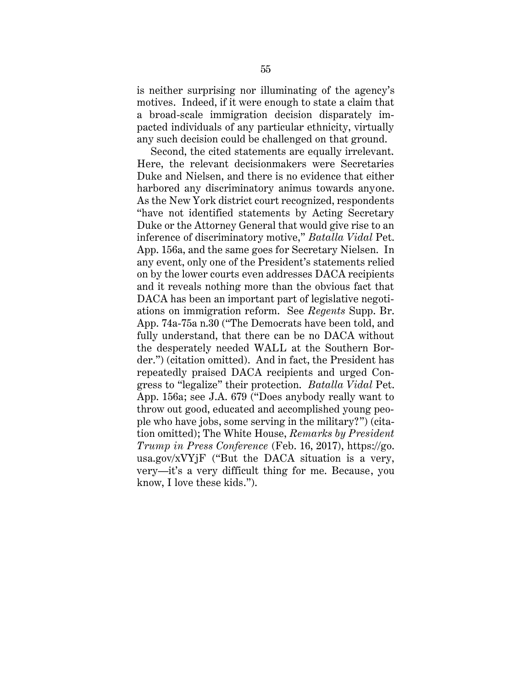is neither surprising nor illuminating of the agency's motives. Indeed, if it were enough to state a claim that a broad-scale immigration decision disparately impacted individuals of any particular ethnicity, virtually any such decision could be challenged on that ground.

Second, the cited statements are equally irrelevant. Here, the relevant decisionmakers were Secretaries Duke and Nielsen, and there is no evidence that either harbored any discriminatory animus towards anyone. As the New York district court recognized, respondents "have not identified statements by Acting Secretary Duke or the Attorney General that would give rise to an inference of discriminatory motive," *Batalla Vidal* Pet. App. 156a, and the same goes for Secretary Nielsen. In any event, only one of the President's statements relied on by the lower courts even addresses DACA recipients and it reveals nothing more than the obvious fact that DACA has been an important part of legislative negotiations on immigration reform. See *Regents* Supp. Br. App. 74a-75a n.30 ("The Democrats have been told, and fully understand, that there can be no DACA without the desperately needed WALL at the Southern Border.") (citation omitted). And in fact, the President has repeatedly praised DACA recipients and urged Congress to "legalize" their protection. *Batalla Vidal* Pet. App. 156a; see J.A. 679 ("Does anybody really want to throw out good, educated and accomplished young people who have jobs, some serving in the military?") (citation omitted); The White House, *Remarks by President Trump in Press Conference* (Feb. 16, 2017), https://go. usa.gov/ $XVY$ jF ("But the DACA situation is a very, very—it's a very difficult thing for me. Because, you know, I love these kids.").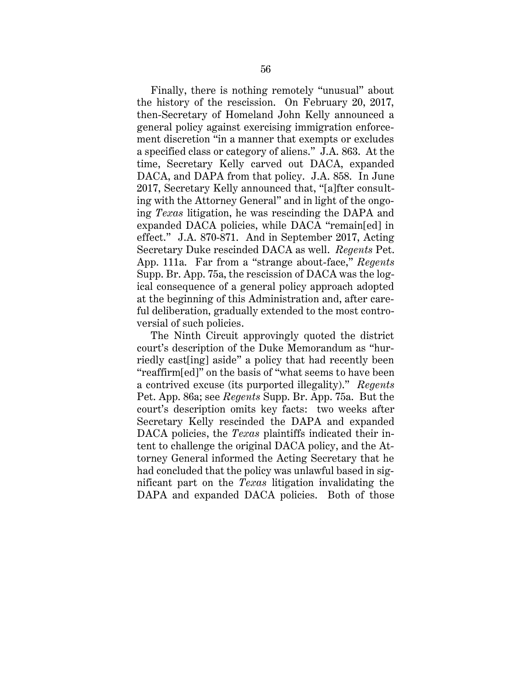Finally, there is nothing remotely "unusual" about the history of the rescission. On February 20, 2017, then-Secretary of Homeland John Kelly announced a general policy against exercising immigration enforcement discretion "in a manner that exempts or excludes a specified class or category of aliens." J.A. 863. At the time, Secretary Kelly carved out DACA, expanded DACA, and DAPA from that policy. J.A. 858. In June 2017, Secretary Kelly announced that, "[a]fter consulting with the Attorney General" and in light of the ongoing *Texas* litigation, he was rescinding the DAPA and expanded DACA policies, while DACA "remain[ed] in effect." J.A. 870-871. And in September 2017, Acting Secretary Duke rescinded DACA as well. *Regents* Pet. App. 111a. Far from a "strange about-face," *Regents* Supp. Br. App. 75a, the rescission of DACA was the logical consequence of a general policy approach adopted at the beginning of this Administration and, after careful deliberation, gradually extended to the most controversial of such policies.

The Ninth Circuit approvingly quoted the district court's description of the Duke Memorandum as "hurriedly cast[ing] aside" a policy that had recently been "reaffirm[ed]" on the basis of "what seems to have been a contrived excuse (its purported illegality)." *Regents* Pet. App. 86a; see *Regents* Supp. Br. App. 75a. But the court's description omits key facts: two weeks after Secretary Kelly rescinded the DAPA and expanded DACA policies, the *Texas* plaintiffs indicated their intent to challenge the original DACA policy, and the Attorney General informed the Acting Secretary that he had concluded that the policy was unlawful based in significant part on the *Texas* litigation invalidating the DAPA and expanded DACA policies. Both of those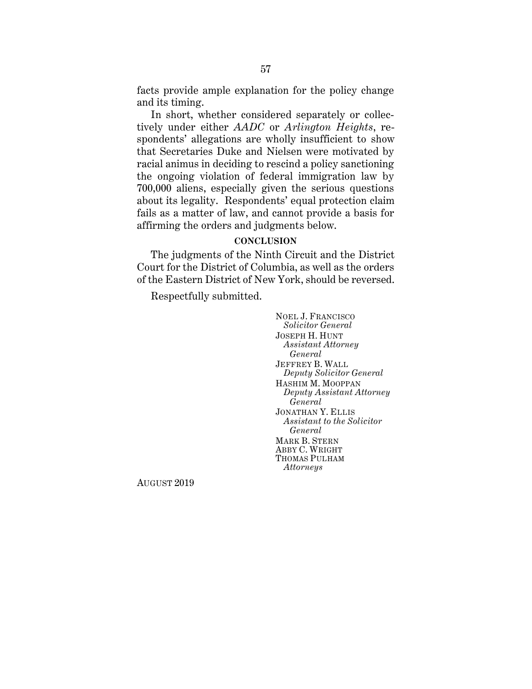facts provide ample explanation for the policy change and its timing.

In short, whether considered separately or collectively under either *AADC* or *Arlington Heights*, respondents' allegations are wholly insufficient to show that Secretaries Duke and Nielsen were motivated by racial animus in deciding to rescind a policy sanctioning the ongoing violation of federal immigration law by 700,000 aliens, especially given the serious questions about its legality. Respondents' equal protection claim fails as a matter of law, and cannot provide a basis for affirming the orders and judgments below.

## **CONCLUSION**

The judgments of the Ninth Circuit and the District Court for the District of Columbia, as well as the orders of the Eastern District of New York, should be reversed.

Respectfully submitted.

NOEL J. FRANCISCO *Solicitor General* JOSEPH H. HUNT *Assistant Attorney General* JEFFREY B. WALL *Deputy Solicitor General* HASHIM M. MOOPPAN *Deputy Assistant Attorney General* JONATHAN Y. ELLIS *Assistant to the Solicitor General* MARK B. STERN ABBY C. WRIGHT THOMAS PULHAM *Attorneys*

AUGUST 2019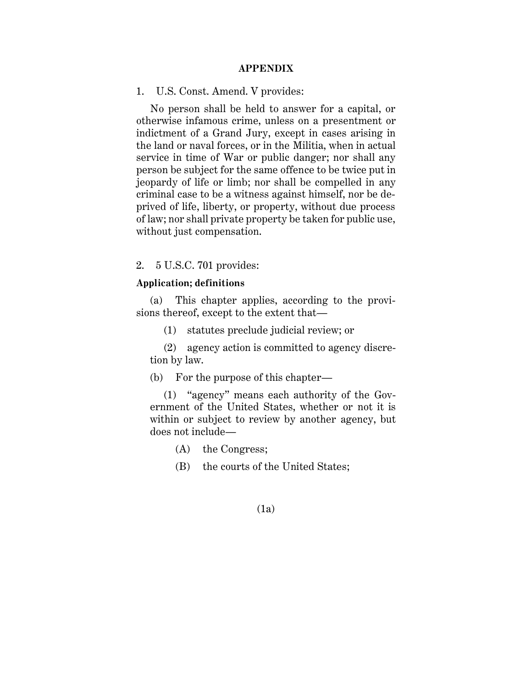#### **APPENDIX**

1. U.S. Const. Amend. V provides:

No person shall be held to answer for a capital, or otherwise infamous crime, unless on a presentment or indictment of a Grand Jury, except in cases arising in the land or naval forces, or in the Militia, when in actual service in time of War or public danger; nor shall any person be subject for the same offence to be twice put in jeopardy of life or limb; nor shall be compelled in any criminal case to be a witness against himself, nor be deprived of life, liberty, or property, without due process of law; nor shall private property be taken for public use, without just compensation.

2. 5 U.S.C. 701 provides:

## **Application; definitions**

(a) This chapter applies, according to the provisions thereof, except to the extent that—

(1) statutes preclude judicial review; or

(2) agency action is committed to agency discretion by law.

(b) For the purpose of this chapter—

(1) "agency" means each authority of the Government of the United States, whether or not it is within or subject to review by another agency, but does not include—

(A) the Congress;

(B) the courts of the United States;

#### (1a)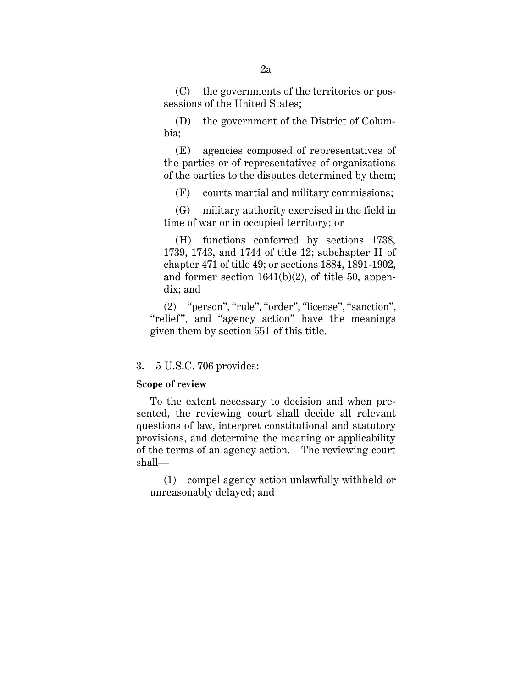(C) the governments of the territories or possessions of the United States;

(D) the government of the District of Columbia;

(E) agencies composed of representatives of the parties or of representatives of organizations of the parties to the disputes determined by them;

(F) courts martial and military commissions;

(G) military authority exercised in the field in time of war or in occupied territory; or

(H) functions conferred by sections 1738, 1739, 1743, and 1744 of title 12; subchapter II of chapter 471 of title 49; or sections 1884, 1891-1902, and former section 1641(b)(2), of title 50, appendix; and

(2) "person", "rule", "order", "license", "sanction", "relief", and "agency action" have the meanings given them by section 551 of this title.

#### 3. 5 U.S.C. 706 provides:

#### **Scope of review**

To the extent necessary to decision and when presented, the reviewing court shall decide all relevant questions of law, interpret constitutional and statutory provisions, and determine the meaning or applicability of the terms of an agency action. The reviewing court shall—

(1) compel agency action unlawfully withheld or unreasonably delayed; and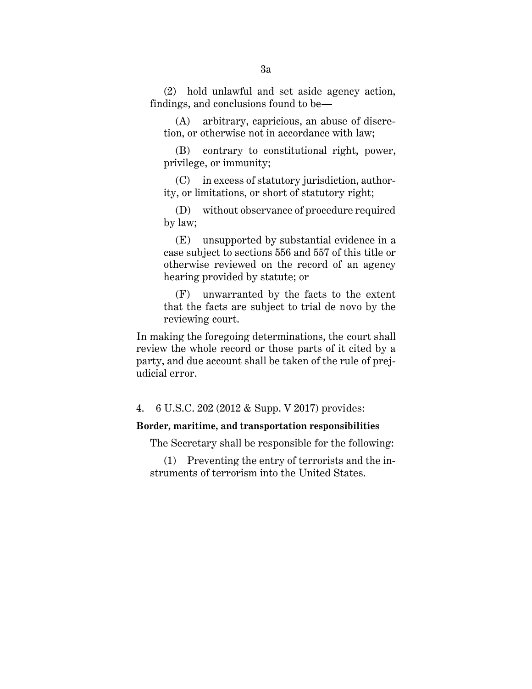(2) hold unlawful and set aside agency action, findings, and conclusions found to be—

(A) arbitrary, capricious, an abuse of discretion, or otherwise not in accordance with law;

(B) contrary to constitutional right, power, privilege, or immunity;

(C) in excess of statutory jurisdiction, authority, or limitations, or short of statutory right;

(D) without observance of procedure required by law;

(E) unsupported by substantial evidence in a case subject to sections 556 and 557 of this title or otherwise reviewed on the record of an agency hearing provided by statute; or

(F) unwarranted by the facts to the extent that the facts are subject to trial de novo by the reviewing court.

In making the foregoing determinations, the court shall review the whole record or those parts of it cited by a party, and due account shall be taken of the rule of prejudicial error.

4. 6 U.S.C. 202 (2012 & Supp. V 2017) provides:

### **Border, maritime, and transportation responsibilities**

The Secretary shall be responsible for the following:

(1) Preventing the entry of terrorists and the instruments of terrorism into the United States.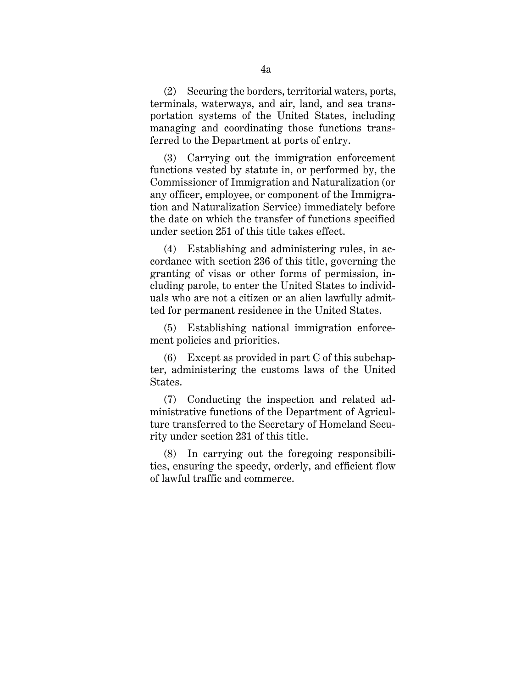(2) Securing the borders, territorial waters, ports, terminals, waterways, and air, land, and sea transportation systems of the United States, including managing and coordinating those functions transferred to the Department at ports of entry.

(3) Carrying out the immigration enforcement functions vested by statute in, or performed by, the Commissioner of Immigration and Naturalization (or any officer, employee, or component of the Immigration and Naturalization Service) immediately before the date on which the transfer of functions specified under section 251 of this title takes effect.

(4) Establishing and administering rules, in accordance with section 236 of this title, governing the granting of visas or other forms of permission, including parole, to enter the United States to individuals who are not a citizen or an alien lawfully admitted for permanent residence in the United States.

(5) Establishing national immigration enforcement policies and priorities.

(6) Except as provided in part C of this subchapter, administering the customs laws of the United States.

(7) Conducting the inspection and related administrative functions of the Department of Agriculture transferred to the Secretary of Homeland Security under section 231 of this title.

(8) In carrying out the foregoing responsibilities, ensuring the speedy, orderly, and efficient flow of lawful traffic and commerce.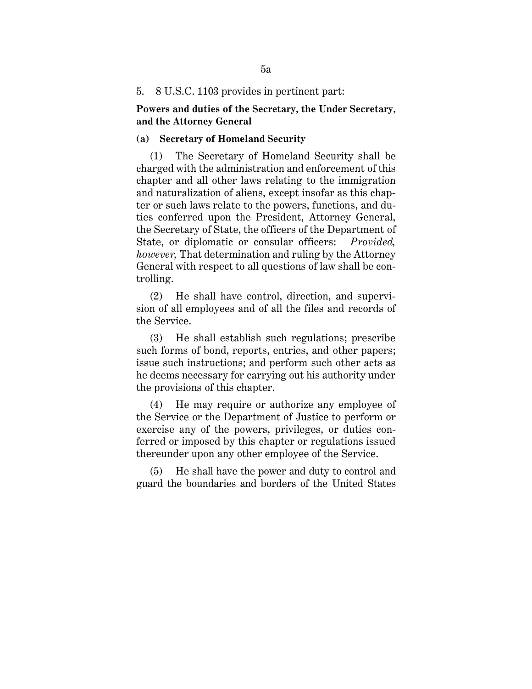#### 5. 8 U.S.C. 1103 provides in pertinent part:

### **Powers and duties of the Secretary, the Under Secretary, and the Attorney General**

## **(a) Secretary of Homeland Security**

(1) The Secretary of Homeland Security shall be charged with the administration and enforcement of this chapter and all other laws relating to the immigration and naturalization of aliens, except insofar as this chapter or such laws relate to the powers, functions, and duties conferred upon the President, Attorney General, the Secretary of State, the officers of the Department of State, or diplomatic or consular officers: *Provided, however,* That determination and ruling by the Attorney General with respect to all questions of law shall be controlling.

(2) He shall have control, direction, and supervision of all employees and of all the files and records of the Service.

(3) He shall establish such regulations; prescribe such forms of bond, reports, entries, and other papers; issue such instructions; and perform such other acts as he deems necessary for carrying out his authority under the provisions of this chapter.

(4) He may require or authorize any employee of the Service or the Department of Justice to perform or exercise any of the powers, privileges, or duties conferred or imposed by this chapter or regulations issued thereunder upon any other employee of the Service.

(5) He shall have the power and duty to control and guard the boundaries and borders of the United States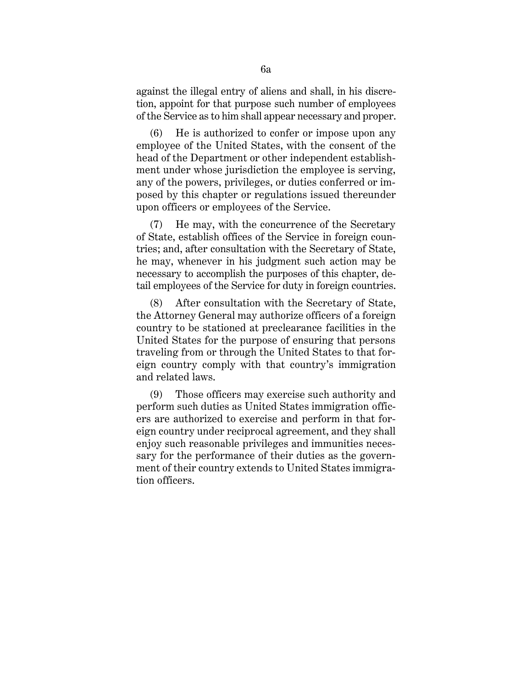against the illegal entry of aliens and shall, in his discretion, appoint for that purpose such number of employees of the Service as to him shall appear necessary and proper.

(6) He is authorized to confer or impose upon any employee of the United States, with the consent of the head of the Department or other independent establishment under whose jurisdiction the employee is serving, any of the powers, privileges, or duties conferred or imposed by this chapter or regulations issued thereunder upon officers or employees of the Service.

(7) He may, with the concurrence of the Secretary of State, establish offices of the Service in foreign countries; and, after consultation with the Secretary of State, he may, whenever in his judgment such action may be necessary to accomplish the purposes of this chapter, detail employees of the Service for duty in foreign countries.

(8) After consultation with the Secretary of State, the Attorney General may authorize officers of a foreign country to be stationed at preclearance facilities in the United States for the purpose of ensuring that persons traveling from or through the United States to that foreign country comply with that country's immigration and related laws.

(9) Those officers may exercise such authority and perform such duties as United States immigration officers are authorized to exercise and perform in that foreign country under reciprocal agreement, and they shall enjoy such reasonable privileges and immunities necessary for the performance of their duties as the government of their country extends to United States immigration officers.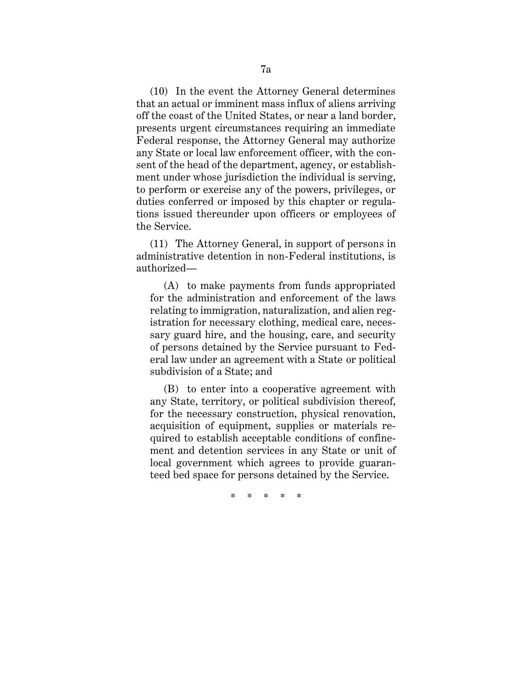(10) In the event the Attorney General determines that an actual or imminent mass influx of aliens arriving off the coast of the United States, or near a land border, presents urgent circumstances requiring an immediate Federal response, the Attorney General may authorize any State or local law enforcement officer, with the consent of the head of the department, agency, or establishment under whose jurisdiction the individual is serving, to perform or exercise any of the powers, privileges, or duties conferred or imposed by this chapter or regulations issued thereunder upon officers or employees of the Service.

(11) The Attorney General, in support of persons in administrative detention in non-Federal institutions, is authorized—

(A) to make payments from funds appropriated for the administration and enforcement of the laws relating to immigration, naturalization, and alien registration for necessary clothing, medical care, necessary guard hire, and the housing, care, and security of persons detained by the Service pursuant to Federal law under an agreement with a State or political subdivision of a State; and

(B) to enter into a cooperative agreement with any State, territory, or political subdivision thereof, for the necessary construction, physical renovation, acquisition of equipment, supplies or materials required to establish acceptable conditions of confinement and detention services in any State or unit of local government which agrees to provide guaranteed bed space for persons detained by the Service.

\* \* \* \* \*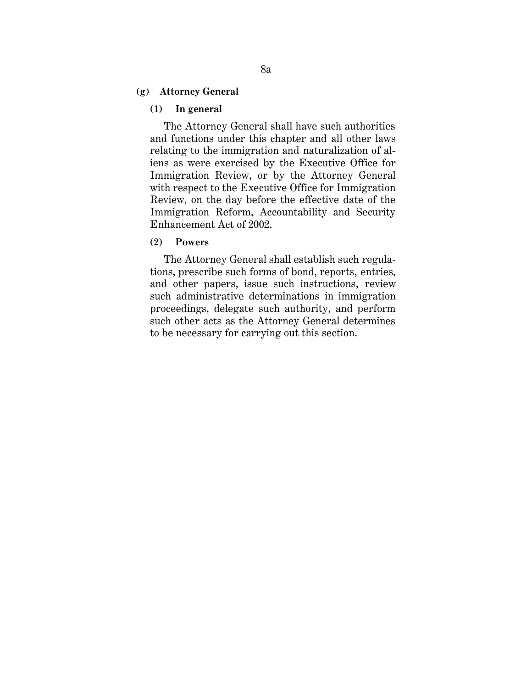## **(g) Attorney General**

### **(1) In general**

The Attorney General shall have such authorities and functions under this chapter and all other laws relating to the immigration and naturalization of aliens as were exercised by the Executive Office for Immigration Review, or by the Attorney General with respect to the Executive Office for Immigration Review, on the day before the effective date of the Immigration Reform, Accountability and Security Enhancement Act of 2002.

### **(2) Powers**

The Attorney General shall establish such regulations, prescribe such forms of bond, reports, entries, and other papers, issue such instructions, review such administrative determinations in immigration proceedings, delegate such authority, and perform such other acts as the Attorney General determines to be necessary for carrying out this section.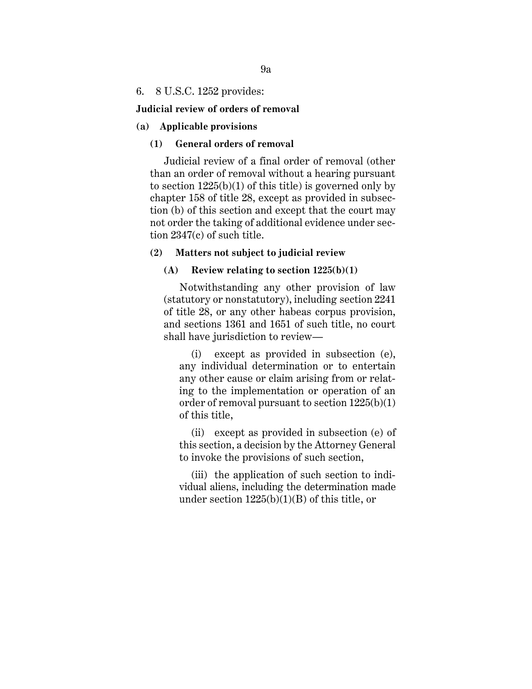### 6. 8 U.S.C. 1252 provides:

### **Judicial review of orders of removal**

#### **(a) Applicable provisions**

## **(1) General orders of removal**

Judicial review of a final order of removal (other than an order of removal without a hearing pursuant to section  $1225(b)(1)$  of this title) is governed only by chapter 158 of title 28, except as provided in subsection (b) of this section and except that the court may not order the taking of additional evidence under section 2347(c) of such title.

### **(2) Matters not subject to judicial review**

# **(A) Review relating to section 1225(b)(1)**

Notwithstanding any other provision of law (statutory or nonstatutory), including section 2241 of title 28, or any other habeas corpus provision, and sections 1361 and 1651 of such title, no court shall have jurisdiction to review—

(i) except as provided in subsection (e), any individual determination or to entertain any other cause or claim arising from or relating to the implementation or operation of an order of removal pursuant to section 1225(b)(1) of this title,

(ii) except as provided in subsection (e) of this section, a decision by the Attorney General to invoke the provisions of such section,

(iii) the application of such section to individual aliens, including the determination made under section  $1225(b)(1)(B)$  of this title, or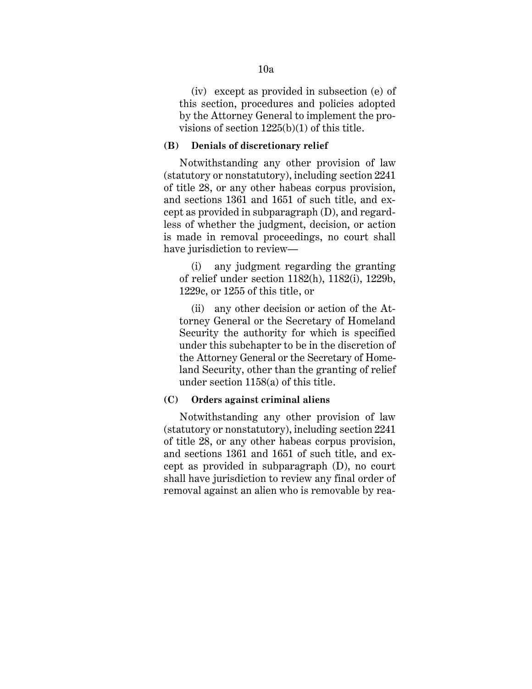(iv) except as provided in subsection (e) of this section, procedures and policies adopted by the Attorney General to implement the provisions of section 1225(b)(1) of this title.

### **(B) Denials of discretionary relief**

Notwithstanding any other provision of law (statutory or nonstatutory), including section 2241 of title 28, or any other habeas corpus provision, and sections 1361 and 1651 of such title, and except as provided in subparagraph (D), and regardless of whether the judgment, decision, or action is made in removal proceedings, no court shall have jurisdiction to review—

(i) any judgment regarding the granting of relief under section 1182(h), 1182(i), 1229b, 1229c, or 1255 of this title, or

(ii) any other decision or action of the Attorney General or the Secretary of Homeland Security the authority for which is specified under this subchapter to be in the discretion of the Attorney General or the Secretary of Homeland Security, other than the granting of relief under section 1158(a) of this title.

# **(C) Orders against criminal aliens**

Notwithstanding any other provision of law (statutory or nonstatutory), including section 2241 of title 28, or any other habeas corpus provision, and sections 1361 and 1651 of such title, and except as provided in subparagraph (D), no court shall have jurisdiction to review any final order of removal against an alien who is removable by rea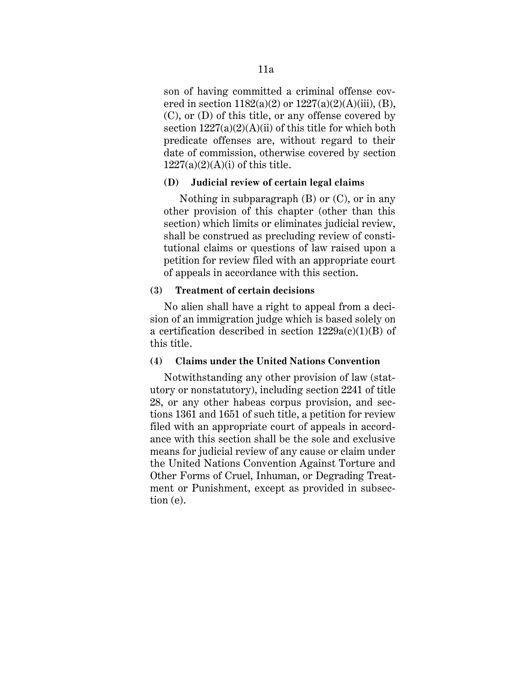son of having committed a criminal offense covered in section  $1182(a)(2)$  or  $1227(a)(2)(A)(iii)$ , (B), (C), or (D) of this title, or any offense covered by section  $1227(a)(2)(A)(ii)$  of this title for which both predicate offenses are, without regard to their date of commission, otherwise covered by section  $1227(a)(2)(A)(i)$  of this title.

## **(D) Judicial review of certain legal claims**

Nothing in subparagraph (B) or (C), or in any other provision of this chapter (other than this section) which limits or eliminates judicial review, shall be construed as precluding review of constitutional claims or questions of law raised upon a petition for review filed with an appropriate court of appeals in accordance with this section.

## **(3) Treatment of certain decisions**

No alien shall have a right to appeal from a decision of an immigration judge which is based solely on a certification described in section  $1229a(c)(1)(B)$  of this title.

## **(4) Claims under the United Nations Convention**

Notwithstanding any other provision of law (statutory or nonstatutory), including section 2241 of title 28, or any other habeas corpus provision, and sections 1361 and 1651 of such title, a petition for review filed with an appropriate court of appeals in accordance with this section shall be the sole and exclusive means for judicial review of any cause or claim under the United Nations Convention Against Torture and Other Forms of Cruel, Inhuman, or Degrading Treatment or Punishment, except as provided in subsection (e).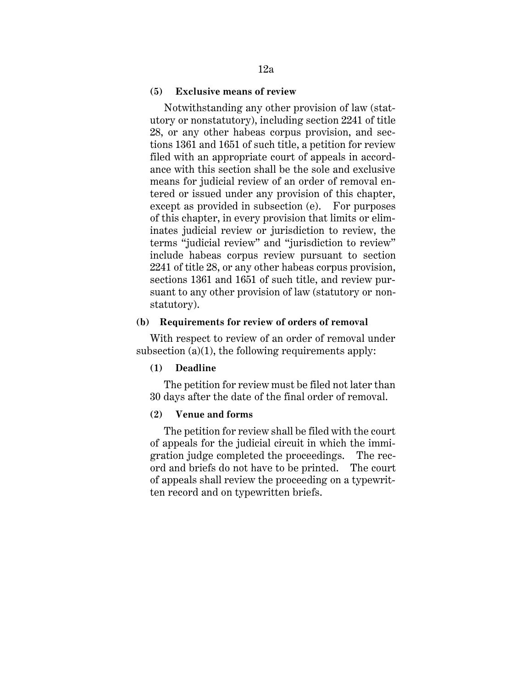### **(5) Exclusive means of review**

Notwithstanding any other provision of law (statutory or nonstatutory), including section 2241 of title 28, or any other habeas corpus provision, and sections 1361 and 1651 of such title, a petition for review filed with an appropriate court of appeals in accordance with this section shall be the sole and exclusive means for judicial review of an order of removal entered or issued under any provision of this chapter, except as provided in subsection (e). For purposes of this chapter, in every provision that limits or eliminates judicial review or jurisdiction to review, the terms "judicial review" and "jurisdiction to review" include habeas corpus review pursuant to section 2241 of title 28, or any other habeas corpus provision, sections 1361 and 1651 of such title, and review pursuant to any other provision of law (statutory or nonstatutory).

### **(b) Requirements for review of orders of removal**

With respect to review of an order of removal under subsection  $(a)(1)$ , the following requirements apply:

### **(1) Deadline**

The petition for review must be filed not later than 30 days after the date of the final order of removal.

### **(2) Venue and forms**

The petition for review shall be filed with the court of appeals for the judicial circuit in which the immigration judge completed the proceedings. The record and briefs do not have to be printed. The court of appeals shall review the proceeding on a typewritten record and on typewritten briefs.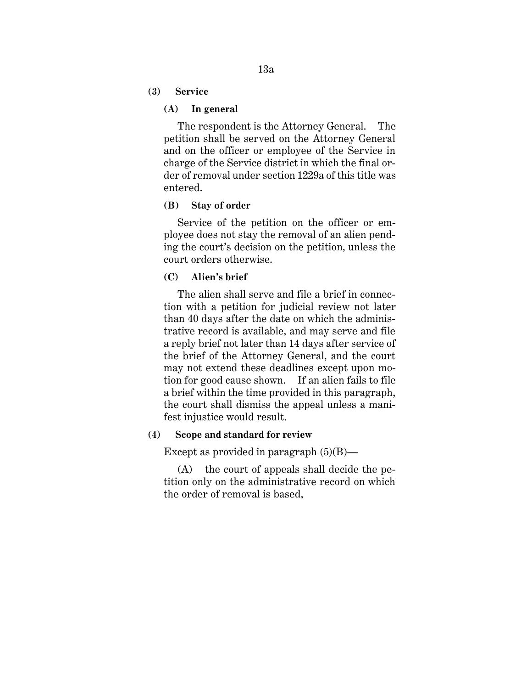**(3) Service**

## **(A) In general**

The respondent is the Attorney General. The petition shall be served on the Attorney General and on the officer or employee of the Service in charge of the Service district in which the final order of removal under section 1229a of this title was entered.

## **(B) Stay of order**

Service of the petition on the officer or employee does not stay the removal of an alien pending the court's decision on the petition, unless the court orders otherwise.

# **(C) Alien's brief**

The alien shall serve and file a brief in connection with a petition for judicial review not later than 40 days after the date on which the administrative record is available, and may serve and file a reply brief not later than 14 days after service of the brief of the Attorney General, and the court may not extend these deadlines except upon motion for good cause shown. If an alien fails to file a brief within the time provided in this paragraph, the court shall dismiss the appeal unless a manifest injustice would result.

### **(4) Scope and standard for review**

Except as provided in paragraph  $(5)(B)$ —

(A) the court of appeals shall decide the petition only on the administrative record on which the order of removal is based,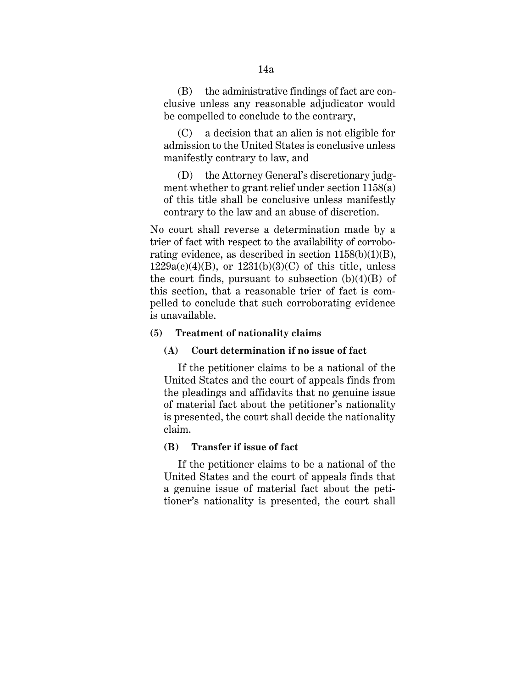(B) the administrative findings of fact are conclusive unless any reasonable adjudicator would be compelled to conclude to the contrary,

(C) a decision that an alien is not eligible for admission to the United States is conclusive unless manifestly contrary to law, and

(D) the Attorney General's discretionary judgment whether to grant relief under section 1158(a) of this title shall be conclusive unless manifestly contrary to the law and an abuse of discretion.

No court shall reverse a determination made by a trier of fact with respect to the availability of corroborating evidence, as described in section 1158(b)(1)(B),  $1229a(c)(4)(B)$ , or  $1231(b)(3)(C)$  of this title, unless the court finds, pursuant to subsection  $(b)(4)(B)$  of this section, that a reasonable trier of fact is compelled to conclude that such corroborating evidence is unavailable.

## **(5) Treatment of nationality claims**

## **(A) Court determination if no issue of fact**

If the petitioner claims to be a national of the United States and the court of appeals finds from the pleadings and affidavits that no genuine issue of material fact about the petitioner's nationality is presented, the court shall decide the nationality claim.

## **(B) Transfer if issue of fact**

If the petitioner claims to be a national of the United States and the court of appeals finds that a genuine issue of material fact about the petitioner's nationality is presented, the court shall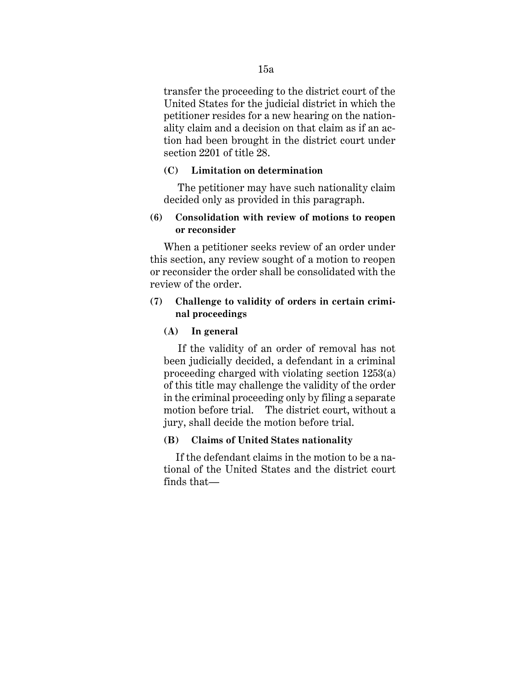transfer the proceeding to the district court of the United States for the judicial district in which the petitioner resides for a new hearing on the nationality claim and a decision on that claim as if an action had been brought in the district court under section 2201 of title 28.

## **(C) Limitation on determination**

The petitioner may have such nationality claim decided only as provided in this paragraph.

# **(6) Consolidation with review of motions to reopen or reconsider**

When a petitioner seeks review of an order under this section, any review sought of a motion to reopen or reconsider the order shall be consolidated with the review of the order.

# **(7) Challenge to validity of orders in certain criminal proceedings**

## **(A) In general**

If the validity of an order of removal has not been judicially decided, a defendant in a criminal proceeding charged with violating section 1253(a) of this title may challenge the validity of the order in the criminal proceeding only by filing a separate motion before trial. The district court, without a jury, shall decide the motion before trial.

# **(B) Claims of United States nationality**

If the defendant claims in the motion to be a national of the United States and the district court finds that—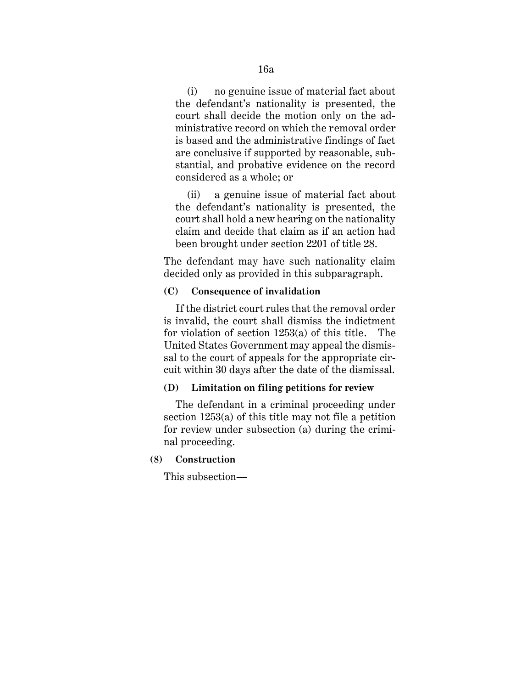(i) no genuine issue of material fact about the defendant's nationality is presented, the court shall decide the motion only on the administrative record on which the removal order is based and the administrative findings of fact are conclusive if supported by reasonable, substantial, and probative evidence on the record considered as a whole; or

(ii) a genuine issue of material fact about the defendant's nationality is presented, the court shall hold a new hearing on the nationality claim and decide that claim as if an action had been brought under section 2201 of title 28.

The defendant may have such nationality claim decided only as provided in this subparagraph.

# **(C) Consequence of invalidation**

If the district court rules that the removal order is invalid, the court shall dismiss the indictment for violation of section 1253(a) of this title. The United States Government may appeal the dismissal to the court of appeals for the appropriate circuit within 30 days after the date of the dismissal.

# **(D) Limitation on filing petitions for review**

The defendant in a criminal proceeding under section 1253(a) of this title may not file a petition for review under subsection (a) during the criminal proceeding.

# **(8) Construction**

This subsection—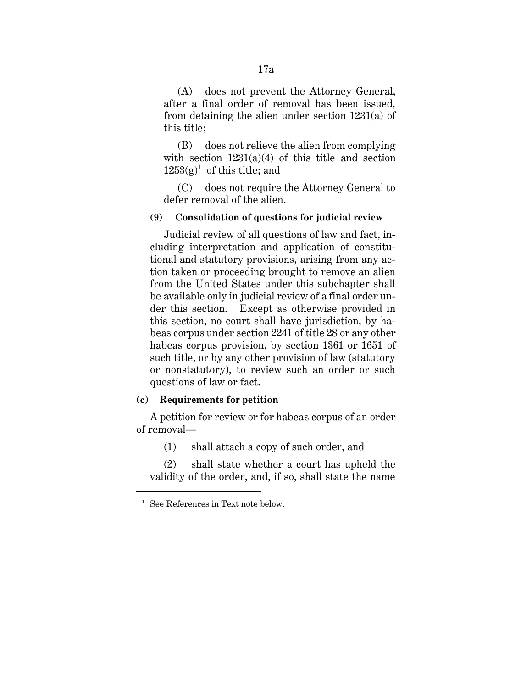(A) does not prevent the Attorney General, after a final order of removal has been issued, from detaining the alien under section 1231(a) of this title;

(B) does not relieve the alien from complying with section  $1231(a)(4)$  of this title and section  $1253(g)^1$  of this title; and

(C) does not require the Attorney General to defer removal of the alien.

## **(9) Consolidation of questions for judicial review**

Judicial review of all questions of law and fact, including interpretation and application of constitutional and statutory provisions, arising from any action taken or proceeding brought to remove an alien from the United States under this subchapter shall be available only in judicial review of a final order under this section. Except as otherwise provided in this section, no court shall have jurisdiction, by habeas corpus under section 2241 of title 28 or any other habeas corpus provision, by section 1361 or 1651 of such title, or by any other provision of law (statutory or nonstatutory), to review such an order or such questions of law or fact.

### **(c) Requirements for petition**

A petition for review or for habeas corpus of an order of removal—

(1) shall attach a copy of such order, and

(2) shall state whether a court has upheld the validity of the order, and, if so, shall state the name

 $\overline{a}$ 

<sup>&</sup>lt;sup>1</sup> See References in Text note below.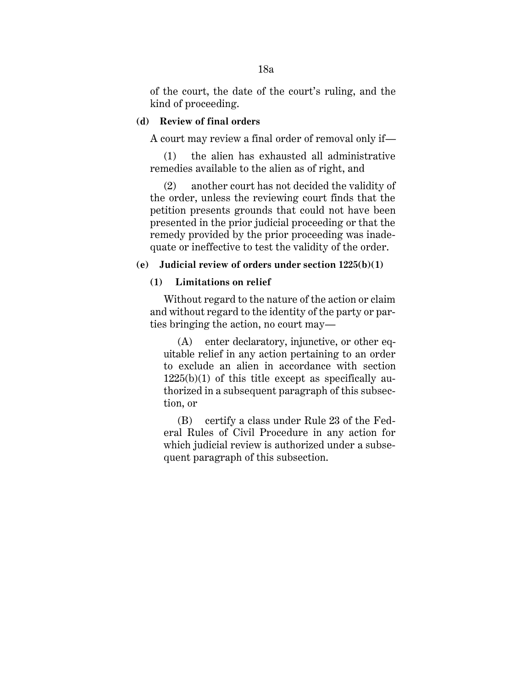of the court, the date of the court's ruling, and the kind of proceeding.

# **(d) Review of final orders**

A court may review a final order of removal only if—

(1) the alien has exhausted all administrative remedies available to the alien as of right, and

(2) another court has not decided the validity of the order, unless the reviewing court finds that the petition presents grounds that could not have been presented in the prior judicial proceeding or that the remedy provided by the prior proceeding was inadequate or ineffective to test the validity of the order.

## **(e) Judicial review of orders under section 1225(b)(1)**

# **(1) Limitations on relief**

Without regard to the nature of the action or claim and without regard to the identity of the party or parties bringing the action, no court may—

(A) enter declaratory, injunctive, or other equitable relief in any action pertaining to an order to exclude an alien in accordance with section  $1225(b)(1)$  of this title except as specifically authorized in a subsequent paragraph of this subsection, or

(B) certify a class under Rule 23 of the Federal Rules of Civil Procedure in any action for which judicial review is authorized under a subsequent paragraph of this subsection.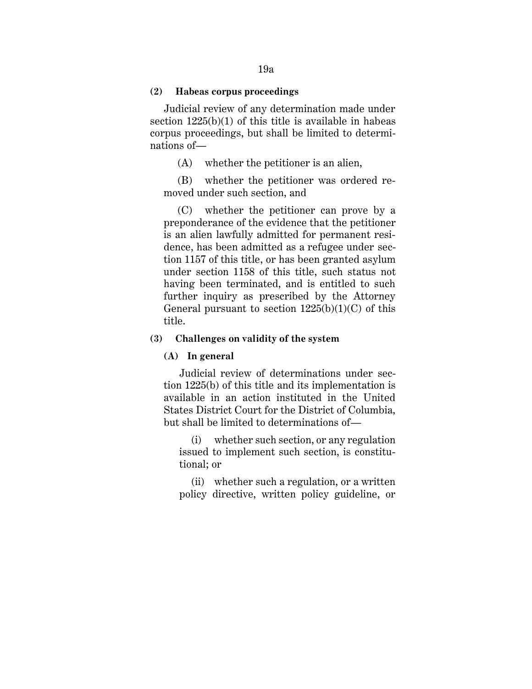### **(2) Habeas corpus proceedings**

Judicial review of any determination made under section  $1225(b)(1)$  of this title is available in habeas corpus proceedings, but shall be limited to determinations of—

(A) whether the petitioner is an alien,

(B) whether the petitioner was ordered removed under such section, and

(C) whether the petitioner can prove by a preponderance of the evidence that the petitioner is an alien lawfully admitted for permanent residence, has been admitted as a refugee under section 1157 of this title, or has been granted asylum under section 1158 of this title, such status not having been terminated, and is entitled to such further inquiry as prescribed by the Attorney General pursuant to section  $1225(b)(1)(C)$  of this title.

### **(3) Challenges on validity of the system**

## **(A) In general**

Judicial review of determinations under section 1225(b) of this title and its implementation is available in an action instituted in the United States District Court for the District of Columbia, but shall be limited to determinations of—

(i) whether such section, or any regulation issued to implement such section, is constitutional; or

(ii) whether such a regulation, or a written policy directive, written policy guideline, or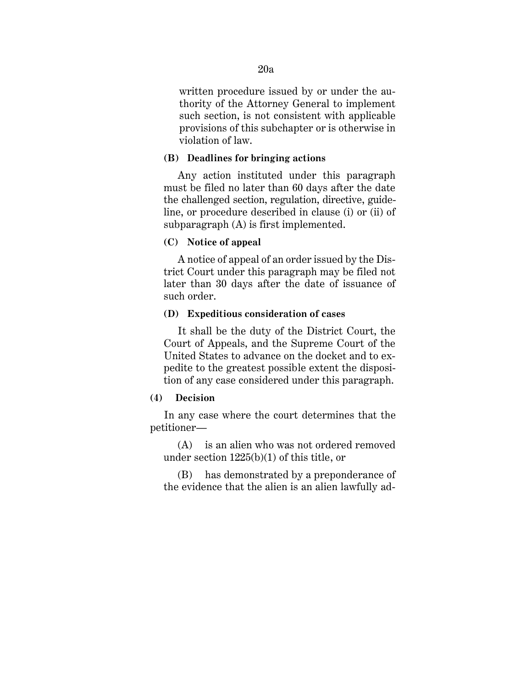written procedure issued by or under the authority of the Attorney General to implement such section, is not consistent with applicable provisions of this subchapter or is otherwise in violation of law.

## **(B) Deadlines for bringing actions**

Any action instituted under this paragraph must be filed no later than 60 days after the date the challenged section, regulation, directive, guideline, or procedure described in clause (i) or (ii) of subparagraph (A) is first implemented.

# **(C) Notice of appeal**

A notice of appeal of an order issued by the District Court under this paragraph may be filed not later than 30 days after the date of issuance of such order.

### **(D) Expeditious consideration of cases**

It shall be the duty of the District Court, the Court of Appeals, and the Supreme Court of the United States to advance on the docket and to expedite to the greatest possible extent the disposition of any case considered under this paragraph.

# **(4) Decision**

In any case where the court determines that the petitioner—

(A) is an alien who was not ordered removed under section 1225(b)(1) of this title, or

(B) has demonstrated by a preponderance of the evidence that the alien is an alien lawfully ad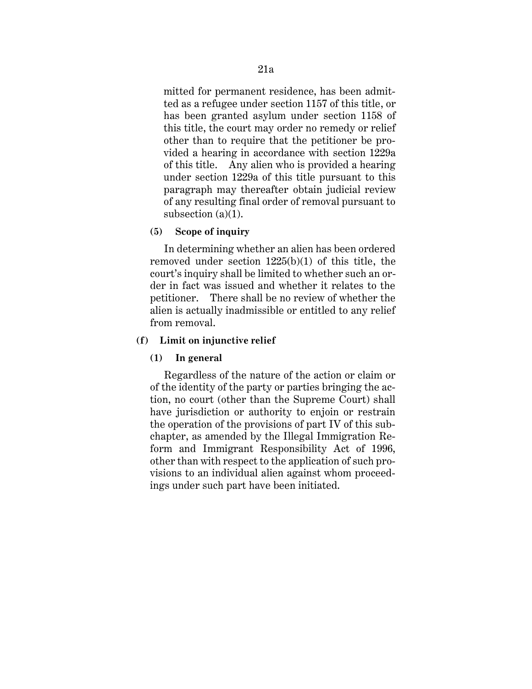mitted for permanent residence, has been admitted as a refugee under section 1157 of this title, or has been granted asylum under section 1158 of this title, the court may order no remedy or relief other than to require that the petitioner be provided a hearing in accordance with section 1229a of this title. Any alien who is provided a hearing under section 1229a of this title pursuant to this paragraph may thereafter obtain judicial review of any resulting final order of removal pursuant to subsection  $(a)(1)$ .

## **(5) Scope of inquiry**

In determining whether an alien has been ordered removed under section 1225(b)(1) of this title, the court's inquiry shall be limited to whether such an order in fact was issued and whether it relates to the petitioner. There shall be no review of whether the alien is actually inadmissible or entitled to any relief from removal.

## **(f) Limit on injunctive relief**

### **(1) In general**

Regardless of the nature of the action or claim or of the identity of the party or parties bringing the action, no court (other than the Supreme Court) shall have jurisdiction or authority to enjoin or restrain the operation of the provisions of part IV of this subchapter, as amended by the Illegal Immigration Reform and Immigrant Responsibility Act of 1996, other than with respect to the application of such provisions to an individual alien against whom proceedings under such part have been initiated.